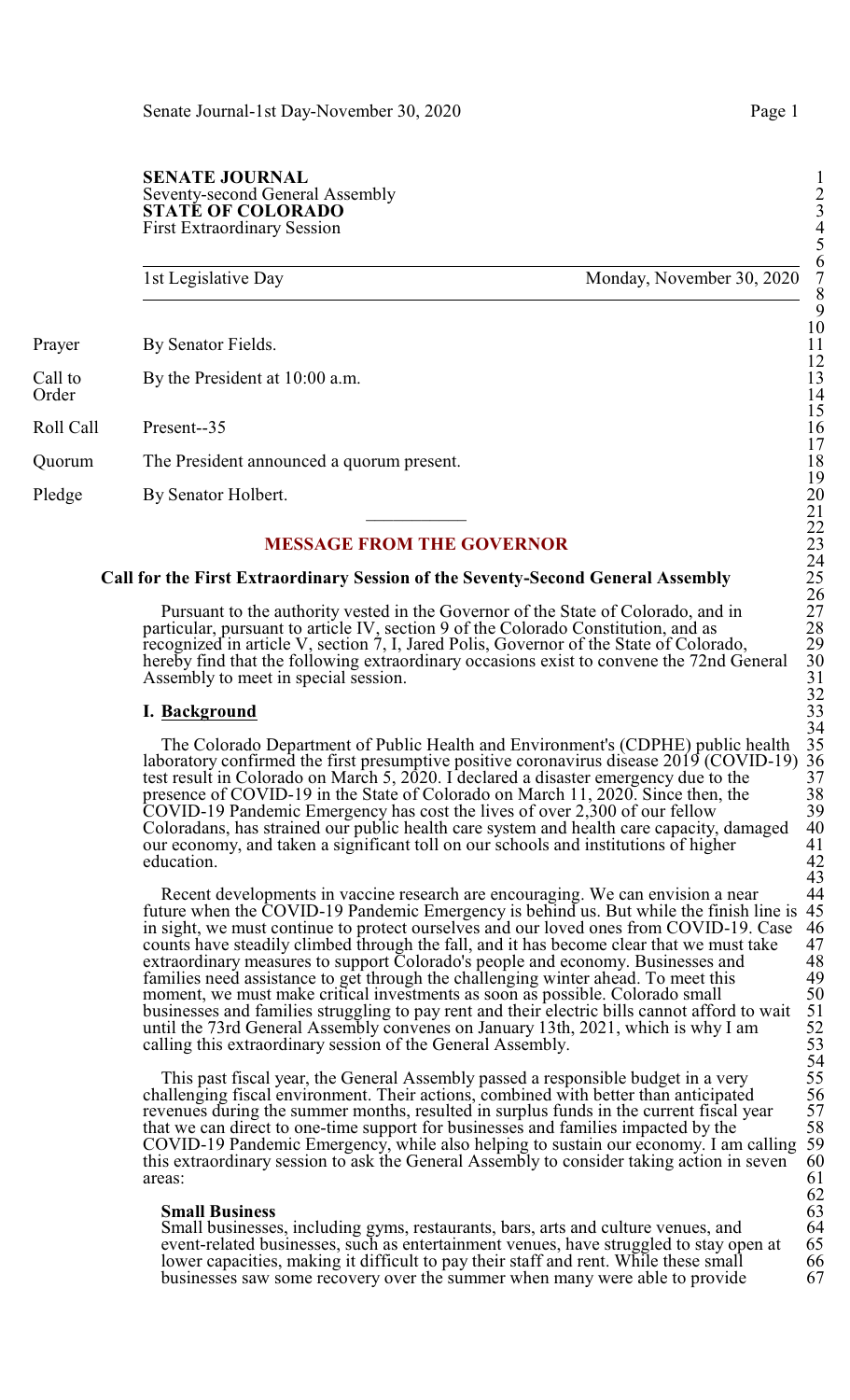#### **SENATE JOURNAL** Seventy-second General Assembly 2 **STATÉ OF COLORADO** First Extraordinary Session 4

1st Legislative Day Monday, November 30, 2020

Prayer By Senator Fields.

Call to By the President at 10:00 a.m.<br>Order Order 14

Roll Call Present--35 16

Quorum The President announced a quorum present.

Pledge By Senator Holbert.

## **MESSAGE FROM THE GOVERNOR**

#### **Call for the First Extraordinary Session of the Seventy-Second General Assembly** 25

Pursuant to the authority vested in the Governor of the State of Colorado, and in 27 particular, pursuant to article IV, section 9 of the Colorado Constitution, and as 28 recognized in article V, section 7, I, Jared Polis, Governor of the State of Colorado, 29 hereby find that the following extraordinary occasions exist to convene the 72nd General Assembly to meet in special session.

#### **I. Background**

The Colorado Department of Public Health and Environment's (CDPHE) public health 35 laboratory confirmed the first presumptive positive coronavirus disease 2019 (COVID-19) 36 test result in Colorado on March 5, 2020. I declared a disaster emergency due to the 37 presence of COVID-19 in the State of Colorado on March 11, 2020. Since then, the 38 COVID-19 Pandemic Emergency has cost the lives of over 2,300 of our fellow 39 The State of Colorado on March 11, 2020. Since then, the<br>COVID-19 Pandemic Emergency has cost the lives of over 2,300 of our fellow<br>Coloradans, has strained our public health care system and health care capacity, damaged 4 our economy, and taken a significant toll on our schools and institutions of higher  $\begin{array}{c} 41 \\ 42 \end{array}$ education. 42

Recent developments in vaccine research are encouraging. We can envision a near 44 future when the COVID-19 Pandemic Emergency is behind us. But while the finish line is 45 in sight, we must continue to protect ourselves and our loved ones from COVID-19. Case 46 counts have steadily climbed through the fall, and it has become clear that we must take 47 extraordinary measures to support Colora counts have steadily climbed through the fall, and it has become clear that we must take extraordinary measures to support Colorado's people and economy. Businesses and 48 families need assistance to get through the challenging winter ahead. To meet this 49 moment, we must make critical investments as soon as possible. Colorado small businesses and families struggling to pay rent and their electric bills cannot afford to wait until the 73rd General Assembly convenes on January 13th, 2021, which is why I am calling this extraordinary session of the General Assembly.

This past fiscal year, the General Assembly passed a responsible budget in a very challenging fiscal environment. Their actions, combined with better than anticipated revenues during the summer months, resulted in surplus funds in the current fiscal year that we can direct to one-time support for businesses and families impacted by the 58 COVID-19 Pandemic Emergency, while also helping to sustain our economy. I am calling 59 this extraordinary session to ask the General Assembly to consider taking action in seven 60 this extraordinary session to ask the General Assembly to consider taking action in seven<br>areas: areas: 61

#### **Small Business** 63

Small businesses, including gyms, restaurants, bars, arts and culture venues, and 64 Small businesses, including gyms, restaurants, bars, arts and culture venues, and<br>event-related businesses, such as entertainment venues, have struggled to stay open at 65<br>lower capacities, making it difficult to pay their lower capacities, making it difficult to pay their staff and rent. While these small 66<br>businesses saw some recovery over the summer when many were able to provide 67 businesses saw some recovery over the summer when many were able to provide 67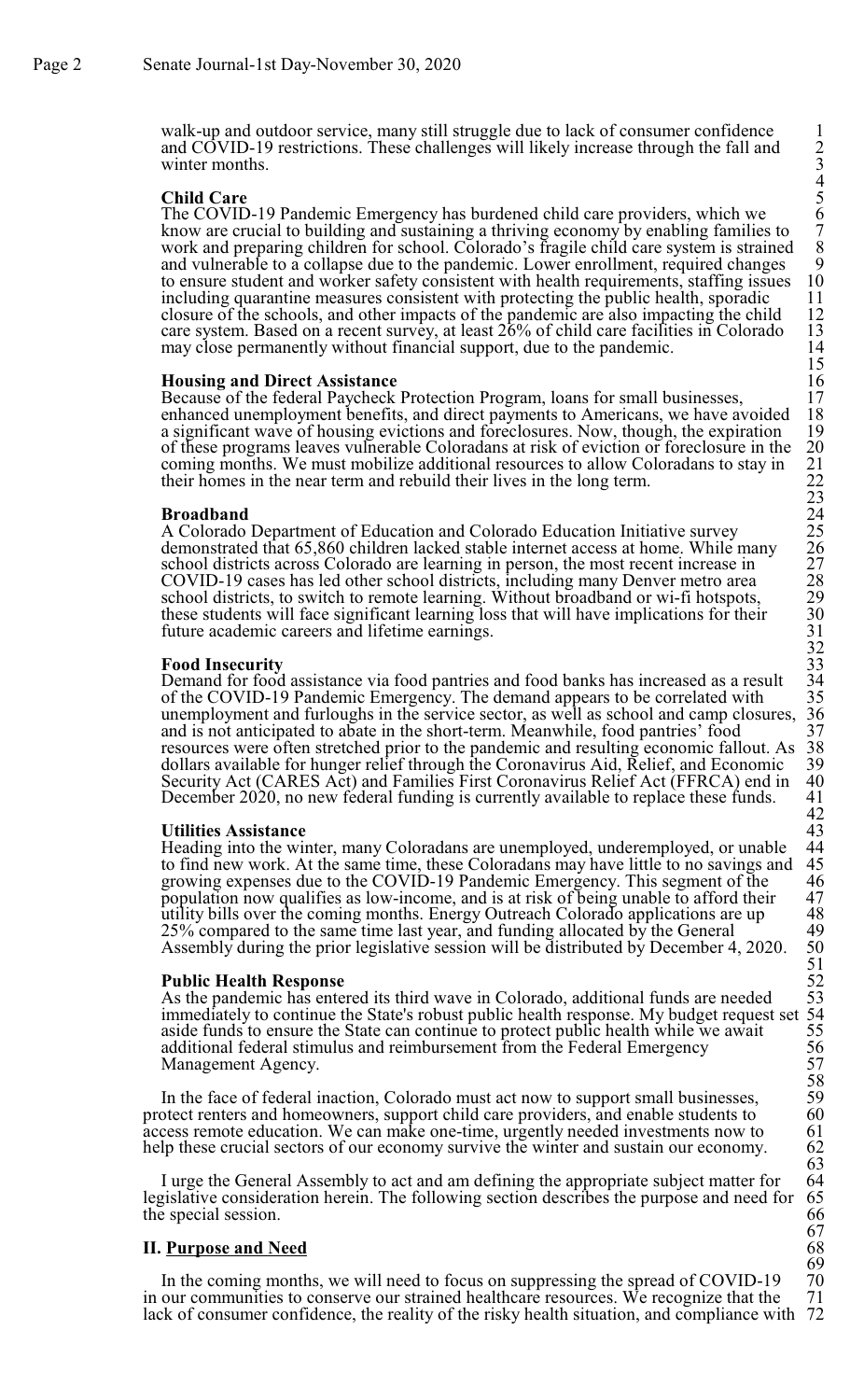walk-up and outdoor service, many still struggle due to lack of consumer confidence 1 and COVID-19 restrictions. These challenges will likely increase through the fall and 2 winter months.

#### **Child Care**

The COVID-19 Pandemic Emergency has burdened child care providers, which we 6 know are crucial to building and sustaining a thriving economy by enabling families to 7 work and preparing children for school. Colorado's fragile child care system is strained and vulnerable to a collapse due to the pandemic. Lower enrollment, required changes to ensure student and worker safety consistent with health requirements, staffing issues including quarantine measures consistent with protecting the public health, sporadic closure of the schools, and other impacts of the pandemic are also impacting the child 12 care system. Based on a recent survey, at least  $26\%$  of child care facilities in Colorado 13 may close permanently without financial support, due to the pandemic. 14 may close permanently without financial support, due to the pandemic.

#### **Housing and Direct Assistance**

Because of the federal Paycheck Protection Program, loans for small businesses, 17<br>enhanced unemployment benefits, and direct payments to Americans, we have avoided 18 enhanced unemployment benefits, and direct payments to Americans, we have avoided 18 a significant wave of housing evictions and foreclosures. Now, though, the expiration 19 of these programs leaves vulnerable Coloradans a a significant wave of housing evictions and foreclosures. Now, though, the expiration of these programs leaves vulnerable Coloradans at risk of eviction or foreclosure in the 20<br>coming months. We must mobilize additional resources to allow Coloradans to stay in 21<br>their homes in the near term and rebuild th coming months. We must mobilize additional resources to allow Coloradans to stay in their homes in the near term and rebuild their lives in the long term. 22

## **Broadband** 24

A Colorado Department of Education and Colorado Education Initiative survey 25 demonstrated that 65,860 children lacked stable internet access at home. While many school districts across Colorado are learning in person, the most recent increase in 27 COVID-19 cases has led other school districts, including many Denver metro area 28 school districts, to switch to remote learning. Without broadband or wi-fi hotspots, 29 these students will face significant learning loss that will have implications for their 30 future academic careers and lifetime earnings.

#### **Food Insecurity**

Demand for food assistance via food pantries and food banks has increased as a result 34 of the COVID-19 Pandemic Emergency. The demand appears to be correlated with 35 of the COVID-19 Pandemic Emergency. The demand appears to be correlated with 35<br>unemployment and furloughs in the service sector, as well as school and camp closures, 36 unemployment and furloughs in the service sector, as well as school and camp closures, 36 and is not anticipated to abate in the short-term. Meanwhile, food pantries' food 37 and is not anticipated to abate in the short-term. Meanwhile, food pantries' food 37<br>resources were often stretched prior to the pandemic and resulting economic fallout. As 38<br>dollars available for hunger relief through th resources were often stretched prior to the pandemic and resulting economic fallout. As 38 dollars available for hunger relief through the Coronavirus Aid, Relief, and Economic 39 Security Act (CARES Act) and Families First Coronavirus Relief Act (FFRCA) end in 40 December 2020, no new federal funding is currently available to replace these funds. 41

**Utilities Assistance** 43 Heading into the winter, many Coloradans are unemployed, underemployed, or unable 44 to find new work. At the same time, these Coloradans may have little to no savings and 45 growing expenses due to the COVID-19 Pandemic Emergency. This segment of the 46 growing expenses due to the COVID-19 Pandemic Emergency. This segment of the 46<br>population now qualifies as low-income, and is at risk of being unable to afford their 47 population now qualifies as low-income, and is at risk of being unable to afford their 47<br>utility bills over the coming months. Energy Outreach Colorado applications are up 48 utility bills over the coming months. Energy Outreach Colorado applications are up 48<br>25% compared to the same time last year, and funding allocated by the General 49 25% compared to the same time last year, and funding allocated by the General 49<br>Assembly during the prior legislative session will be distributed by December 4, 2020. 50 Assembly during the prior legislative session will be distributed by December 4, 2020.

#### **Public Health Response**

As the pandemic has entered its third wave in Colorado, additional funds are needed immediately to continue the State's robust public health response. My budget request set 54 aside funds to ensure the State can continue to protect public health while we await additional federal stimulus and reimbursement from the Federal Emergency Management Agency.

In the face of federal inaction, Colorado must act now to support small businesses, 59 otect renters and homeowners, support child care providers, and enable students to 60 protect renters and homeowners, support child care providers, and enable students to 60 access remote education. We can make one-time, urgently needed investments now to 61 access remote education. We can make one-time, urgently needed investments now to help these crucial sectors of our economy survive the winter and sustain our economy.

I urge the General Assembly to act and am defining the appropriate subject matter for 64 legislative consideration herein. The following section describes the purpose and need for 65 the special session. the special session.

#### **II.** Purpose and Need

In the coming months, we will need to focus on suppressing the spread of COVID-19 70<br>our communities to conserve our strained healthcare resources. We recognize that the 71 in our communities to conserve our strained healthcare resources. We recognize that the 71 lack of consumer confidence, the reality of the risky health situation, and compliance with 72 lack of consumer confidence, the reality of the risky health situation, and compliance with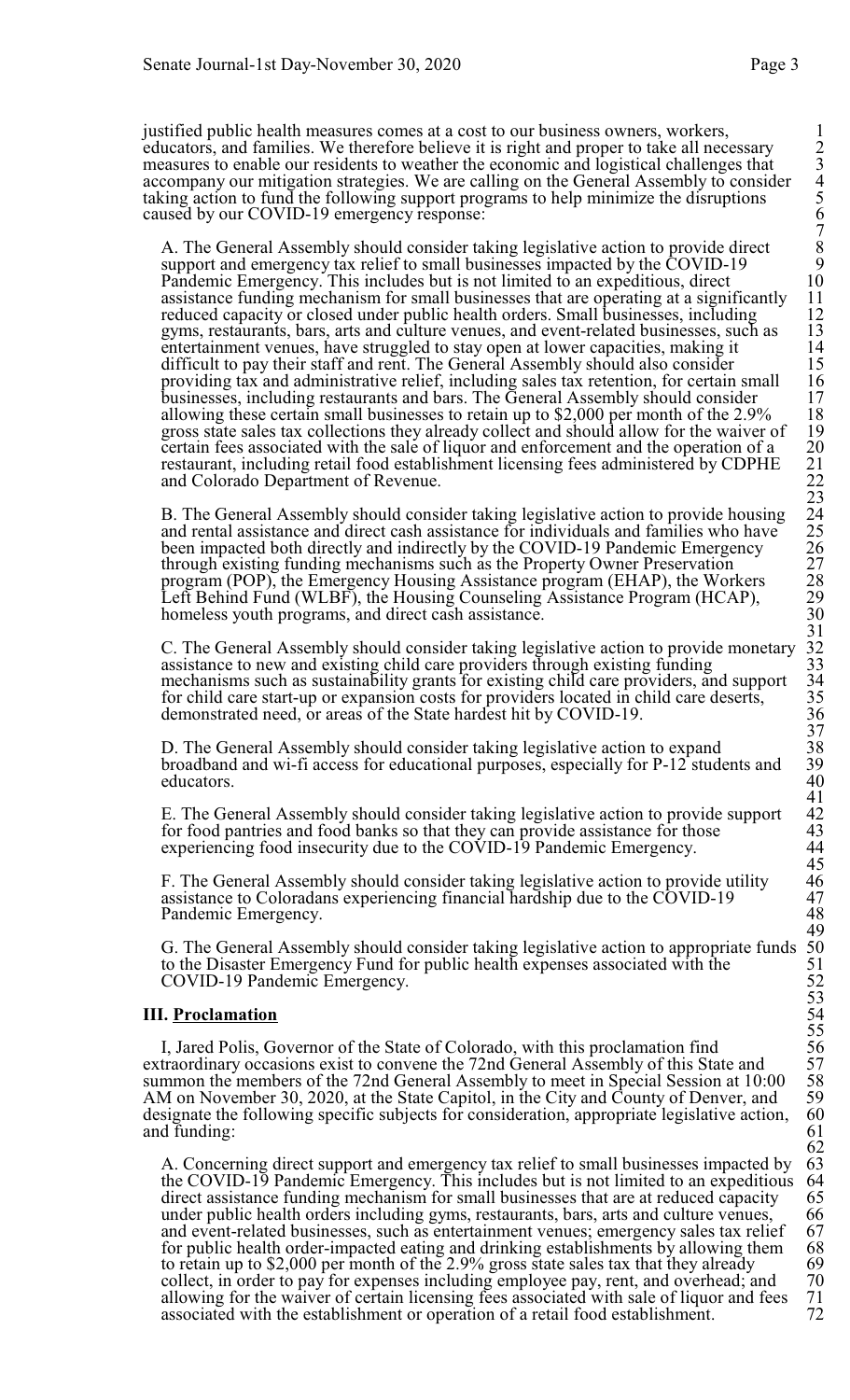justified public health measures comes at a cost to our business owners, workers, 1 educators, and families. We therefore believe it is right and proper to take all necessary 2 measures to enable our residents to weather the economic and logistical challenges that accompany our mitigation strategies. We are calling on the General Assembly to consider taking action to fund the following support programs to help minimize the disruptions 5 caused by our COVID-19 emergency response:

A. The General Assembly should consider taking legislative action to provide direct support and emergency tax relief to small businesses impacted by the COVID-19 Pandemic Emergency. This includes but is not limited to an expeditious, direct assistance funding mechanism for small businesses that are operating at a significantly 11<br>reduced capacity or closed under public health orders. Small businesses, including 12<br>gyms, restaurants, bars, arts and culture ven reduced capacity or closed under public health orders. Small businesses, including 12 gyms, restaurants, bars, arts and culture venues, and event-related businesses, such as 13<br>entertainment venues, have struggled to stay open at lower capacities, making it 14 entertainment venues, have struggled to stay open at lower capacities, making it<br>difficult to pay their staff and rent. The General Assembly should also consider<br>providing tax and administrative relief, including sales tax difficult to pay their staff and rent. The General Assembly should also consider 15 providing tax and administrative relief, including sales tax retention, for certain small 16 businesses, including restaurants and bars. The General Assembly should consider 17 allowing these certain small businesses to retain up to \$2,000 per month of the  $2.9\%$ gross state sales tax collections they already collect and should allow for the waiver of 19 certain fees associated with the sale of liquor and enforcement and the operation of a restaurant, including retail food establishment licensing fees administered by CDPHE 21 and Colorado Department of Revenue.

B. The General Assembly should consider taking legislative action to provide housing and rental assistance and direct cash assistance for individuals and families who have been impacted both directly and indirectly by the COVID-19 Pandemic Emergency through existing funding mechanisms such as the Property Owner Preservation 27 program (POP), the Emergency Housing Assistance program (EHAP), the Workers 28 Left Behind Fund (WLBF), the Housing Counseling Assistance Program (HCAP), 29<br>homeless youth programs, and direct cash assistance. 30 homeless youth programs, and direct cash assistance.

C. The General Assembly should consider taking legislative action to provide monetary assistance to new and existing child care providers through existing funding mechanisms such as sustainability grants for existing child care providers, and support for child care start-up or expansion costs for providers located in child care deserts, demonstrated need, or areas of the State hardest hit by COVID-19.

D. The General Assembly should consider taking legislative action to expand broadband and wi-fi access for educational purposes, especially for P-12 students and 39 educators. 40

E. The General Assembly should consider taking legislative action to provide support for food pantries and food banks so that they can provide assistance for those  $\sim$  43 experiencing food insecurity due to the COVID-19 Pandemic Emergency. 44

F. The General Assembly should consider taking legislative action to provide utility 46<br>assistance to Coloradans experiencing financial hardship due to the COVID-19 47<br>Pandemic Emergency. 48 assistance to Coloradans experiencing financial hardship due to the COVID-19 47 Pandemic Emergency.

G. The General Assembly should consider taking legislative action to appropriate funds to the Disaster Emergency Fund for public health expenses associated with the COVID-19 Pandemic Emergency.

## **III.** Proclamation

I, Jared Polis, Governor of the State of Colorado, with this proclamation find extraordinary occasions exist to convene the 72nd General Assembly of this State and summon the members of the 72nd General Assembly to meet in Special Session at 10:00 AM on November 30, 2020, at the State Capitol, in the City and County of Denver, and 59 designate the following specific subjects for consideration, appropriate legislative action. 60 designate the following specific subjects for consideration, appropriate legislative action, 60<br>and funding: 61 and funding:

A. Concerning direct support and emergency tax relief to small businesses impacted by 63 the COVID-19 Pandemic Emergency. This includes but is not limited to an expeditious 64 the COVID-19 Pandemic Emergency. This includes but is not limited to an expeditious 64 direct assistance funding mechanism for small businesses that are at reduced capacity 65 direct assistance funding mechanism for small businesses that are at reduced capacity 65<br>under public health orders including gyms, restaurants, bars, arts and culture venues, 66 under public health orders including gyms, restaurants, bars, arts and culture venues, 66<br>and event-related businesses, such as entertainment venues; emergency sales tax relief 67 and event-related businesses, such as entertainment venues; emergency sales tax relief 67<br>for public health order-impacted eating and drinking establishments by allowing them 68 for public health order-impacted eating and drinking establishments by allowing them 68 to retain up to \$2,000 per month of the 2.9% gross state sales tax that they already 69 to retain up to \$2,000 per month of the 2.9% gross state sales tax that they already 69<br>collect, in order to pay for expenses including employee pay, rent, and overhead; and 70 collect, in order to pay for expenses including employee pay, rent, and overhead; and 70<br>allowing for the waiver of certain licensing fees associated with sale of liquor and fees 71 allowing for the waiver of certain licensing fees associated with sale of liquor and fees 71<br>associated with the establishment or operation of a retail food establishment 72 associated with the establishment or operation of a retail food establishment.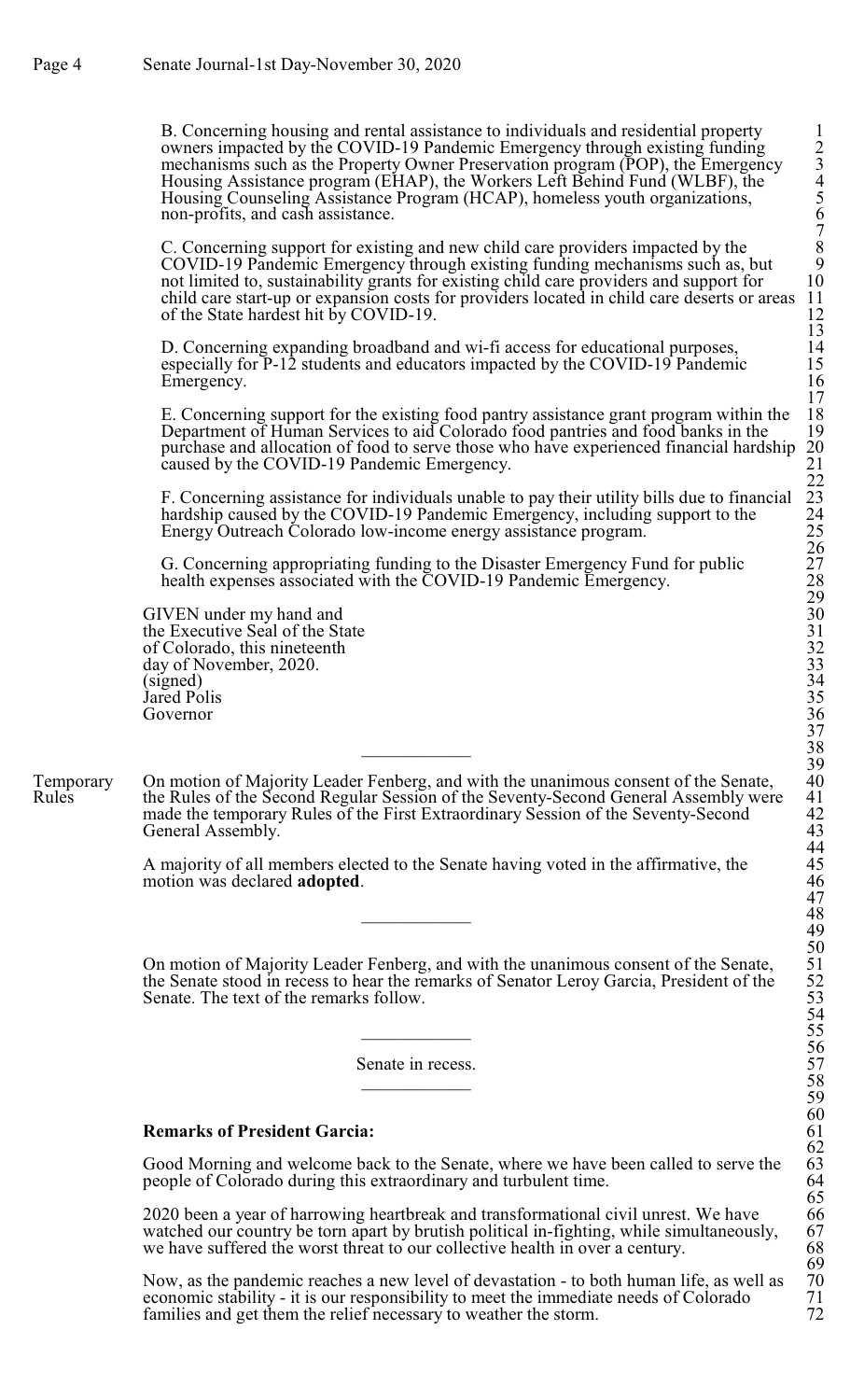B. Concerning housing and rental assistance to individuals and residential property 1 owners impacted by the COVID-19 Pandemic Emergency through existing funding 2 mechanisms such as the Property Owner Preservation program (POP), the Emergency Housing Assistance program (EHAP), the Workers Left Behind Fund (WLBF), the 4 Housing Counseling Assistance Program (HCAP), homeless youth organizations, 5 non-profits, and cash assistance. 6

C. Concerning support for existing and new child care providers impacted by the COVID-19 Pandemic Emergency through existing funding mechanisms such as, but 9 not limited to, sustainability grants for existing child care providers and support for child care start-up or expansion costs for providers located in child care deserts or areas of the State hardest hit by COVID-19.

D. Concerning expanding broadband and wi-fi access for educational purposes, especially for  $\overline{P}$ -12 students and educators impacted by the COVID-19 Pandemic Emergency.

E. Concerning support for the existing food pantry assistance grant program within the 18<br>Department of Human Services to aid Colorado food pantries and food banks in the 19 Department of Human Services to aid Colorado food pantries and food banks in the 19<br>purchase and allocation of food to serve those who have experienced financial hardship 20 purchase and allocation of food to serve those who have experienced financial hardship caused by the COVID-19 Pandemic Emergency.

F. Concerning assistance for individuals unable to pay their utility bills due to financial hardship caused by the COVID-19 Pandemic Emergency, including support to the Energy Outreach Colorado low-income energy assistance program. 25

G. Concerning appropriating funding to the Disaster Emergency Fund for public 27 health expenses associated with the COVID-19 Pandemic Emergency.

GIVEN under my hand and the Executive Seal of the State of Colorado, this nineteenth day of November, 2020.<br>(signed) (signed) 34 Jared Polis<br>Governor Governor 36

Temporary On motion of Majority Leader Fenberg, and with the unanimous consent of the Senate,<br>Rules the Rules of the Second Regular Session of the Seventy-Second General Assembly wer the Rules of the Second Regular Session of the Seventy-Second General Assembly were made the temporary Rules of the First Extraordinary Session of the Seventy-Second 42 General Assembly.

> A majority of all members elected to the Senate having voted in the affirmative, the motion was declared **adopted**. 46

On motion of Majority Leader Fenberg, and with the unanimous consent of the Senate, the Senate stood in recess to hear the remarks of Senator Leroy Garcia, President of the Senate. The text of the remarks follow.

Senate in recess.

# **Remarks of President Garcia:** 61

Good Morning and welcome back to the Senate, where we have been called to serve the people of Colorado during this extraordinary and turbulent time. 64

2020 been a year of harrowing heartbreak and transformational civil unrest. We have 66 watched our country be torn apart by brutish political in-fighting, while simultaneously, we have suffered the worst threat to our collective health in over a century.

Now, as the pandemic reaches a new level of devastation - to both human life, as well as 70 economic stability - it is our responsibility to meet the immediate needs of Colorado 71 economic stability - it is our responsibility to meet the immediate needs of Colorado 71<br>families and get them the relief necessary to weather the storm. families and get them the relief necessary to weather the storm.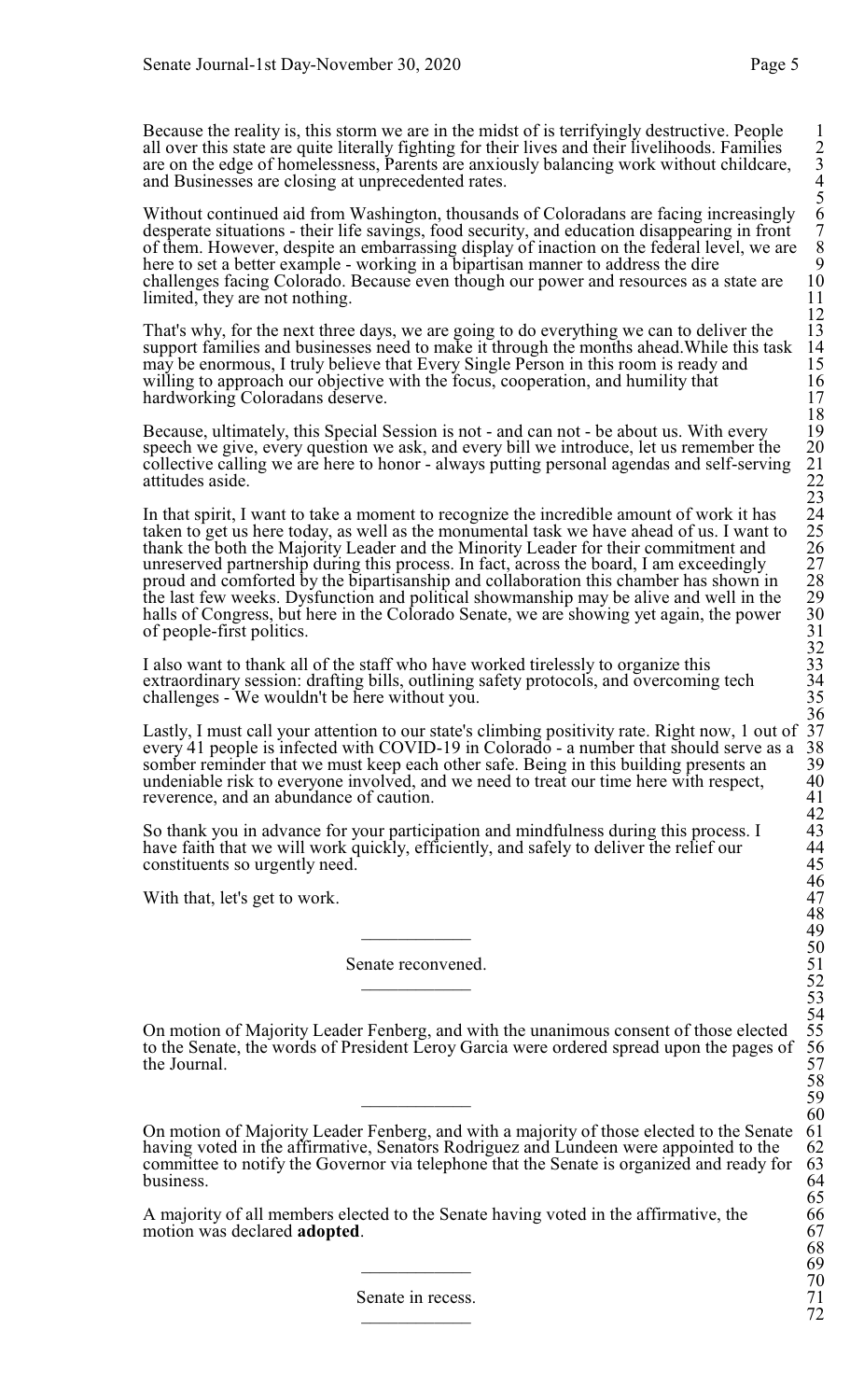Because the reality is, this storm we are in the midst of is terrifyingly destructive. People 1 all over this state are quite literally fighting for their lives and their livelihoods. Families 2 are on the edge of homelessness, Parents are anxiously balancing work without childcare, 3 and Businesses are closing at unprecedented rates. 4

Without continued aid from Washington, thousands of Coloradans are facing increasingly 6 desperate situations - their life savings, food security, and education disappearing in front of them. However, despite an embarrassing display of inaction on the federal level, we are here to set a better example - working in a bipartisan manner to address the dire challenges facing Colorado. Because even though our power and resources as a state are 10 limited, they are not nothing. limited, they are not nothing.

That's why, for the next three days, we are going to do everything we can to deliver the 13 support families and businesses need to make it through the months ahead. While this task 14 support families and businesses need to make it through the months ahead. While this task 14 may be enormous, I truly believe that Every Single Person in this room is ready and 15 may be enormous, I truly believe that Every Single Person in this room is ready and 15 willing to approach our objective with the focus, cooperation, and humility that 16 willing to approach our objective with the focus, cooperation, and humility that  $16$ <br>hardworking Coloradans deserve. hardworking Coloradans deserve.

Because, ultimately, this Special Session is not - and can not - be about us. With every speech we give, every question we ask, and every bill we introduce, let us remember the 20<br>collective calling we are here to honor - always putting personal agendas and self-serving 21<br>attitudes aside. collective calling we are here to honor - always putting personal agendas and self-serving attitudes aside.

In that spirit, I want to take a moment to recognize the incredible amount of work it has taken to get us here today, as well as the monumental task we have ahead of us. I want to 25<br>thank the both the Majority Leader and the Minority Leader for their commitment and 26<br>unreserved partnership during this process thank the both the Majority Leader and the Minority Leader for their commitment and 26 unreserved partnership during this process. In fact, across the board, I am exceedingly 27 proud and comforted by the bipartisanship and collaboration this chamber has shown in 28 the last few weeks. Dysfunction and political showmanship may be alive and well in the halls of Congress, but here in the Colorado Senate, we are showing yet again, the power of people-first politics. 31

I also want to thank all of the staff who have worked tirelessly to organize this extraordinary session: drafting bills, outlining safety protocols, and overcoming tech 34<br>challenges - We wouldn't be here without you. 35 challenges - We wouldn't be here without you. 35

 $\frac{36}{37}$ Lastly, I must call your attention to our state's climbing positivity rate. Right now, 1 out of 37 every 41 people is infected with COVID-19 in Colorado - a number that should serve as a 38 somber reminder that we must kee every 41 people is infected with COVID-19 in Colorado - a number that should serve as a somber reminder that we must keep each other safe. Being in this building presents an 39 undeniable risk to everyone involved, and we need to treat our time here with respect, 40 undeniable risk to everyone involved, and we need to treat our time here with respect, 40<br>reverence, and an abundance of caution. 41 reverence, and an abundance of caution. 42<br>43

So thank you in advance for your participation and mindfulness during this process. I<br>have faith that we will work quickly, efficiently, and safely to deliver the relief our 44<br>constituents so urgently need. 45 have faith that we will work quickly, efficiently, and safely to deliver the relief our constituents so urgently need.

With that, let's get to work.

Senate reconvened.  $52$ 

On motion of Majority Leader Fenberg, and with the unanimous consent of those elected 55 to the Senate, the words of President Leroy Garcia were ordered spread upon the pages of the Journal.

\_\_\_\_\_\_\_\_\_\_\_\_ 49

 $\overline{\phantom{1}}$  59

 $\overline{69}$ 

On motion of Majority Leader Fenberg, and with a majority of those elected to the Senate 61 having voted in the affirmative, Senators Rodriguez and Lundeen were appointed to the 62 having voted in the affirmative, Senators Rodriguez and Lundeen were appointed to the 62<br>committee to notify the Governor via telephone that the Senate is organized and ready for 63 committee to notify the Governor via telephone that the Senate is organized and ready for 63<br>business. business. 64

A majority of all members elected to the Senate having voted in the affirmative, the 66<br>motion was declared **adopted**. 67 motion was declared **adopted**. 67

> Senate in recess. 71<br>
> 72 \_\_\_\_\_\_\_\_\_\_\_\_ 72

2<br>3<br>4<br>5<br>6<br>7<br>8<br>9<br>0<br>10

 $\frac{12}{13}$ 

 $\frac{18}{19}$ <br>20

 $\frac{23}{24}$ <br> $\frac{24}{25}$ 

 $31$ <br> $32$ <br> $33$ <br> $34$ 

46<br>47

48

50

53 54

57<br>58<br>59

 $60$ <br> $61$ 

65

68

70<br>71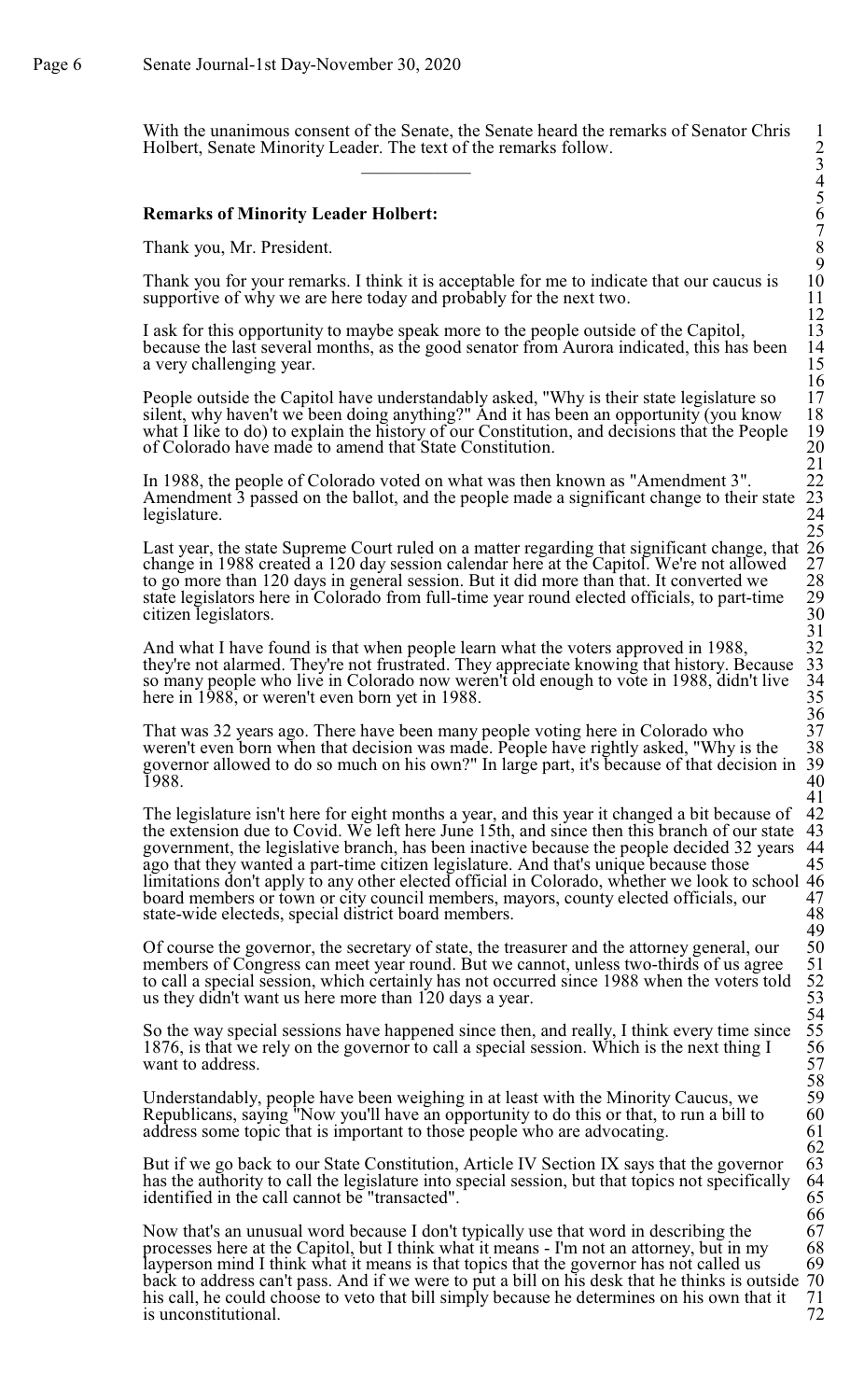With the unanimous consent of the Senate, the Senate heard the remarks of Senator Chris 1 Holbert, Senate Minority Leader. The text of the remarks follow. 2  $\overline{\phantom{a}}$  3

#### **Remarks of Minority Leader Holbert:**

Thank you, Mr. President. 8

Thank you for your remarks. I think it is acceptable for me to indicate that our caucus is supportive of why we are here today and probably for the next two.

I ask for this opportunity to maybe speak more to the people outside of the Capitol, 13<br>because the last several months, as the good senator from Aurora indicated, this has been 14 because the last several months, as the good senator from Aurora indicated, this has been 14 a very challenging year.

People outside the Capitol have understandably asked, "Why is their state legislature so silent, why haven't we been doing anything?" And it has been an opportunity (you know 18 what I like to do) to explain the history of our Constitution, and decisions that the People 19 of Colorado have made to amend that State Constitution. of Colorado have made to amend that State Constitution.

In 1988, the people of Colorado voted on what was then known as "Amendment 3". 22<br>Amendment 3 passed on the ballot, and the people made a significant change to their state 23 Amendment 3 passed on the ballot, and the people made a significant change to their state legislature.

Last year, the state Supreme Court ruled on a matter regarding that significant change, that 26 change in 1988 created a 120 day session calendar here at the Capitol. We're not allowed 27 to go more than 120 days in general session. But it did more than that. It converted we 28 state legislators here in Colorado from full-time year round elected officials, to part-time 29 state legislators here in Colorado from full-time year round elected officials, to part-time 29 citizen legislators. citizen legislators.

And what I have found is that when people learn what the voters approved in 1988, 32 they're not alarmed. They're not frustrated. They appreciate knowing that history. Because 33 they're not alarmed. They're not frustrated. They appreciate knowing that history. Because 33<br>so many people who live in Colorado now weren't old enough to vote in 1988, didn't live 34 so many people who live in Colorado now weren't old enough to vote in 1988, didn't live 34<br>here in 1988, or weren't even born yet in 1988. here in 1988, or weren't even born yet in 1988.

That was 32 years ago. There have been many people voting here in Colorado who 37 weren't even born when that decision was made. People have rightly asked. "Why is the 38 weren't even born when that decision was made. People have rightly asked, "Why is the 38 governor allowed to do so much on his own?" In large part, it's because of that decision in 39  $1988.$  40

The legislature isn't here for eight months a year, and this year it changed a bit because of 42 the extension due to Covid. We left here June 15th, and since then this branch of our state 43 the extension due to Covid. We left here June  $15$ th, and since then this branch of our state 43 government, the legislative branch, has been inactive because the people decided 32 years 44 government, the legislative branch, has been inactive because the people decided 32 years 44 ago that they wanted a part-time citizen legislature. And that's unique because those 45 ago that they wanted a part-time citizen legislature. And that's unique because those limitations don't apply to any other elected official in Colorado, whether we look to school 46 board members or town or city council members, mayors, county elected officials, our 47 board members or town or city council members, mayors, county elected officials, our 47<br>state-wide electeds, special district board members. 48 state-wide electeds, special district board members.

Of course the governor, the secretary of state, the treasurer and the attorney general, our members of Congress can meet year round. But we cannot, unless two-thirds of us agree to call a special session, which certainly has not occurred since 1988 when the voters told 52 us they didn't want us here more than 120 days a year.

So the way special sessions have happened since then, and really, I think every time since 1876, is that we rely on the governor to call a special session. Which is the next thing I want to address.

Understandably, people have been weighing in at least with the Minority Caucus, we  $\frac{59}{59}$ <br>Republicans, saying "Now you'll have an opportunity to do this or that, to run a bill to  $\frac{60}{59}$ Republicans, saying "Now you'll have an opportunity to do this or that, to run a bill to 60 address some topic that is important to those people who are advocating. 61 address some topic that is important to those people who are advocating.

But if we go back to our State Constitution, Article IV Section IX says that the governor 63 has the authority to call the legislature into special session, but that topics not specifically 64 has the authority to call the legislature into special session, but that topics not specifically 64 identified in the call cannot be "transacted". identified in the call cannot be "transacted".

Now that's an unusual word because I don't typically use that word in describing the 67 processes here at the Capitol, but I think what it means - I'm not an attorney, but in my 68 processes here at the Capitol, but I think what it means - I'm not an attorney, but in my 68<br>layperson mind I think what it means is that topics that the governor has not called us 69 layperson mind I think what it means is that topics that the governor has not called us back to address can't pass. And if we were to put a bill on his desk that he thinks is outside 70 his call, he could choose to veto that bill simply because he determines on his own that it 71 his call, he could choose to veto that bill simply because he determines on his own that it  $\frac{71}{72}$ is unconstitutional.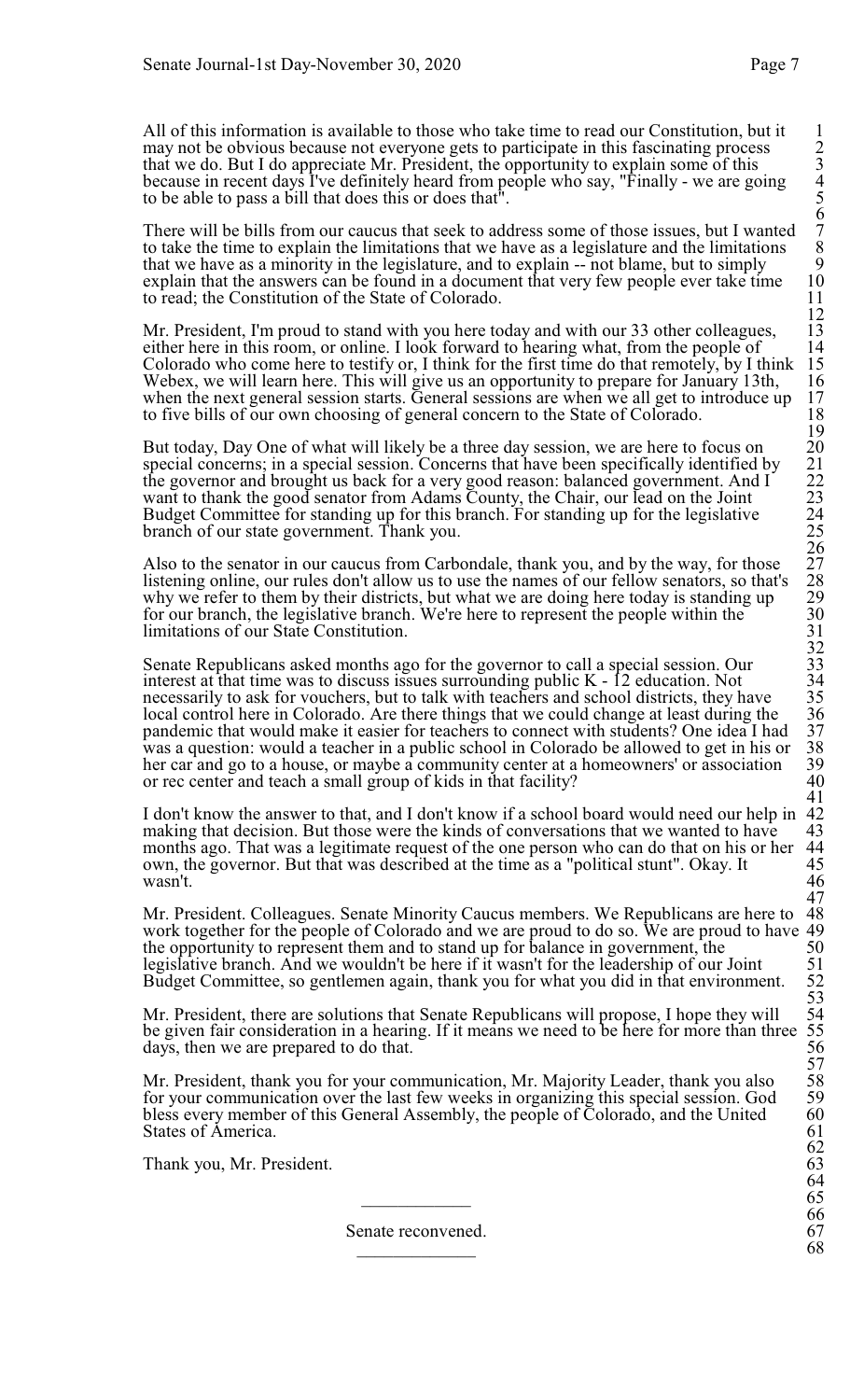All of this information is available to those who take time to read our Constitution, but it may not be obvious because not everyone gets to participate in this fascinating process 2 that we do. But I do appreciate Mr. President, the opportunity to explain some of this 3 because in recent days I've definitely heard from people who say, "Finally - we are going 4 to be able to pass a bill that does this or does that<sup>"</sup>

There will be bills from our caucus that seek to address some of those issues, but I wanted 7 to take the time to explain the limitations that we have as a legislature and the limitations that we have as a minority in the legislature, and to explain -- not blame, but to simply 9 explain that the answers can be found in a document that very few people ever take time to read; the Constitution of the State of Colorado.

Mr. President, I'm proud to stand with you here today and with our 33 other colleagues, 13 either here in this room, or online. I look forward to hearing what, from the people of 14 either here in this room, or online. I look forward to hearing what, from the people of 14<br>Colorado who come here to testify or, I think for the first time do that remotely, by I think 15<br>Webex, we will learn here. This wi Colorado who come here to testify or, I think for the first time do that remotely, by I think Webex, we will learn here. This will give us an opportunity to prepare for January 13th, 16 when the next general session starts. General sessions are when we all get to introduce up 17 to five bills of our own choosing of general concern to the State of Colorado. 18

But today, Day One of what will likely be a three day session, we are here to focus on special concerns; in a special session. Concerns that have been specifically identified by the governor and brought us back for a very good reason: balanced government. And I 22 want to thank the good senator from Adams County, the Chair, our lead on the Joint 23 Budget Committee for standing up for this branch. For standing up for the legislative 24 branch of our state government. Thank you. 25

Also to the senator in our caucus from Carbondale, thank you, and by the way, for those 27 listening online, our rules don't allow us to use the names of our fellow senators, so that's why we refer to them by their districts, but what we are doing here today is standing up 29 for our branch, the legislative branch. We're here to represent the people within the 30 limitations of our State Constitution. 31

Senate Republicans asked months ago for the governor to call a special session. Our interest at that time was to discuss issues surrounding public  $K - \hat{12}$  education. Not necessarily to ask for vouchers, but to talk with teachers and school districts, they have local control here in Colorado. Are there things that we could change at least during the pandemic that would make it easier for teachers to connect with students? One idea I had 37 was a question: would a teacher in a public school in Colorado be allowed to get in his or her car and go to a house, or maybe a community center at a homeowners' or association 39<br>or rec center and teach a small group of kids in that facility? 40 or rec center and teach a small group of kids in that facility?

I don't know the answer to that, and I don't know if a school board would need our help in 42 making that decision. But those were the kinds of conversations that we wanted to have 43 making that decision. But those were the kinds of conversations that we wanted to have 43<br>months ago. That was a legitimate request of the one person who can do that on his or her 44 months ago. That was a legitimate request of the one person who can do that on his or her 44 own, the governor. But that was described at the time as a "political stunt". Okay. It 45 own, the governor. But that was described at the time as a "political stunt". Okay. It 45 wasn't. 46

Mr. President. Colleagues. Senate Minority Caucus members. We Republicans are here to 48 work together for the people of Colorado and we are proud to do so. We are proud to have 49 the opportunity to represent them and to stand up for balance in government, the 50<br>legislative branch. And we wouldn't be here if it wasn't for the leadership of our Joint 51 legislative branch. And we wouldn't be here if it wasn't for the leadership of our Joint Budget Committee, so gentlemen again, thank you for what you did in that environment.

Mr. President, there are solutions that Senate Republicans will propose, I hope they will be given fair consideration in a hearing. If it means we need to be here for more than three days, then we are prepared to do that.

Mr. President, thank you for your communication, Mr. Majority Leader, thank you also for your communication over the last few weeks in organizing this special session. God bless every member of this General Assembly, the people of Colorado, and the United 60<br>States of America. 61 States of America.

Thank you, Mr. President. 63

Senate reconvened. 67<br>68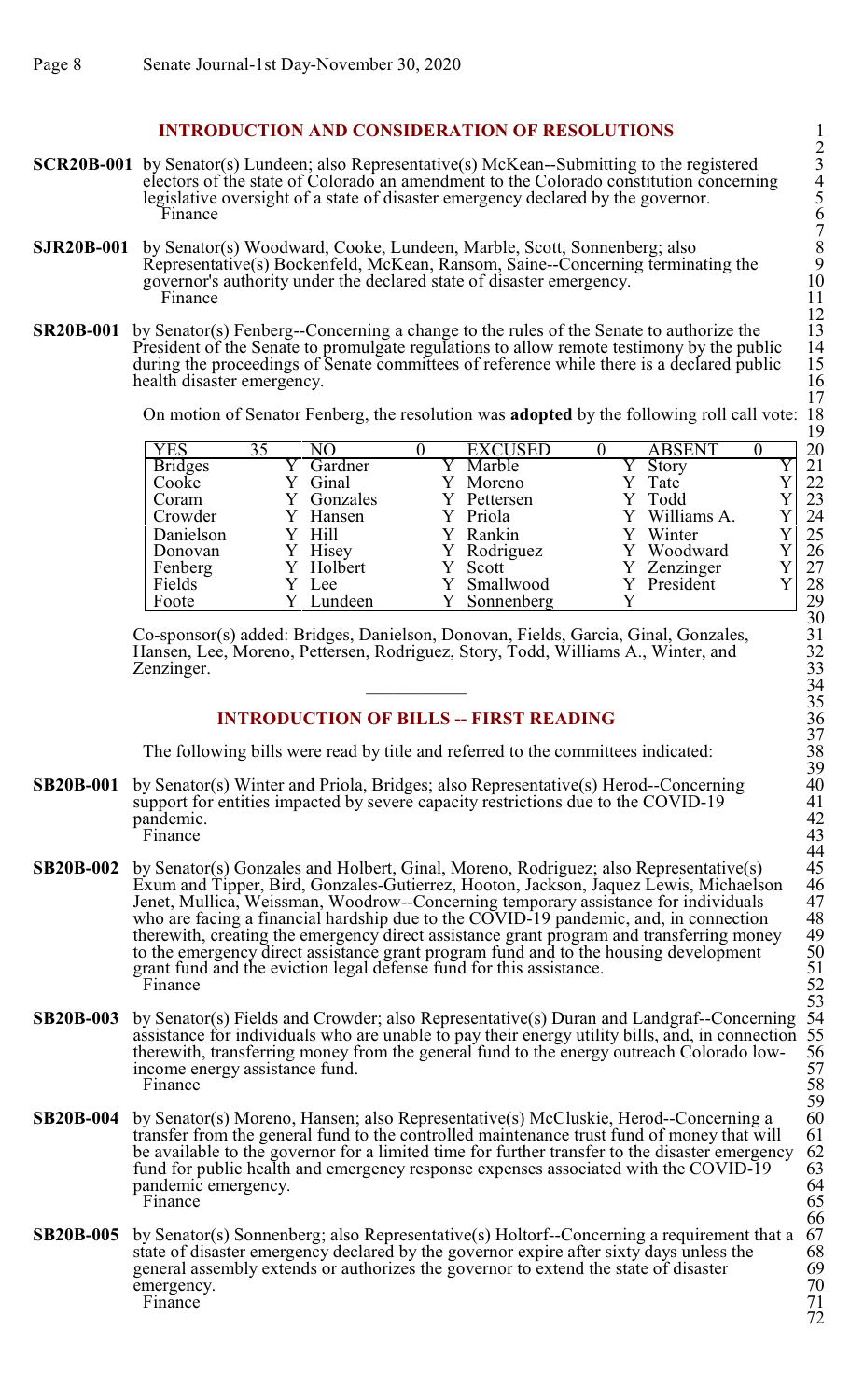# **INTRODUCTION AND CONSIDERATION OF RESOLUTIONS**

- **SCR20B-001** by Senator(s) Lundeen; also Representative(s) McKean--Submitting to the registered electors of the state of Colorado an amendment to the Colorado constitution concerning 4 legislative oversight of a state of disaster emergency declared by the governor.<br>Finance Finance 6
- **SJR20B-001** by Senator(s) Woodward, Cooke, Lundeen, Marble, Scott, Sonnenberg; also 8 Representative(s) Bockenfeld, McKean, Ransom, Saine--Concerning terminating the 9 governor's authority under the declared state of disaster emergency.<br>Finance Finance 11
- **SR20B-001** by Senator(s) Fenberg--Concerning a change to the rules of the Senate to authorize the 13<br>President of the Senate to promulgate regulations to allow remote testimony by the public 14 President of the Senate to promulgate regulations to allow remote testimony by the public 14 during the proceedings of Senate committees of reference while there is a declared public 15 health disaster emergency. 16

On motion of Senator Fenberg, the resolution was **adopted** by the following roll call vote: 18

|                |    |           |                |               | . . |
|----------------|----|-----------|----------------|---------------|-----|
| <b>YES</b>     | 35 | NO        | <b>EXCUSED</b> | <b>ABSENT</b> | 20  |
| <b>Bridges</b> |    | Gardner   | Marble         | Story         | 21  |
| Cooke          |    | Ginal     | Moreno         | Tate          | 22  |
| Coram          |    | Gonzales  | Pettersen      | Y Todd        | 23  |
| Crowder        |    | Hansen    | Y Priola       | Williams A.   | 24  |
| Danielson      |    | Y Hill    | Rankin         | Winter        | 25  |
| Donovan        |    | Hisey     | Y Rodriguez    | Woodward      | 26  |
| Fenberg        |    | Y Holbert | Scott          | Zenzinger     | 27  |
| Fields         |    | Lee       | Smallwood      | President     | 28  |
| Foote          |    | Lundeen   | Sonnenberg     |               | 29  |

Co-sponsor(s) added: Bridges, Danielson, Donovan, Fields, Garcia, Ginal, Gonzales, 31 Hansen, Lee, Moreno, Pettersen, Rodriguez, Story, Todd, Williams A., Winter, and 32 Zenzinger.  $34$ 

# **INTRODUCTION OF BILLS -- FIRST READING**

The following bills were read by title and referred to the committees indicated:

- **SB20B-001** by Senator(s) Winter and Priola, Bridges; also Representative(s) Herod--Concerning support for entities impacted by severe capacity restrictions due to the COVID-19 41 support for entities impacted by severe capacity restrictions due to the COVID-19 41<br>pandemic. 42 pandemic. 42<br>Finance 43 Finance 43
- **SB20B-002** by Senator(s) Gonzales and Holbert, Ginal, Moreno, Rodriguez; also Representative(s) Exum and Tipper, Bird, Gonzales-Gutierrez, Hooton, Jackson, Jaquez Lewis, Michaelson 46<br>Jenet, Mullica, Weissman, Woodrow--Concerning temporary assistance for individuals 47 Jenet, Mullica, Weissman, Woodrow--Concerning temporary assistance for individuals 47 who are facing a financial hardship due to the COVID-19 pandemic, and, in connection 48 who are facing a financial hardship due to the COVID-19 pandemic, and, in connection 48<br>therewith, creating the emergency direct assistance grant program and transferring money 49 therewith, creating the emergency direct assistance grant program and transferring money 49<br>to the emergency direct assistance grant program fund and to the housing development 50 to the emergency direct assistance grant program fund and to the housing development 50 grant fund and the eviction legal defense fund for this assistance. 51 grant fund and the eviction legal defense fund for this assistance. 51<br>Finance 52 Finance 52
- **SB20B-003** by Senator(s) Fields and Crowder; also Representative(s) Duran and Landgraf--Concerning assistance for individuals who are unable to pay their energy utility bills, and, in connection 55 therewith, transferring money from the general fund to the energy outreach Colorado low- 56 therewith, transferring money from the general fund to the energy outreach Colorado low-<br>income energy assistance fund. 57 income energy assistance fund. 57<br>Finance 58 Finance 58
- **SB20B-004** by Senator(s) Moreno, Hansen; also Representative(s) McCluskie, Herod--Concerning a 60 transfer from the general fund to the controlled maintenance trust fund of money that will 61 transfer from the general fund to the controlled maintenance trust fund of money that will 61<br>be available to the governor for a limited time for further transfer to the disaster emergency 62 be available to the governor for a limited time for further transfer to the disaster emergency 62 fund for public health and emergency response expenses associated with the COVID-19 63 fund for public health and emergency response expenses associated with the COVID-19 63<br>pandemic emergency. 64 pandemic emergency. 64<br>Finance 65 Finance 65
- **SB20B-005** by Senator(s) Sonnenberg; also Representative(s) Holtorf--Concerning a requirement that a 67 state of disaster emergency declared by the governor expire after sixty days unless the general assembly extends or a state of disaster emergency declared by the governor expire after sixty days unless the general assembly extends or authorizes the governor to extend the state of disaster 69<br>emergency.  $\frac{70}{6}$ emergency. 70<br>Finance 71 Finance 71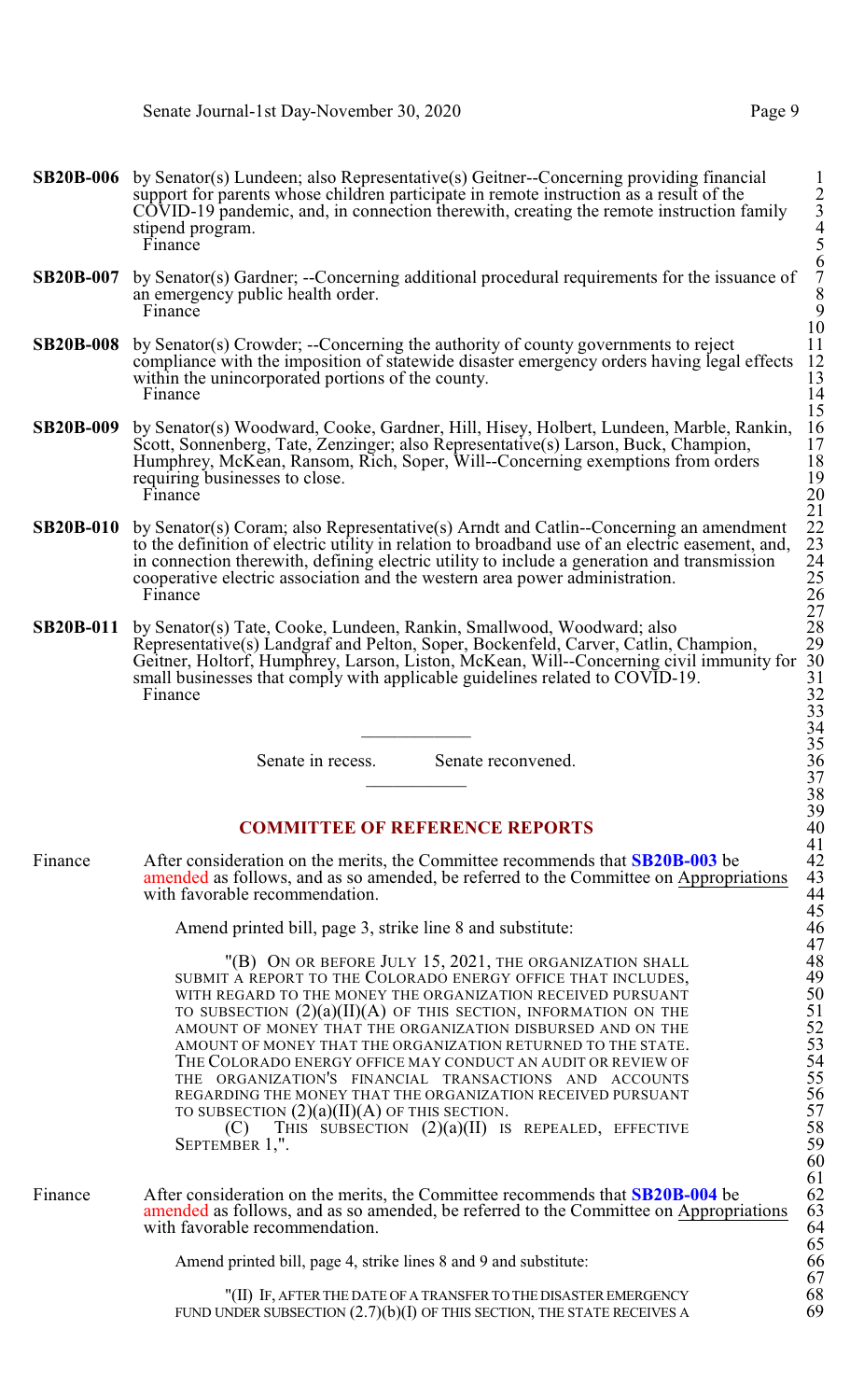- **SB20B-006** by Senator(s) Lundeen; also Representative(s) Geitner--Concerning providing financial support for parents whose children participate in remote instruction as a result of the  $C\overline{O}$ VID-19 pandemic, and, in connection therewith, creating the remote instruction family stipend program.<br>Finance Finance 5
- **SB20B-007** by Senator(s) Gardner; --Concerning additional procedural requirements for the issuance of an emergency public health order.<br>Finance Finance 9
- **SB20B-008** by Senator(s) Crowder; --Concerning the authority of county governments to reject compliance with the imposition of statewide disaster emergency orders having legal effects 12 compliance with the imposition of statewide disaster emergency orders having legal effects 12<br>within the unincorporated portions of the county. within the unincorporated portions of the county.<br>
Finance 14 Finance 14
- **SB20B-009** by Senator(s) Woodward, Cooke, Gardner, Hill, Hisey, Holbert, Lundeen, Marble, Rankin, 16 Scott, Sonnenberg, Tate, Zenzinger; also Representative(s) Larson, Buck, Champion, 17<br>Humphrey, McKean, Ransom, Rich, Soper, Will-Concerning exemptions from orders 18 Humphrey, McKean, Ransom, Rich, Soper, Will--Concerning exemptions from orders 18<br>requiring businesses to close. 19 requiring businesses to close. 19<br>Finance 20 Finance 20
- **SB20B-010** by Senator(s) Coram; also Representative(s) Arndt and Catlin--Concerning an amendment to the definition of electric utility in relation to broadband use of an electric easement, and, in connection therewith, defining electric utility to include a generation and transmission 24 cooperative electric association and the western area power administration.<br>Finance Finance 26
- **SB20B-011** by Senator(s) Tate, Cooke, Lundeen, Rankin, Smallwood, Woodward; also Representative(s) Landgraf and Pelton, Soper, Bockenfeld, Carver, Catlin, Champion, 29 Geitner, Holtorf, Humphrey, Larson, Liston, McKean, Will--Concerning civil immunity for 30 small businesses that comply with applicable guidelines related to COVID-19.<br>Finance Finance 32

Senate in recess. Senate reconvened.

# **COMMITTEE OF REFERENCE REPORTS**

Finance After consideration on the merits, the Committee recommends that **SB20B-003** be 42 amended as follows, and as so amended, be referred to the Committee on Appropriations with favorable recommendation.

Amend printed bill, page 3, strike line 8 and substitute:

"(B) ON OR BEFORE JULY 15, 2021, THE ORGANIZATION SHALL 48<br>A REPORT TO THE COLORADO ENERGY OFFICE THAT INCLUDES, 49 SUBMIT A REPORT TO THE COLORADO ENERGY OFFICE THAT INCLUDES, 49<br>
WITH REGARD TO THE MONEY THE ORGANIZATION RECEIVED PURSUANT 50<br>
TO SUBSECTION (2)(a)(II)(A) OF THIS SECTION, INFORMATION ON THE 51<br>
AMOUNT OF MONEY THAT THE WITH REGARD TO THE MONEY THE ORGANIZATION RECEIVED PURSUANT TO SUBSECTION  $(2)(a)(II)(A)$  OF THIS SECTION, INFORMATION ON THE AMOUNT OF MONEY THAT THE ORGANIZATION DISBURSED AND ON THE AMOUNT OF MONEY THAT THE ORGANIZATION RETURNED TO THE STATE. THE COLORADO ENERGY OFFICE MAY CONDUCT AN AUDIT OR REVIEW OF THE ORGANIZATION'S FINANCIAL TRANSACTIONS AND ACCOUNTS REGARDING THE MONEY THAT THE ORGANIZATION RECEIVED PURSUANT TO SUBSECTION  $(2)(a)(II)(A)$  OF THIS SECTION.<br>  $(C)$  THIS SUBSECTION  $(2)(a)(II)$  IS

THIS SUBSECTION  $(2)(a)(II)$  IS REPEALED, EFFECTIVE 58 SEPTEMBER  $1$ ,".

Finance After consideration on the merits, the Committee recommends that **SB20B-004** be 62 amended as follows, and as so amended, be referred to the Committee on Appropriations with favorable recommendation.

Amend printed bill, page 4, strike lines 8 and 9 and substitute:

"(II) IF, AFTERTHE DATE OF A TRANSFERTO THE DISASTEREMERGENCY 68 FUND UNDER SUBSECTION  $(2.7)(b)(I)$  OF THIS SECTION, THE STATE RECEIVES A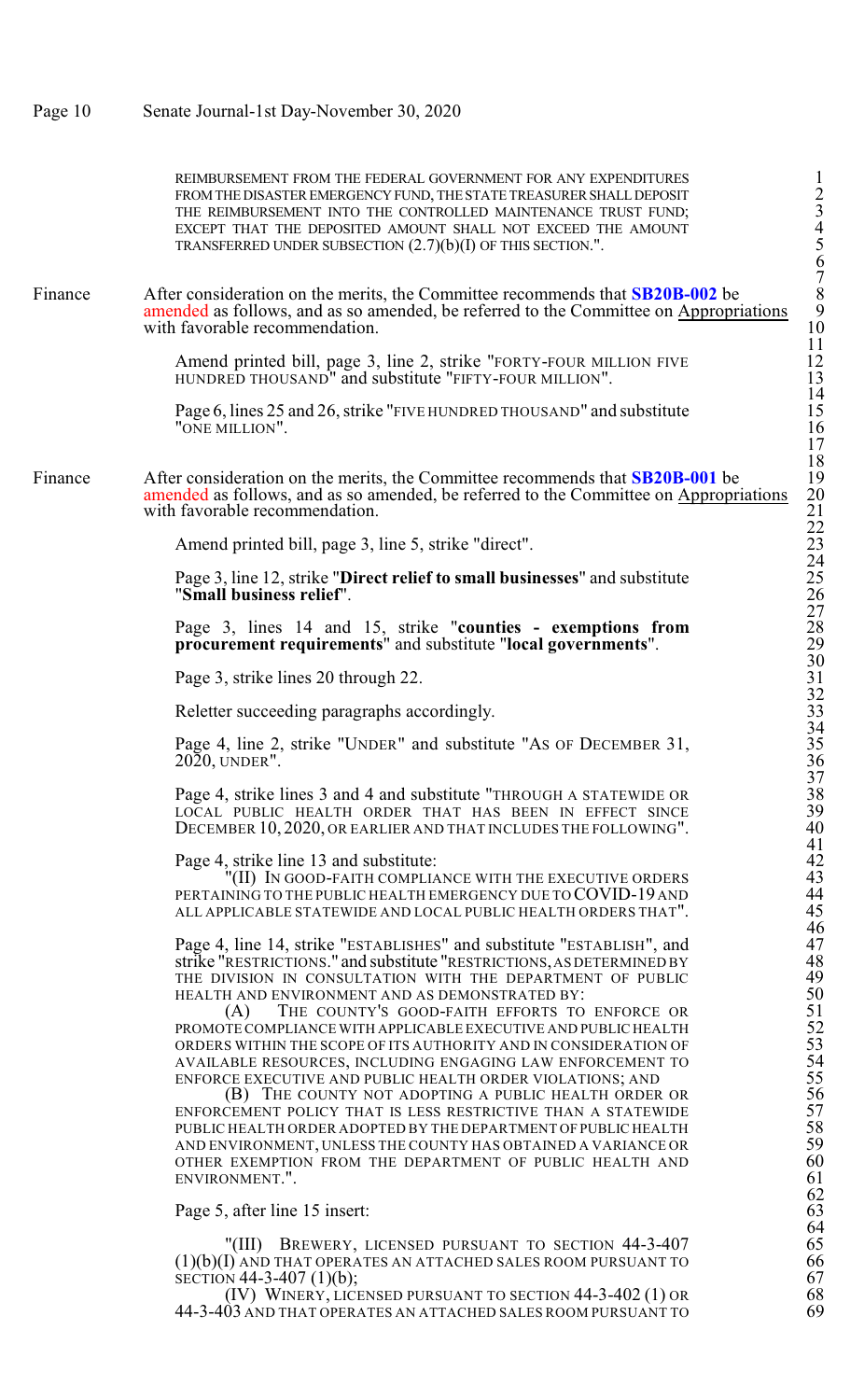FROM THE DISASTER EMERGENCY FUND, THE STATE TREASURER SHALL DEPOSIT THE REIMBURSEMENT INTO THE CONTROLLED MAINTENANCE TRUST FUND; EXCEPT THAT THE DEPOSITED AMOUNT SHALL NOT EXCEED THE AMOUNT TRANSFERRED UNDER SUBSECTION  $(2.7)(b)(I)$  OF THIS SECTION.". Finance After consideration on the merits, the Committee recommends that **SB20B-002** be 8 amended as follows, and as so amended, be referred to the Committee on Appropriations with favorable recommendation. Amend printed bill, page 3, line 2, strike "FORTY-FOUR MILLION FIVE HUNDRED THOUSAND" and substitute "FIFTY-FOUR MILLION". Page 6, lines 25 and 26, strike "FIVE HUNDRED THOUSAND" and substitute "ONE MILLION" Finance After consideration on the merits, the Committee recommends that **SB20B-001** be 19 amended as follows, and as so amended, be referred to the Committee on Appropriations with favorable recommendation. Amend printed bill, page 3, line 5, strike "direct". Page 3, line 12, strike "**Direct relief to small businesses**" and substitute "**Small business relief**". 26 Page 3, lines 14 and 15, strike "**counties - exemptions from** 28 **procurement requirements**" and substitute "**local governments**". 29 Page 3, strike lines 20 through 22. Reletter succeeding paragraphs accordingly. Page 4, line 2, strike "UNDER" and substitute "As OF DECEMBER 31,  $2020$ , UNDER". Page 4, strike lines 3 and 4 and substitute "THROUGH A STATEWIDE OR 38<br>LOCAL PUBLIC HEALTH ORDER THAT HAS BEEN IN EFFECT SINCE 39 LOCAL PUBLIC HEALTH ORDER THAT HAS BEEN IN EFFECT SINCE 39 DECEMBER 10, 2020, OR EARLIER AND THAT INCLUDES THE FOLLOWING". 40 Page 4, strike line 13 and substitute: 42 "(II) IN GOOD-FAITH COMPLIANCE WITH THE EXECUTIVE ORDERS 43 PERTAINING TO THE PUBLIC HEALTH EMERGENCY DUE TO COVID-19 AND 44 ALL APPLICABLE STATEWIDE AND LOCAL PUBLIC HEALTH ORDERS THAT". 45 Page 4, line 14, strike "ESTABLISHES" and substitute "ESTABLISH", and 47 strike "RESTRICTIONS." and substitute "RESTRICTIONS,AS DETERMINED BY 48 THE DIVISION IN CONSULTATION WITH THE DEPARTMENT OF PUBLIC 49<br>
HEALTH AND ENVIRONMENT AND AS DEMONSTRATED BY: 50<br>
(A) THE COUNTY'S GOOD-FAITH EFFORTS TO ENFORCE OR<br>
51<br>
PROMOTE COMPLIANCE WITH APPLICABLE EXECUTIVE AND INCO HEALTH AND ENVIRONMENT AND AS DEMONSTRATED BY:<br>(A) THE COUNTY'S GOOD-FAITH EFFORTS TO THE COUNTY'S GOOD-FAITH EFFORTS TO ENFORCE OR PROMOTE COMPLIANCE WITH APPLICABLE EXECUTIVE AND PUBLIC HEALTH ORDERS WITHIN THE SCOPE OF ITS AUTHORITY AND IN CONSIDERATION OF AVAILABLE RESOURCES, INCLUDING ENGAGING LAW ENFORCEMENT TO 54 ENFORCE EXECUTIVE AND PUBLIC HEALTH ORDER VIOLATIONS; AND 55 (B) THE COUNTY NOT ADOPTING A PUBLIC HEALTH ORDER OR ENFORCEMENT POLICY THAT IS LESS RESTRICTIVE THAN A STATEWIDE PUBLIC HEALTH ORDER ADOPTED BY THE DEPARTMENT OF PUBLIC HEALTH AND ENVIRONMENT, UNLESS THE COUNTY HAS OBTAINED A VARIANCE OR 59 OTHER EXEMPTION FROM THE DEPARTMENT OF PUBLIC HEALTH AND 60 ENVIRONMENT.". 61 ENVIRONMENT.". Page 5, after line 15 insert:

REIMBURSEMENT FROM THE FEDERAL GOVERNMENT FOR ANY EXPENDITURES

"(III) BREWERY, LICENSED PURSUANT TO SECTION 44-3-407 65  $(1)(b)(I)$  and that operates an attached sales room pursuant to  $66$ <br>section 44-3-407  $(1)(b)$ ;  $67$  $\frac{\text{SECTION 44-3-407 (1)(b)}}{\text{IV}}$  WINERY, LICENSED PURSUANT TO SECTION 44-3-402 (1) OR 68

(IV) WINERY, LICENSED PURSUANT TO SECTION 44-3-402 (1) OR 68<br>03 AND THAT OPERATES AN ATTACHED SALES ROOM PURSUANT TO 69 44-3-403 AND THAT OPERATES AN ATTACHED SALES ROOM PURSUANT TO 69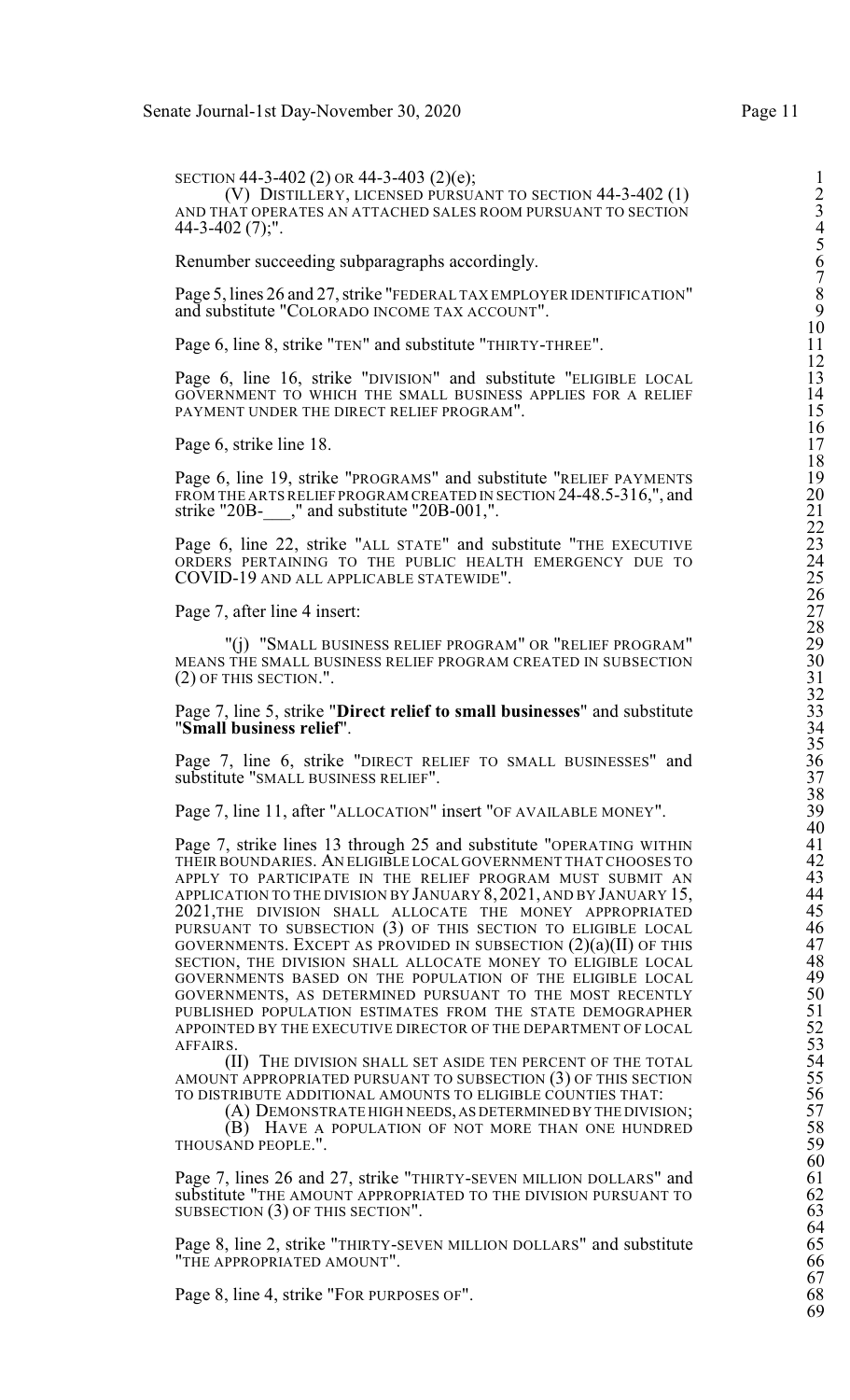SECTION 44-3-402 (2) OR 44-3-403 (2)(e); (V) DISTILLERY, LICENSED PURSUANT TO SECTION 44-3-402 (1) 2 AND THAT OPERATES AN ATTACHED SALES ROOM PURSUANT TO SECTION 3 44-3-402 (7);". 4

Renumber succeeding subparagraphs accordingly.

Page 5, lines 26 and 27, strike "FEDERAL TAX EMPLOYER IDENTIFICATION" and substitute "COLORADO INCOME TAX ACCOUNT".

Page 6, line 8, strike "TEN" and substitute "THIRTY-THREE".

Page 6, line 16, strike "DIVISION" and substitute "ELIGIBLE LOCAL GOVERNMENT TO WHICH THE SMALL BUSINESS APPLIES FOR A RELIEF PAYMENT UNDER THE DIRECT RELIEF PROGRAM".

Page 6, strike line 18.

Page 6, line 19, strike "PROGRAMS" and substitute "RELIEF PAYMENTS FROM THE ARTS RELIEF PROGRAM CREATED IN SECTION 24-48.5-316,", and strike "20B- $\frac{1}{2}$ ," and substitute "20B-001,".

Page 6, line 22, strike "ALL STATE" and substitute "THE EXECUTIVE ORDERS PERTAINING TO THE PUBLIC HEALTH EMERGENCY DUE TO COVID-19 AND ALL APPLICABLE STATEWIDE".

Page 7, after line 4 insert:

"(i) "SMALL BUSINESS RELIEF PROGRAM" OR "RELIEF PROGRAM" MEANS THE SMALL BUSINESS RELIEF PROGRAM CREATED IN SUBSECTION  $(2)$  OF THIS SECTION.".

Page 7, line 5, strike "Direct relief to small businesses" and substitute "Small business relief".

Page 7, line 6, strike "DIRECT RELIEF TO SMALL BUSINESSES" and substitute "SMALL BUSINESS RELIEF".

Page 7, line 11, after "ALLOCATION" insert "OF AVAILABLE MONEY".

Page 7, strike lines 13 through 25 and substitute "OPERATING WITHIN 41<br>THEIR BOUNDARIES. AN ELIGIBLE LOCAL GOVERNMENT THAT CHOOSES TO 42 THEIR BOUNDARIES. AN ELIGIBLE LOCAL GOVERNMENT THAT CHOOSES TO 42<br>APPLY TO PARTICIPATE IN THE RELIEF PROGRAM MUST SUBMIT AN 43<br>APPLICATION TO THE DIVISION BY JANUARY 8, 2021, AND BY JANUARY 15, 44<br>2021, THE DIVISION SHALL APPLY TO PARTICIPATE IN THE RELIEF PROGRAM MUST SUBMIT AN APPLICATION TO THE DIVISION BY JANUARY 8, 2021, AND BY JANUARY 15, 2021,THE DIVISION SHALL ALLOCATE THE MONEY APPROPRIATED 45 PURSUANT TO SUBSECTION (3) OF THIS SECTION TO ELIGIBLE LOCAL  $46$ GOVERNMENTS. EXCEPT AS PROVIDED IN SUBSECTION  $(2)(a)(II)$  of this  $47$ <br>SECTION, THE DIVISION SHALL ALLOCATE MONEY TO ELIGIBLE LOCAL  $48$ SECTION, THE DIVISION SHALL ALLOCATE MONEY TO ELIGIBLE LOCAL 48<br>
GOVERNMENTS BASED ON THE POPULATION OF THE ELIGIBLE LOCAL 49<br>
GOVERNMENTS, AS DETERMINED PURSUANT TO THE MOST RECENTLY 50<br>
PUBLISHED POPULATION ESTIMATES FRO GOVERNMENTS BASED ON THE POPULATION OF THE ELIGIBLE LOCAL GOVERNMENTS, AS DETERMINED PURSUANT TO THE MOST RECENTLY PUBLISHED POPULATION ESTIMATES FROM THE STATE DEMOGRAPHER APPOINTED BY THE EXECUTIVE DIRECTOR OF THE DEPARTMENT OF LOCAL AFFAIRS. AFFAIRS. 53

(II) THE DIVISION SHALL SET ASIDE TEN PERCENT OF THE TOTAL AMOUNT APPROPRIATED PURSUANT TO SUBSECTION (3) OF THIS SECTION TO DISTRIBUTE ADDITIONAL AMOUNTS TO ELIGIBLE COUNTIES THAT:

(A) DEMONSTRATE HIGH NEEDS, AS DETERMINED BY THE DIVISION; (B) HAVE A POPULATION OF NOT MORE THAN ONE HUNDRED 58<br>AND PEOPLE.". 59 THOUSAND PEOPLE.".

Page 7, lines 26 and 27, strike "THIRTY-SEVEN MILLION DOLLARS" and 61<br>substitute "THE AMOUNT APPROPRIATED TO THE DIVISION PURSUANT TO 62<br>SUBSECTION (3) OF THIS SECTION". 63 substitute "THE AMOUNT APPROPRIATED TO THE DIVISION PURSUANT TO SUBSECTION  $(3)$  OF THIS SECTION".

Page 8, line 2, strike "THIRTY-SEVEN MILLION DOLLARS" and substitute 65<br>
"THE APPROPRIATED AMOUNT". 66 "THE APPROPRIATED AMOUNT".

Page 8, line 4, strike "FOR PURPOSES OF".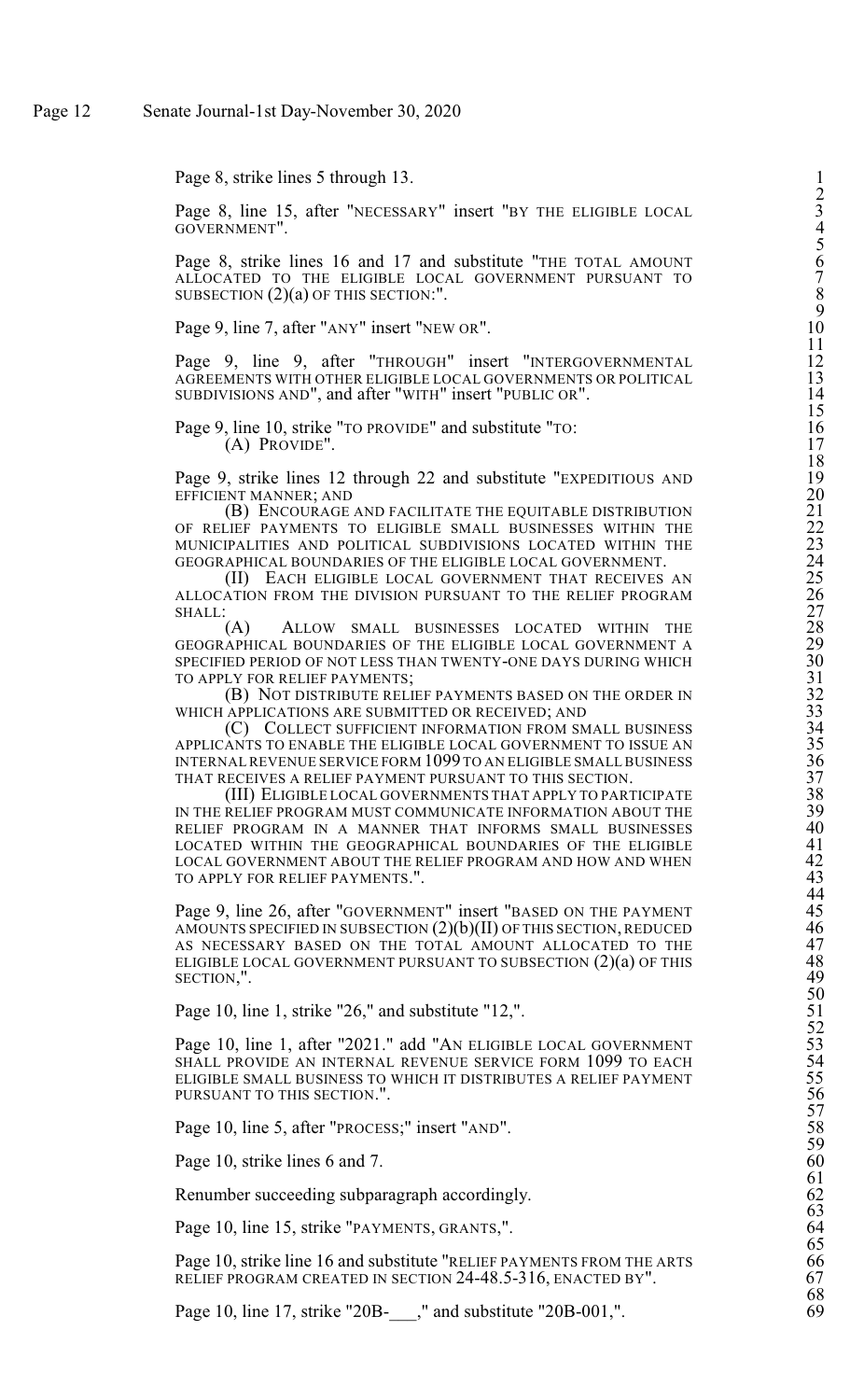Page 8, strike lines 5 through 13.

Page 8, line 15, after "NECESSARY" insert "BY THE ELIGIBLE LOCAL GOVERNMENT".

Page 8, strike lines 16 and 17 and substitute "THE TOTAL AMOUNT ALLOCATED TO THE ELIGIBLE LOCAL GOVERNMENT PURSUANT TO SUBSECTION (2)(a) OF THIS SECTION:".

Page 9, line 7, after "ANY" insert "NEW OR"

Page 9, line 9, after "THROUGH" insert "INTERGOVERNMENTA AGREEMENTS WITH OTHER ELIGIBLE LOCAL GOVERNMENTS OR POLITICA S U B DIVISIO N S A N D", an d after " WIT H" insert " P U B LIC O  $R''$ . 14

Page 9, line 10, strike "TO PROVIDE" and substitute "TO (A) PROVIDE" . 17

Page 9, strike lines 12 through 22 and substitute "EXPEDITIOUS AN EFFICIENT MANNER; AN  $D \t 20$ 

(B) ENCOURAGE AND FACILITATE THE EQUITABLE DISTRIBUTIO OF RELIEF PAYMENTS TO ELIGIBLE SMALL BUSINESSES WITHIN TH MUNICIPALITIES AND POLITICAL SUBDIVISIONS LOCATED WITHIN TH GEOGRAPHICAL BOUNDARIES OF THE ELIGIBLE LOCAL GOVERNMENT . 24

(II) EACH ELIGIBLE LOCAL GOVERNMENT THAT RECEIVES A ALLOCATION FROM THE DIVISION PURSUANT TO THE RELIEF PROGRA S H A L L : 27

(A ) ALLOW SMALL BUSINESSES LOCATED WITHIN TH GEOGRAPHICAL BOUNDARIES OF THE ELIGIBLE LOCAL GOVERNMENT SPECIFIED PERIOD OF NOT LESS THAN TWENTY-ONE DAYS DURING WHIC TO APPLY FOR RELIEF PAYMENTS  $;$  31

(B) NOT DISTRIBUTE RELIEF PAYMENTS BASED ON THE ORDER IN 32 WHICH APPLICATIONS ARE SUBMITTED OR RECEIVED; AN  $D \hspace{1.5cm} 33$ 

(C) COLLECT SUFFICIENT INFORMATION FROM SMALL BUSINES APPLICANTS TO ENABLE THE ELIGIBLE LOCAL GOVERNMENT TO ISSUE A internal revenue service form 1099 to an eligible small busines THAT RECEIVES A RELIEF PAYMENT PURSUANT TO THIS SECTION . 37

(III) ELIGIBLE LOCAL GOVERNMENTS THAT APPLY TO PARTICIPAT IN THE RELIEF PROGRAM MUST COMMUNICATE INFORMATION ABOUT TH RELIEF PROGRAM IN A MANNER THAT INFORMS SMALL BUSINESSE LOCATED WITHIN THE GEOGRAPHICAL BOUNDARIES OF THE ELIGIBL LOCAL GOVERNMENT ABOUT THE RELIEF PROGRAM AND HOW AND WHE TO APPLY FOR RELIEF PAYMENT S.". 43

Page 9, line 26, after "GOVERNMENT" insert "BASED ON THE PAYMEN AMOUNTS SPECIFIED IN SUBSECTION (2)(b)(II) OF THIS SECTION, REDUCE AS NECESSARY BASED ON THE TOTAL AMOUNT ALLOCATED TO TH ELIGIBLE LOCAL GOVERNMENT PURSUANT TO SUBSECTION  $\rm(2)(a)$  OF T  $HIS$  48 S E C TIO N,". 49

Page 1 0, line 1, strike "2 6," an d su bstitute "1  $2,$ ". 51

Page 10, line 1, after "2021." add "AN ELIGIBLE LOCAL GOVERNMEN SHALL PROVIDE AN INTERNAL REVENUE SERVICE FORM 1099 TO EAC ELIGIBLE SMALL BUSINESS TO WHICH IT DISTRIBUTES A RELIEF PAYMEN PURSUANT TO THIS SECTIO N.". 56

Page 10, line 5, after "PROCESS;" insert "AN  $D''$ . 58

Page 1 0, strik e lines 6 an d 7

Renumber succeeding subparagraph accordingly

Page 10, line 15, strike "PAYMENTS, GRANT  $\mathbf{s}$ ,". 64

Page 10, strike line 16 and substitute "RELIEF PAYMENTS FROM THE ART RELIEF PROGRAM CREATED IN SECTION 24-48.5-316, ENACTED BY". 67

Page 10, line 17, strike "20B-\_\_\_," and substitute "20B-001,". 69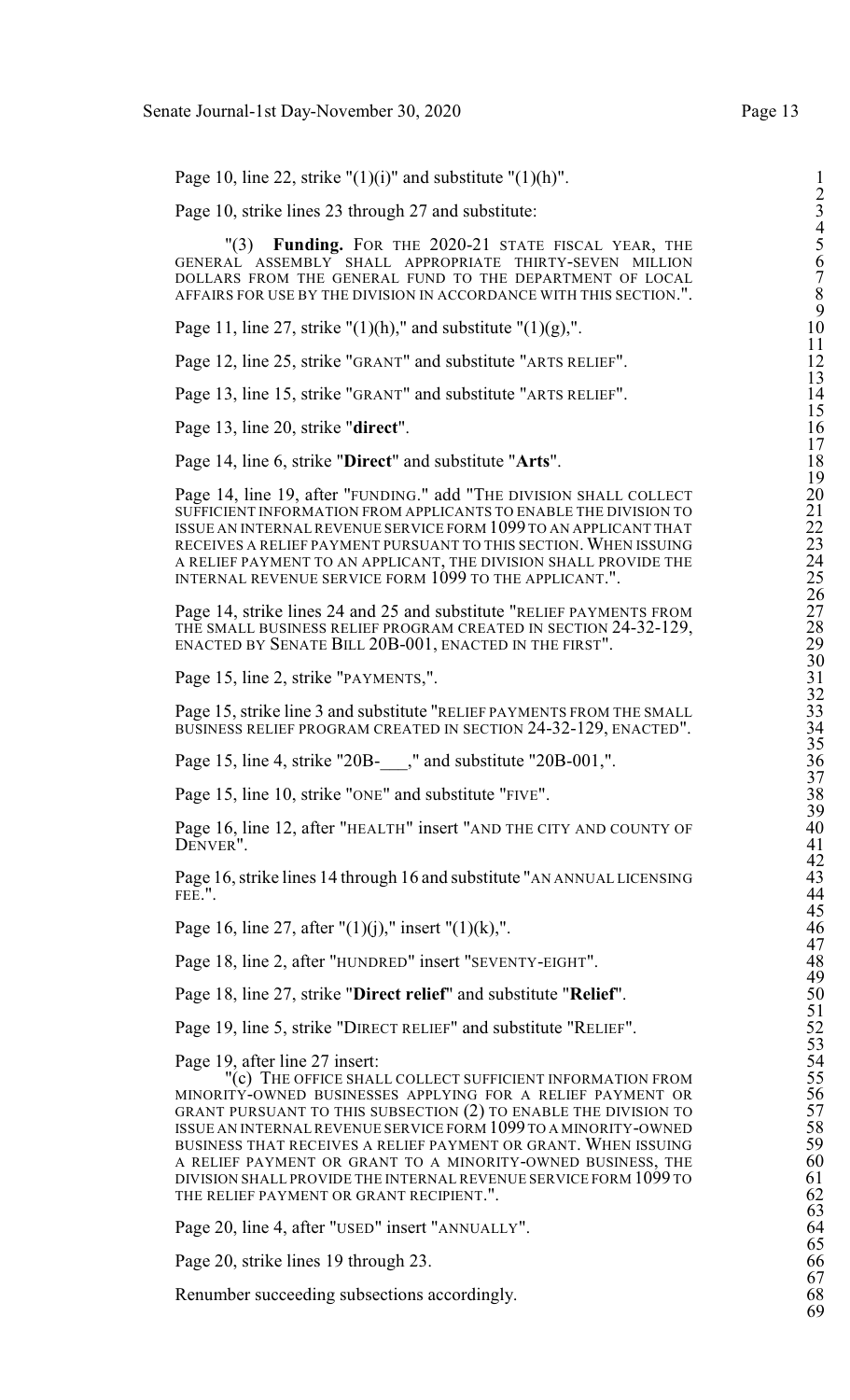Page 10, line 22, strike " $(1)(i)$ " and substitute " $(1)(h)$ ".

Page 10, strike lines 23 through 27 and substitute:

"(3) Funding. FOR THE 2020-21 STATE FISCAL YEAR, THE GENERAL ASSEMBLY SHALL APPROPRIATE THIRTY-SEVEN MILLION 6 DOLLARS FROM THE GENERAL FUND TO THE DEPARTMENT OF LOCAL 7 AFFAIRS FOR USE BY THE DIVISION IN ACCORDANCE WITH THIS SECTION.".

Page 11, line 27, strike " $(1)(h)$ ," and substitute " $(1)(g)$ ,".

Page 12, line 25, strike "GRANT" and substitute "ARTS RELIEF".

Page 13, line 15, strike "GRANT" and substitute "ARTS RELIEF".

Page 13, line 20, strike "direct".

Page 14, line 6, strike "**Direct**" and substitute "Arts".

Page 14, line 19, after "FUNDING." add "THE DIVISION SHALL COLLECT SUFFICIENT INFORMATION FROM APPLICANTS TO ENABLE THE DIVISION TO ISSUE AN INTERNALREVENUE SERVICE FORM 1099 TO AN APPLICANT THAT 22 RECEIVES A RELIEF PAYMENT PURSUANT TO THIS SECTION. WHEN ISSUING A RELIEF PAYMENT TO AN APPLICANT, THE DIVISION SHALL PROVIDE THE 24 INTERNAL REVENUE SERVICE FORM 1099 TO THE APPLICANT.". 25

Page 14, strike lines 24 and 25 and substitute "RELIEF PAYMENTS FROM THE SMALL BUSINESS RELIEF PROGRAM CREATED IN SECTION 24-32-129, ENACTED BY SENATE BILL 20B-001, ENACTED IN THE FIRST".

Page 15, line 2, strike "PAYMENTS,".

Page 15, strike line 3 and substitute "RELIEF PAYMENTS FROM THE SMALL BUSINESS RELIEF PROGRAM CREATED IN SECTION 24-32-129, ENACTED".

Page 15, line 4, strike "20B- $\ddot{\hspace{0.2cm}}$ ," and substitute "20B-001,".

Page 15, line 10, strike "ONE" and substitute "FIVE".

Page 16, line 12, after "HEALTH" insert "AND THE CITY AND COUNTY OF DENVER". DENVER". 41

Page 16, strike lines 14 through 16 and substitute "AN ANNUAL LICENSING FEE.". FEE.". 44

Page 16, line 27, after " $(1)(i)$ ," insert " $(1)(k)$ ,".

Page 18, line 2, after "HUNDRED" insert "SEVENTY-EIGHT".

Page 18, line 27, strike "Direct relief" and substitute "Relief".

Page 19, line 5, strike "DIRECT RELIEF" and substitute "RELIEF".

Page 19, after line 27 insert:

"(c) THE OFFICE SHALL COLLECT SUFFICIENT INFORMATION FROM MINORITY-OWNED BUSINESSES APPLYING FOR A RELIEF PAYMENT OR GRANT PURSUANT TO THIS SUBSECTION  $(2)$  to enable the division to ISSUE AN INTERNAL REVENUE SERVICE FORM 1099 TO A MINORITY-OWNED BUSINESS THAT RECEIVES A RELIEF PAYMENT OR GRANT. WHEN ISSUING A RELIEF PAYMENT OR GRANT TO A MINORITY-OWNED BUSINESS, THE DIVISION SHALL PROVIDE THE INTERNAL REVENUE SERVICE FORM 1099 TO 61 THE RELIEF PAYMENT OR GRANT RECIPIENT.".

Page 20, line 4, after "USED" insert "ANNUALLY".

Page 20, strike lines 19 through 23. 66

Renumber succeeding subsections accordingly.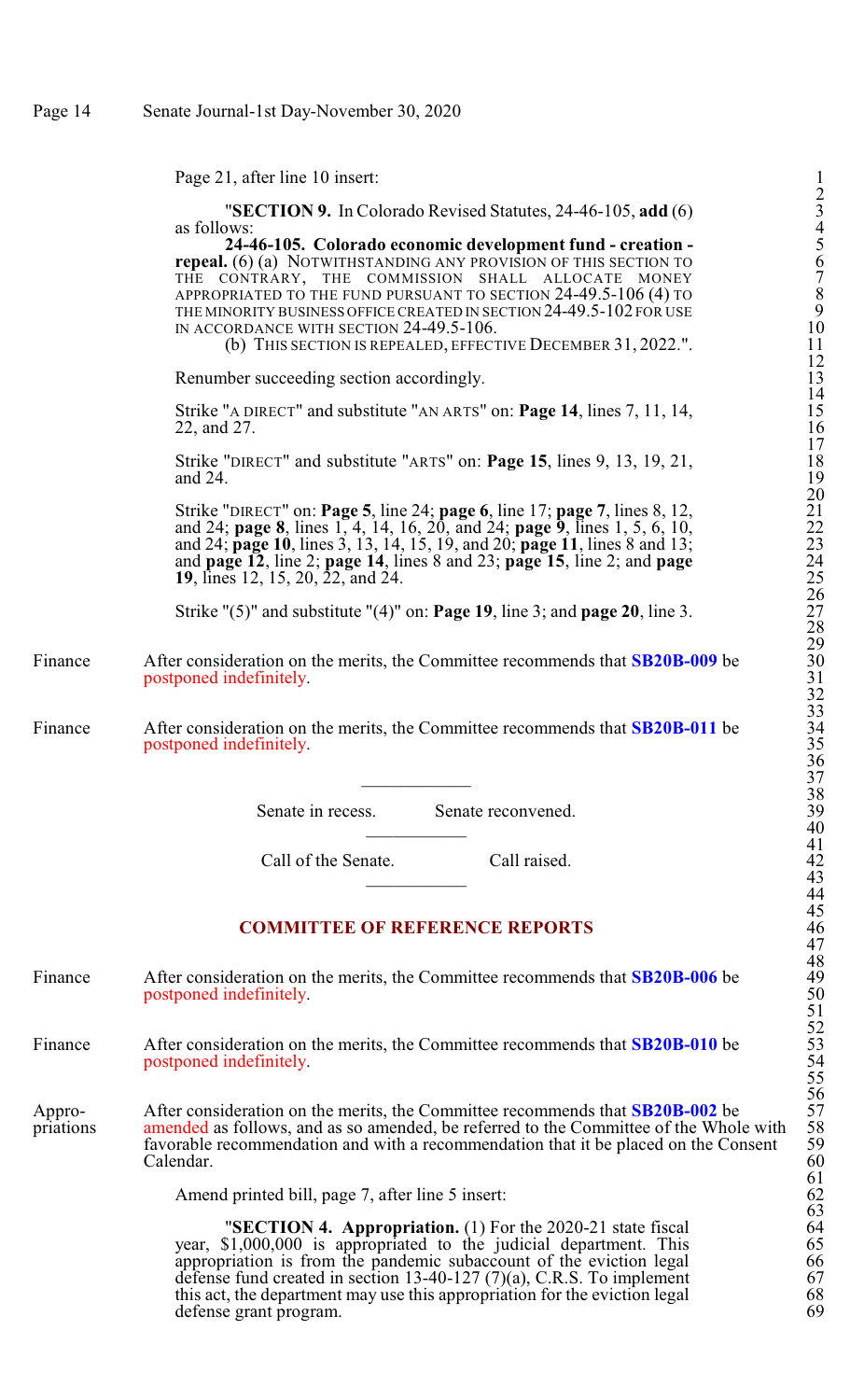Page 21, after line 10 insert:

|           | "SECTION 9. In Colorado Revised Statutes, 24-46-105, add (6)<br>as follows:                         | $\frac{2}{3}$                           |
|-----------|-----------------------------------------------------------------------------------------------------|-----------------------------------------|
|           | 24-46-105. Colorado economic development fund - creation -                                          | $rac{4}{5}$                             |
|           | <b>repeal.</b> (6) (a) NOTWITHSTANDING ANY PROVISION OF THIS SECTION TO                             | 6                                       |
|           | THE CONTRARY, THE COMMISSION SHALL ALLOCATE MONEY                                                   |                                         |
|           | APPROPRIATED TO THE FUND PURSUANT TO SECTION 24-49.5-106 (4) TO                                     | $\begin{array}{c} 7 \\ 8 \end{array}$   |
|           | THE MINORITY BUSINESS OFFICE CREATED IN SECTION 24-49.5-102 FOR USE                                 | 9                                       |
|           | IN ACCORDANCE WITH SECTION 24-49.5-106.                                                             | 10                                      |
|           | (b) THIS SECTION IS REPEALED, EFFECTIVE DECEMBER 31, 2022.".                                        | 11                                      |
|           | Renumber succeeding section accordingly.                                                            | $\frac{12}{13}$                         |
|           |                                                                                                     | 14                                      |
|           | Strike "A DIRECT" and substitute "AN ARTS" on: <b>Page 14</b> , lines 7, 11, 14,<br>22, and 27.     | 15<br>16                                |
|           | Strike "DIRECT" and substitute "ARTS" on: <b>Page 15</b> , lines 9, 13, 19, 21,                     | $\begin{array}{c} 17 \\ 18 \end{array}$ |
|           | and 24.                                                                                             | 19<br>20                                |
|           | Strike "DIRECT" on: <b>Page 5</b> , line 24; <b>page 6</b> , line 17; <b>page 7</b> , lines 8, 12,  | 21                                      |
|           | and 24; page 8, lines 1, 4, 14, 16, 20, and 24; page 9, lines 1, 5, 6, 10,                          |                                         |
|           | and 24; page 10, lines 3, 13, 14, 15, 19, and 20; page 11, lines 8 and 13;                          | $\frac{22}{23}$                         |
|           | and page $12$ , line 2; page 14, lines 8 and 23; page 15, line 2; and page                          | 24                                      |
|           | <b>19</b> , lines 12, 15, 20, 22, and 24.                                                           | 25                                      |
|           |                                                                                                     | 26                                      |
|           | Strike " $(5)$ " and substitute " $(4)$ " on: <b>Page 19</b> , line 3; and <b>page 20</b> , line 3. | 27                                      |
|           |                                                                                                     | 28                                      |
| Finance   | After consideration on the merits, the Committee recommends that SB20B-009 be                       | 29<br>30                                |
|           | postponed indefinitely.                                                                             |                                         |
|           |                                                                                                     |                                         |
|           |                                                                                                     | $\frac{31}{32}$                         |
| Finance   | After consideration on the merits, the Committee recommends that <b>SB20B-011</b> be                | 34                                      |
|           | postponed indefinitely.                                                                             | 35                                      |
|           |                                                                                                     | 36<br>37                                |
|           |                                                                                                     | 38                                      |
|           | Senate in recess.<br>Senate reconvened.                                                             | 39                                      |
|           |                                                                                                     | 40                                      |
|           |                                                                                                     | 41                                      |
|           | Call of the Senate.<br>Call raised.                                                                 | 42                                      |
|           |                                                                                                     | 43                                      |
|           |                                                                                                     | 44                                      |
|           |                                                                                                     | 45                                      |
|           | <b>COMMITTEE OF REFERENCE REPORTS</b>                                                               | 46<br>47                                |
|           |                                                                                                     | 48                                      |
| Finance   | After consideration on the merits, the Committee recommends that <b>SB20B-006</b> be                | 49                                      |
|           | postponed indefinitely.                                                                             | 50                                      |
|           |                                                                                                     | 51                                      |
|           |                                                                                                     |                                         |
| Finance   | After consideration on the merits, the Committee recommends that <b>SB20B-010</b> be                | $\frac{52}{53}$                         |
|           | postponed indefinitely.                                                                             | 54                                      |
|           |                                                                                                     | 55                                      |
|           |                                                                                                     | 56                                      |
| Appro-    | After consideration on the merits, the Committee recommends that <b>SB20B-002</b> be                | 57                                      |
| priations | amended as follows, and as so amended, be referred to the Committee of the Whole with               | 58                                      |
|           | favorable recommendation and with a recommendation that it be placed on the Consent                 | 59                                      |
|           | Calendar.                                                                                           | 60<br>61                                |
|           |                                                                                                     |                                         |

Amend printed bill, page 7, after line 5 insert:

"**SECTION 4. Appropriation.** (1) For the 2020-21 state fiscal 64 year, \$1,000,000 is appropriated to the judicial department. This 65 appropriation is from the pandemic subaccount of the eviction legal 66 defense fund created in section 13-40-127  $(7)(a)$ , C.R.S. To implement 67 this act, the department may use this appropriation for the eviction legal 68 defense grant program. 69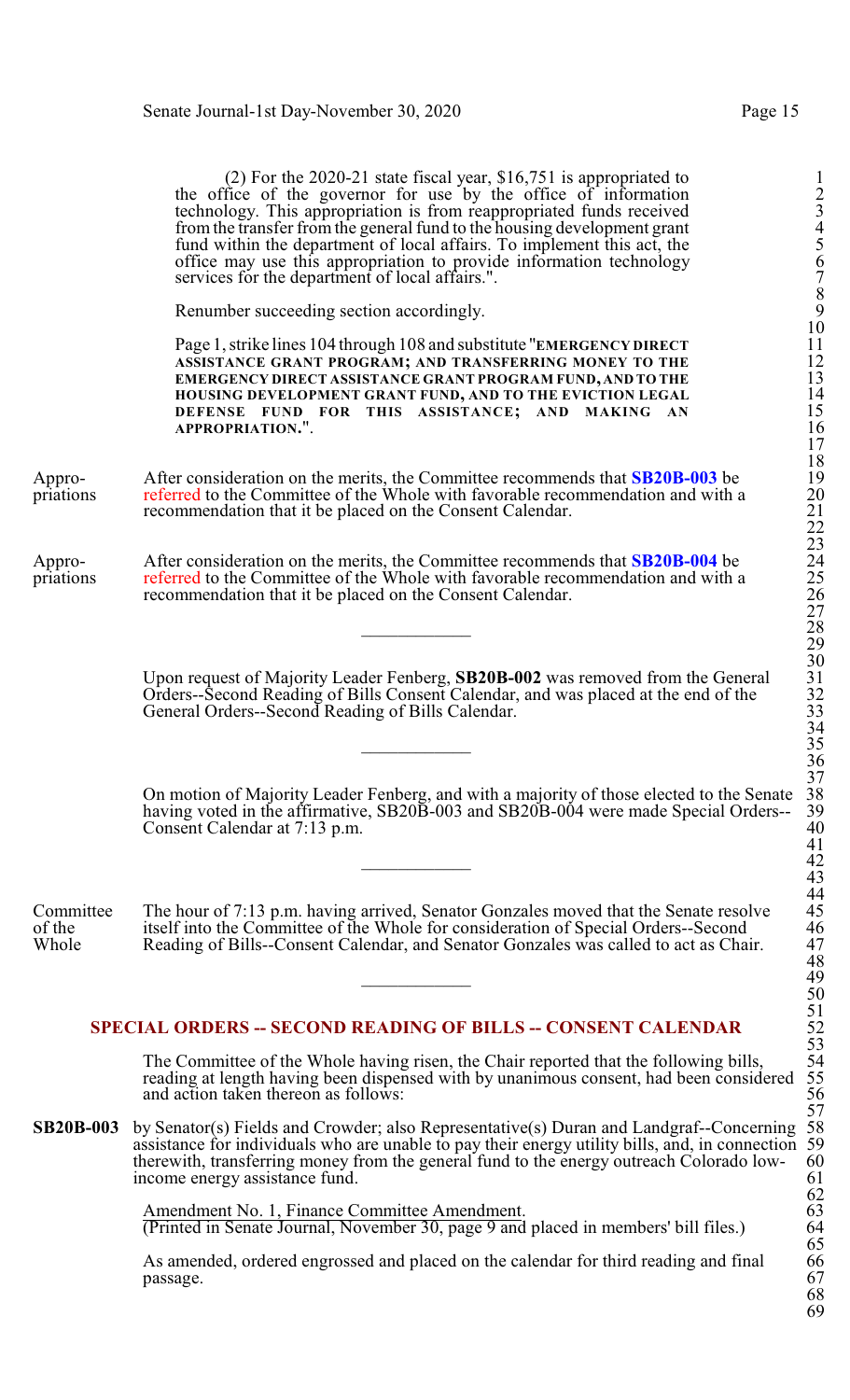|                              | $(2)$ For the 2020-21 state fiscal year, \$16,751 is appropriated to<br>the office of the governor for use by the office of information<br>technology. This appropriation is from reappropriated funds received<br>from the transfer from the general fund to the housing development grant<br>fund within the department of local affairs. To implement this act, the<br>office may use this appropriation to provide information technology<br>services for the department of local affairs.". | $\mathbf{1}$<br>$\frac{2}{3}$<br>$\overline{\mathcal{A}}$<br>5<br>6<br>$\begin{array}{c} 7 \\ 8 \\ 9 \\ 10 \end{array}$ |
|------------------------------|--------------------------------------------------------------------------------------------------------------------------------------------------------------------------------------------------------------------------------------------------------------------------------------------------------------------------------------------------------------------------------------------------------------------------------------------------------------------------------------------------|-------------------------------------------------------------------------------------------------------------------------|
|                              | Renumber succeeding section accordingly.                                                                                                                                                                                                                                                                                                                                                                                                                                                         |                                                                                                                         |
|                              | Page 1, strike lines 104 through 108 and substitute "EMERGENCY DIRECT"<br>ASSISTANCE GRANT PROGRAM; AND TRANSFERRING MONEY TO THE<br>EMERGENCY DIRECT ASSISTANCE GRANT PROGRAM FUND, AND TO THE<br>HOUSING DEVELOPMENT GRANT FUND, AND TO THE EVICTION LEGAL<br>DEFENSE FUND FOR THIS ASSISTANCE; AND MAKING AN<br>APPROPRIATION.".                                                                                                                                                              | $\begin{array}{c} 11 \\ 12 \\ 13 \\ 14 \\ 15 \end{array}$<br>$\frac{16}{17}$<br>$\frac{18}{19}$                         |
| Appro-<br>priations          | After consideration on the merits, the Committee recommends that <b>SB20B-003</b> be<br>referred to the Committee of the Whole with favorable recommendation and with a<br>recommendation that it be placed on the Consent Calendar.                                                                                                                                                                                                                                                             | 20<br>21<br>22<br>23<br>24<br>25                                                                                        |
| Appro-<br>priations          | After consideration on the merits, the Committee recommends that <b>SB20B-004</b> be<br>referred to the Committee of the Whole with favorable recommendation and with a<br>recommendation that it be placed on the Consent Calendar.                                                                                                                                                                                                                                                             | $\frac{26}{27}$<br>28<br>29                                                                                             |
|                              | Upon request of Majority Leader Fenberg, SB20B-002 was removed from the General<br>Orders-Second Reading of Bills Consent Calendar, and was placed at the end of the<br>General Orders-Second Reading of Bills Calendar.                                                                                                                                                                                                                                                                         | 30<br>31<br>32<br>33<br>33<br>34<br>35<br>36                                                                            |
|                              | On motion of Majority Leader Fenberg, and with a majority of those elected to the Senate<br>having voted in the affirmative, SB20B-003 and SB20B-004 were made Special Orders--<br>Consent Calendar at 7:13 p.m.                                                                                                                                                                                                                                                                                 | 37<br>38<br>39<br>40<br>$\frac{41}{42}$                                                                                 |
| Committee<br>of the<br>Whole | The hour of 7:13 p.m. having arrived, Senator Gonzales moved that the Senate resolve<br>itself into the Committee of the Whole for consideration of Special Orders--Second<br>Reading of Bills--Consent Calendar, and Senator Gonzales was called to act as Chair.                                                                                                                                                                                                                               | 44<br>45<br>46<br>47<br>$\overline{48}$<br>49<br>50<br>51<br>52<br>53                                                   |
|                              | <b>SPECIAL ORDERS -- SECOND READING OF BILLS -- CONSENT CALENDAR</b>                                                                                                                                                                                                                                                                                                                                                                                                                             |                                                                                                                         |
|                              | The Committee of the Whole having risen, the Chair reported that the following bills,<br>reading at length having been dispensed with by unanimous consent, had been considered<br>and action taken thereon as follows:                                                                                                                                                                                                                                                                          | 54<br>55<br>56<br>57                                                                                                    |
| <b>SB20B-003</b>             | by Senator(s) Fields and Crowder; also Representative(s) Duran and Landgraf--Concerning<br>assistance for individuals who are unable to pay their energy utility bills, and, in connection 59<br>therewith, transferring money from the general fund to the energy outreach Colorado low-<br>income energy assistance fund.                                                                                                                                                                      | 58<br>60<br>61                                                                                                          |
|                              | Amendment No. 1, Finance Committee Amendment.<br>(Printed in Senate Journal, November 30, page 9 and placed in members' bill files.)                                                                                                                                                                                                                                                                                                                                                             | $62$<br>$63$<br>64<br>65                                                                                                |
|                              | As amended, ordered engrossed and placed on the calendar for third reading and final<br>passage.                                                                                                                                                                                                                                                                                                                                                                                                 | 66<br>67                                                                                                                |

68 69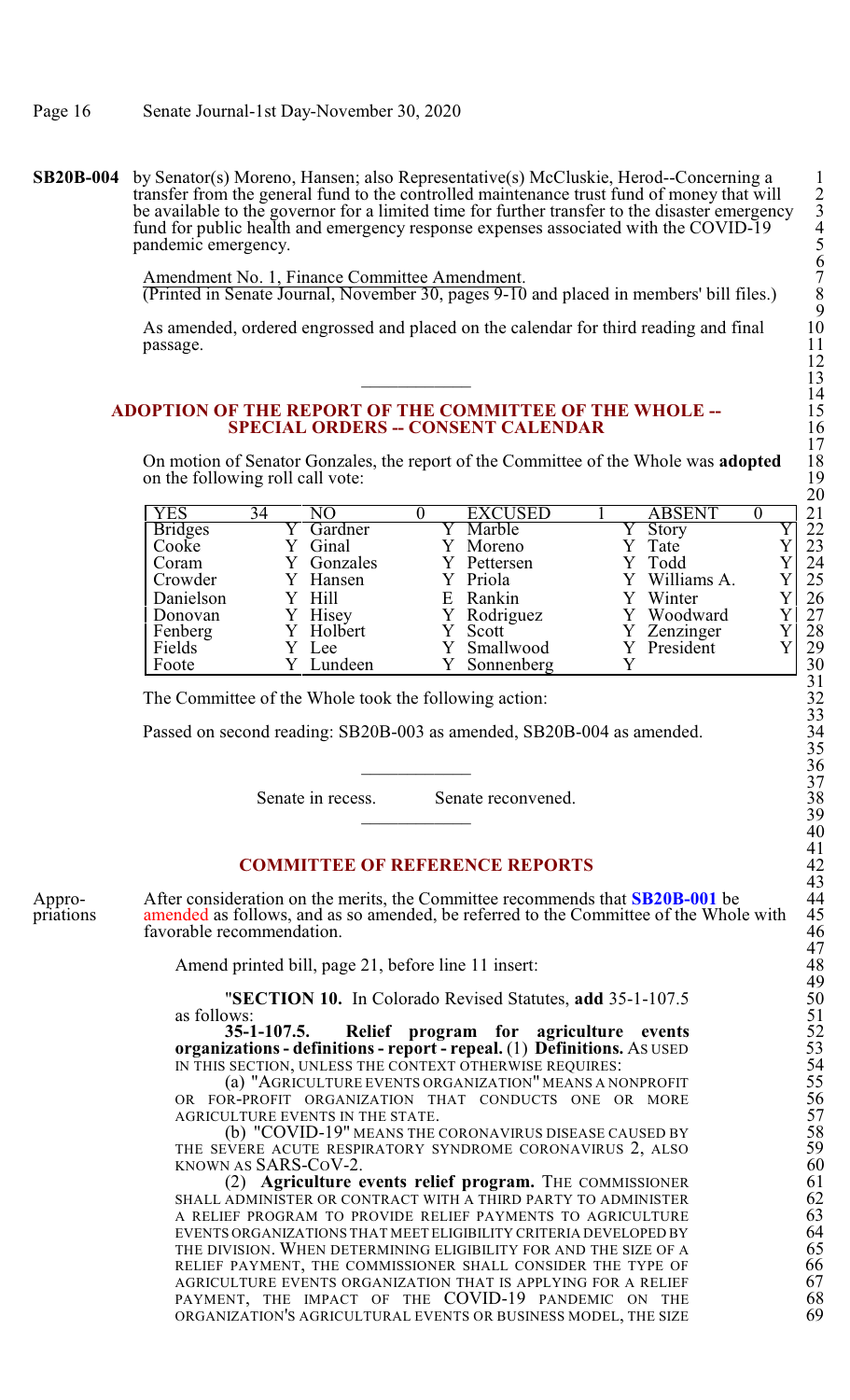**SB20B-004** by Senator(s) Moreno, Hansen; also Representative(s) McCluskie, Herod--Concerning a 1 transfer from the general fund to the controlled maintenance trust fund of money that will 2 be available to the governor for a limited time for further transfer to the disaster emergency fund for public health and emergency response expenses associated with the COVID-19 4 pandemic emergency. 5

> Amendment No. 1, Finance Committee Amendment. (Printed in Senate Journal, November 30, pages 9-10 and placed in members' bill files.) 8

As amended, ordered engrossed and placed on the calendar for third reading and final passage. passage. 11

## **ADOPTION OF THE REPORT OF THE COMMITTEE OF THE WHOLE --** 15 **SPECIAL ORDERS -- CONSENT CALENDAR**

On motion of Senator Gonzales, the report of the Committee of the Whole was **adopted** 18 on the following roll call vote:

| YES            | 34 |          |   | EXCUSED    | ABSENT      | 21 |
|----------------|----|----------|---|------------|-------------|----|
| <b>Bridges</b> |    | Gardner  |   | Marble     | Story       | 22 |
| Cooke          |    | Ginal    |   | Moreno     | Tate        | 23 |
| Coram          |    | Gonzales |   | Pettersen  | Todd        | 24 |
| Crowder        |    | Y Hansen |   | Priola     | Williams A. | 25 |
| Danielson      |    | Hill     | E | Rankin     | Winter      | 26 |
| Donovan        |    | Hisey    |   | Rodriguez  | Woodward    | 27 |
| Fenberg        |    | Holbert  |   | Scott      | Zenzinger   | 28 |
| Fields         |    | Lee      |   | Smallwood  | President   | 29 |
| Foote          |    | Lundeen  |   | Sonnenberg |             | 30 |

The Committee of the Whole took the following action:

Passed on second reading: SB20B-003 as amended, SB20B-004 as amended.

Senate in recess. Senate reconvened.

#### **COMMITTEE OF REFERENCE REPORTS**

Appro-<br>After consideration on the merits, the Committee recommends that **SB20B-001** be 44 priations amended as follows, and as so amended, be referred to the Committee of the Whole with 45 favorable recommendation.

Amend printed bill, page 21, before line 11 insert:

"**SECTION 10.** In Colorado Revised Statutes, add 35-1-107.5 as follows: as follows: 51

**35-1-107.5.** Relief program for agriculture events **organizations- definitions - report - repeal.** (1) **Definitions.** AS USED 53 IN THIS SECTION, UNLESS THE CONTEXT OTHERWISE REQUIRES:

(a) "AGRICULTURE EVENTS ORGANIZATION" MEANS A NONPROFIT OR FOR-PROFIT ORGANIZATION THAT CONDUCTS ONE OR MORE AGRICULTURE EVENTS IN THE STATE.

(b) "COVID-19" MEANS THE CORONAVIRUS DISEASE CAUSED BY THE SEVERE ACUTE RESPIRATORY SYNDROME CORONAVIRUS 2, ALSO 59 KNOWN AS  $SARS-CoV-2$ . 60

(2) **Agriculture events relief program.** THE COMMISSIONER 61 SHALL ADMINISTER OR CONTRACT WITH A THIRD PARTY TO ADMINISTER 62 A RELIEF PROGRAM TO PROVIDE RELIEF PAYMENTS TO AGRICULTURE EVENTS ORGANIZATIONS THAT MEET ELIGIBILITY CRITERIA DEVELOPED BY 64 THE DIVISION. WHEN DETERMINING ELIGIBILITY FOR AND THE SIZE OF A RELIEF PAYMENT, THE COMMISSIONER SHALL CONSIDER THE TYPE OF AGRICULTURE EVENTS ORGANIZATION THAT IS APPLYING FOR A RELIEF 67<br>PAYMENT, THE IMPACT OF THE COVID-19 PANDEMIC ON THE 68 PAYMENT, THE IMPACT OF THE COVID-19 PANDEMIC ON THE 68<br>ORGANIZATION'S AGRICULTURAL EVENTS OR BUSINESS MODEL. THE SIZE 69 ORGANIZATION'S AGRICULTURAL EVENTS OR BUSINESS MODEL, THE SIZE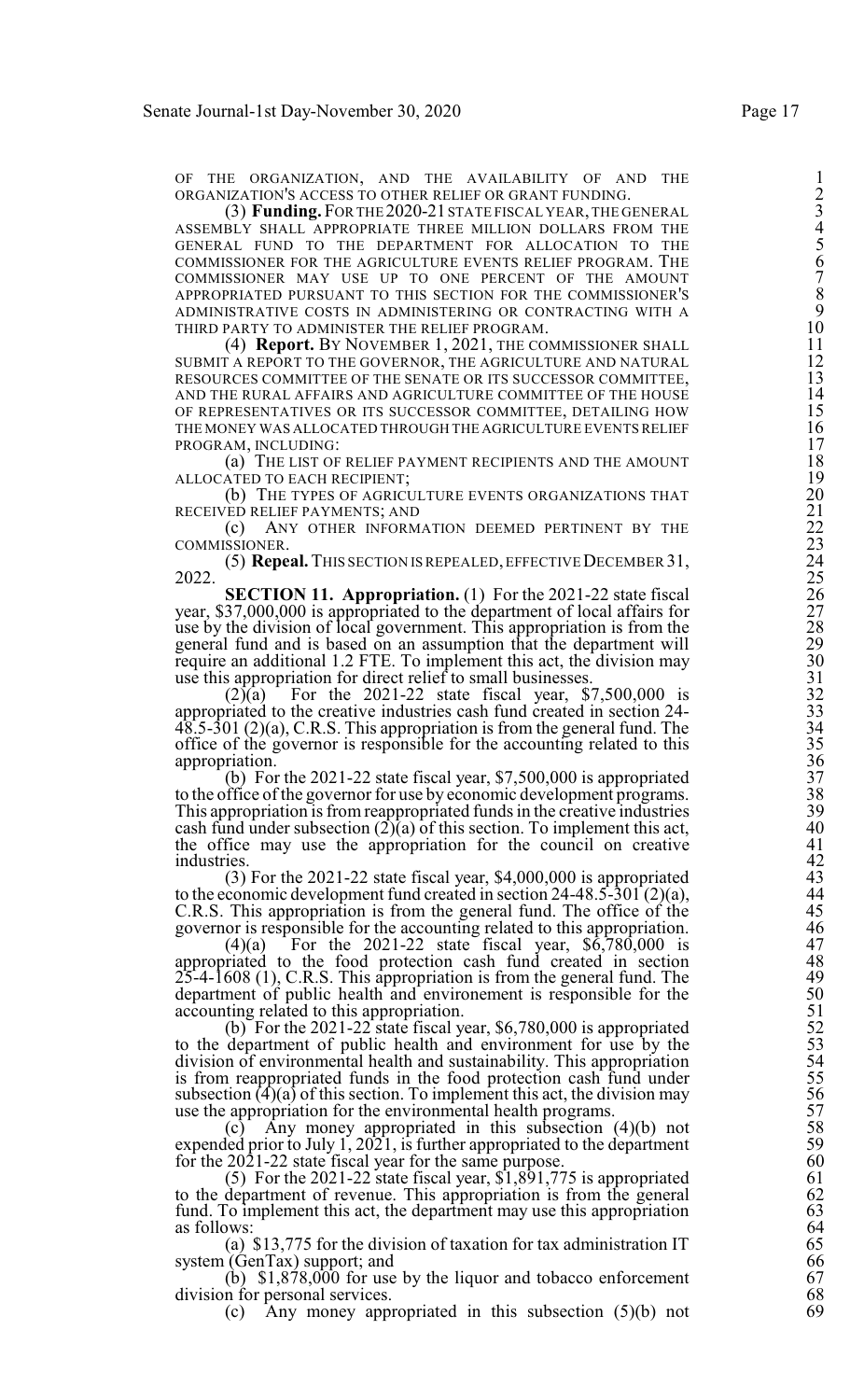ORGANIZATION'S ACCESS TO OTHER RELIEF OR GRANT FUNDING. 2

OF THE ORGANIZATION, AND THE AVAILABILITY OF AND THE 1<br>
ORGANIZATION'S ACCESS TO OTHER RELIEF OR GRANT FUNDING. (2)<br>
(3) **Funding**, FOR THE 2020-21 STATE FISCAL YEAR, THE GENERAL<br>
ASSEMBLY SHALL APPROPRIATE THREE MILLION D (3) **Funding.** FOR THE 2020-21 STATE FISCAL YEAR, THE GENERAL ASSEMBLY SHALL APPROPRIATE THREE MILLION DOLLARS FROM THE GENERAL FUND TO THE DEPARTMENT FOR ALLOCATION TO THE COMMISSIONER FOR THE AGRICULTURE EVENTS RELIEF PROGRAM. THE COMMISSIONER MAY USE UP TO ONE PERCENT OF THE AMOUNT APPROPRIATED PURSUANT TO THIS SECTION FOR THE COMMISSIONER'S ADMINISTRATIVE COSTS IN ADMINISTERING OR CONTRACTING WITH A 9 THIRD PARTY TO ADMINISTER THE RELIEF PROGRAM.

(4) **Report.** BY NOVEMBER 1, 2021, THE COMMISSIONER SHALL SUBMIT A REPORT TO THE GOVERNOR, THE AGRICULTURE AND NATURAL AND THE RURAL AFFAIRS AND AGRICULTURE COMMITTEE OF THE HOUSE 14 OF REPRESENTATIVES OR ITS SUCCESSOR COMMITTEE, DETAILING HOW THE MONEY WAS ALLOCATED THROUGH THE AGRICULTURE EVENTS RELIEF PROGRAM, INCLUDING:

(a) THE LIST OF RELIEF PAYMENT RECIPIENTS AND THE AMOUNT ALLOCATED TO EACH RECIPIENT;

(b) THE TYPES OF AGRICULTURE EVENTS ORGANIZATIONS THAT RECEIVED RELIEF PAYMENTS; AND

(c) ANY OTHER INFORMATION DEEMED PERTINENT BY THE COMMISSIONER.

(5) **Repeal.** This section is repealed, effective December 31, 2022. 2023. 25

RESOURCES COMMITTEE OF THE SENATE OR ITS SUCCESSOR COMMITTEE,<br>
AND THE RURAL AFFAIRS AND AGRICULTURE COMMITTEE, DETAILING HOW<br>
THE NURAL THE SORE OR ITS SUCCESSOR COMMITTEE, DETAILING HOW<br>
THE MOREY WAS ALLOCATED THROUGH T **SECTION 11. Appropriation.** (1) For the 2021-22 state fiscal 26 year, \$37,000,000 is appropriated to the department of local affairs for use by the division of local government. This appropriation is from the general fund and is based on an assumption that the department will 29 require an additional 1.2 FTE. To implement this act, the division may 30

use this appropriation for direct relief to small businesses.<br>(2)(a) For the 2021-22 state fiscal year, \$ For the  $2021-22$  state fiscal year, \$7,500,000 is appropriated to the creative industries cash fund created in section 24- $48.5-301$  (2)(a), C.R.S. This appropriation is from the general fund. The office of the governor is responsible for the accounting related to this 35 appropriation.

(b) For the 2021-22 state fiscal year, \$7,500,000 is appropriated 37<br>ffice of the governor for use by economic development programs. 38<br>propriation is from reappropriated funds in the creative industries 39 to the office of the governor for use by economic development programs. This appropriation is from reappropriated funds in the creative industries 39 cash fund under subsection  $(2)(a)$  of this section. To implement this act,  $40$ the appropriation is non-reappropriated range in the event velocities<br>
cash fund under subsection (2)(a) of this section. To implement this act,<br>
the office may use the appropriation for the council on creative<br>
42<br>
42 industries. 42

(3) For the 2021-22 state fiscal year, \$4,000,000 is appropriated 43 to the economic development fund created in section 24-48.5-301 (2)(a),  $\qquad \qquad \qquad 44$ C.R.S. This appropriation is from the general fund. The office of the 45

For the 2021-22 state fiscal year,  $$6,780,000$  is appropriated to the food protection cash fund created in section 48  $25-4-1608$  (1), C.R.S. This appropriation is from the general fund. The  $49$ department of public health and environement is responsible for the accounting related to this appropriation.

massimus.<br>
(3) For the 2021-22 state fiscal year, \$4,000,000 is appropriated<br>
to the economic development fund created in section 24-48.5-301 (2)(a),<br>
C.R.S. This appropriation is from the general fund. The office of the<br> (b) For the 2021-22 state fiscal year,  $$6,780,000$  is appropriated to the department of public health and environment for use by the 53 division of environmental health and sustainability. This appropriation 54 is from reappropriated funds in the food protection cash fund under subsection  $\hat{A}$  $\hat{A}$  of this section. To implement this act, the division may use the appropriation for the environmental health programs.

(c) Any money appropriated in this subsection  $(4)(b)$  not 58 expended prior to July 1, 2021, is further appropriated to the department 59 for the 2021-22 state fiscal year for the same purpose.  $(5)$  For the 2021-22 state fiscal year, \$1,891,775 is appropriated  $61$ 

(5) For the 2021-22 state fiscal year,  $\hat{\mathbf{s}}$ 1,891,775 is appropriated 61<br>department of revenue. This appropriation is from the general 62<br>o implement this act, the department may use this appropriation 63 to the department of revenue. This appropriation is from the general fund. To implement this act, the department may use this appropriation 63<br>as follows: (a) \$13,775 for the division of taxation for tax administration IT 65 as follows:

(a) \$13,775 for the division of taxation for tax administration IT 65 (GenTax) support; and 66

system (GenTax) support; and  $\begin{array}{c} 66 \\ (b) \quad $1,878,000 \text{ for use by the liquor and tobacco enforcement} \end{array}$  67 (b)  $$1,878,000$  for use by the liquor and tobacco enforcement 67<br>n for personal services. 68 division for personal services. 68<br>
(c) Any money appropriated in this subsection (5)(b) not 69

(c) Any money appropriated in this subsection  $(5)(b)$  not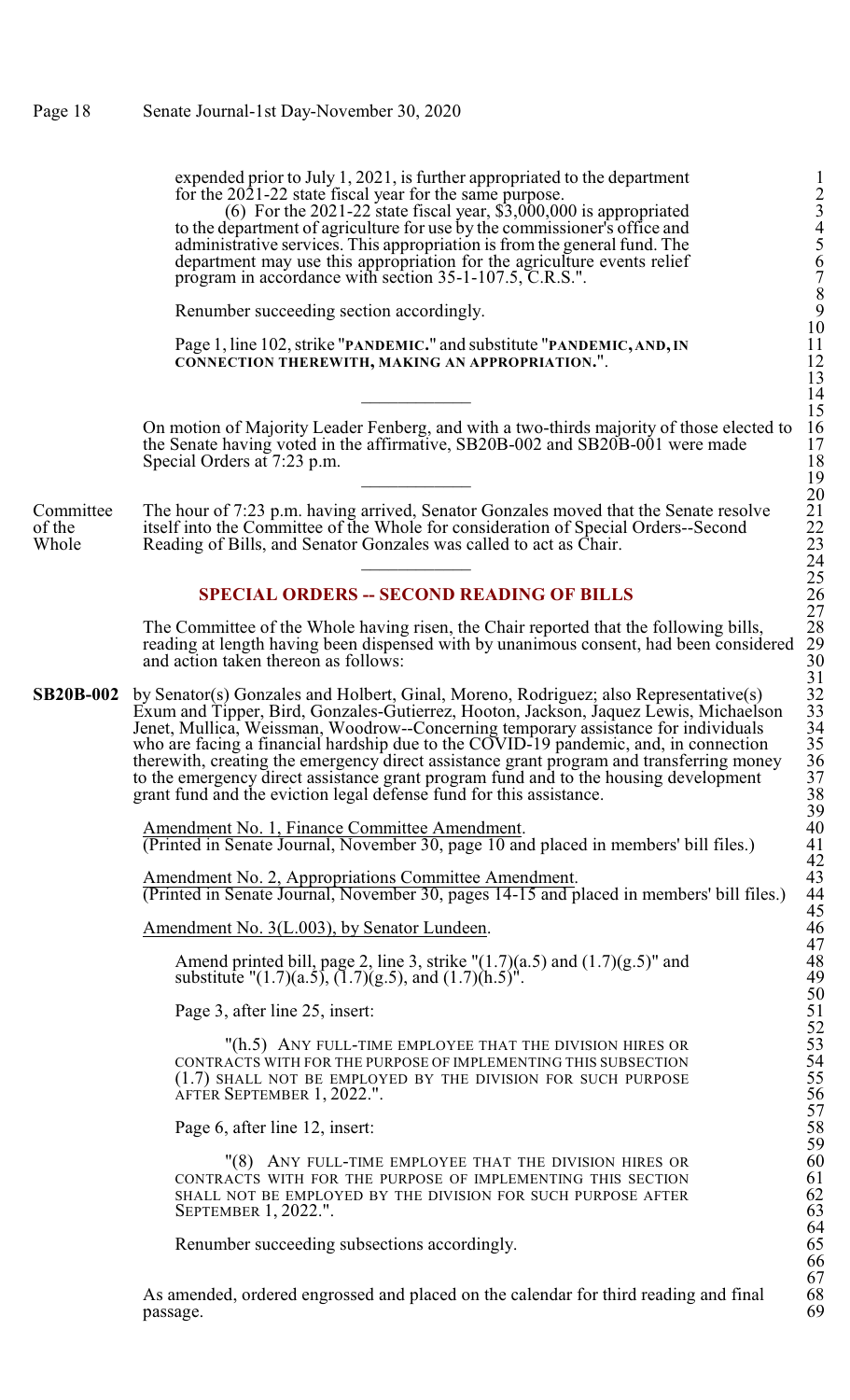expended prior to July 1, 2021, is further appropriated to the department for the 2021-22 state fiscal year for the same purpose. 2

(6) For the 2021-22 state fiscal year,  $$3,000,000$  is appropriated 3 to the department of agriculture for use by the commissioner's office and 4 administrative services. This appropriation is from the general fund. The 5 department may use this appropriation for the agriculture events relief program in accordance with section 35-1-107.5, C.R.S.". 7

Renumber succeeding section accordingly.

Page 1, line 102, strike "**PANDEMIC.**" and substitute "**PANDEMIC, AND,IN** 11 **CONNECTION THEREWITH, MAKING AN APPROPRIATION.**". 12

On motion of Majority Leader Fenberg, and with a two-thirds majority of those elected to 16 the Senate having voted in the affirmative, SB20B-002 and SB20B-001 were made Special Orders at 7:23 p.m. \_\_\_\_\_\_\_\_\_\_\_\_ 19

Committee The hour of 7:23 p.m. having arrived, Senator Gonzales moved that the Senate resolve<br>of the itself into the Committee of the Whole for consideration of Special Orders--Second of the itself into the Committee of the Whole for consideration of Special Orders--Second Whole Reading of Bills, and Senator Gonzales was called to act as Chair. Reading of Bills, and Senator Gonzales was called to act as Chair.  $24$ 

## **SPECIAL ORDERS -- SECOND READING OF BILLS**

The Committee of the Whole having risen, the Chair reported that the following bills, reading at length having been dispensed with by unanimous consent, had been considered and action taken thereon as follows:

**SB20B-002** by Senator(s) Gonzales and Holbert, Ginal, Moreno, Rodriguez; also Representative(s) Exum and Tipper, Bird, Gonzales-Gutierrez, Hooton, Jackson, Jaquez Lewis, Michaelson 33 Jenet, Mullica, Weissman, Woodrow--Concerning temporary assistance for individuals 34 who are facing a financial hardship due to the COVID-19 pandemic, and, in connection 35 therewith, creating the emergency direct assistance grant program and transferring money to the emergency direct assistance grant program fund and to the housing development grant fund and the eviction legal defense fund for this assistance.

> Amendment No. 1, Finance Committee Amendment. (Printed in Senate Journal, November 30, page 10 and placed in members' bill files.) 41

Amendment No. 2, Appropriations Committee Amendment. 43 (Printed in Senate Journal, November 30, pages 14-15 and placed in members' bill files.) 44

Amendment No. 3(L.003), by Senator Lundeen.

Amend printed bill, page 2, line 3, strike  $">(1.7)(a.5)$  and  $(1.7)(g.5)"$  and 48 substitute " $(1.7)(a.5)$ ,  $(1.7)(g.5)$ , and  $(1.7)(h.5)$ ". 49

Page 3, after line 25, insert:

"(h.5) ANY FULL-TIME EMPLOYEE THAT THE DIVISION HIRES OR CONTRACTS WITH FOR THE PURPOSE OF IMPLEMENTING THIS SUBSECTION  $(1.7)$  SHALL NOT BE EMPLOYED BY THE DIVISION FOR SUCH PURPOSE AFTER SEPTEMBER 1, 2022.".

Page 6, after line 12, insert:

"(8) ANY FULL-TIME EMPLOYEE THAT THE DIVISION HIRES OR CONTRACTS WITH FOR THE PURPOSE OF IMPLEMENTING THIS SECTION SHALL NOT BE EMPLOYED BY THE DIVISION FOR SUCH PURPOSE AFTER SEPTEMBER 1, 2022.".

Renumber succeeding subsections accordingly.

As amended, ordered engrossed and placed on the calendar for third reading and final 68 passage. passage. 69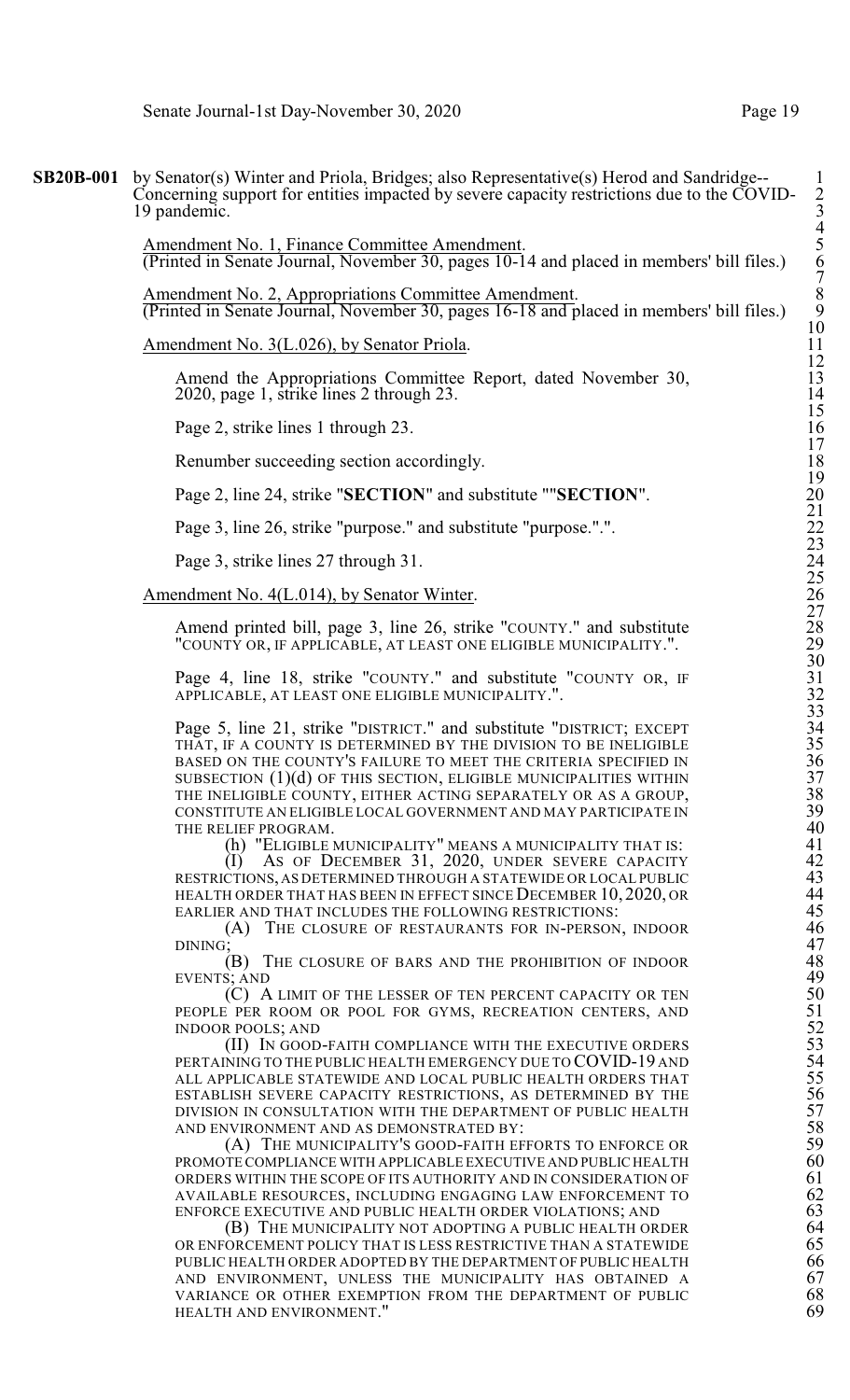**SB20B-001** by Senator(s) Winter and Priola, Bridges; also Representative(s) Herod and Sandridge--Concerning support for entities impacted by severe capacity restrictions due to the COVID- 2 19 pandemic.

> Amendment No. 1, Finance Committee Amendment. (Printed in Senate Journal, November 30, pages 10-14 and placed in members' bill files.) 6

> Amendment No. 2, Appropriations Committee Amendment. (Printed in Senate Journal, November 30, pages 16-18 and placed in members' bill files.) 9

Amendment No. 3(L.026), by Senator Priola.

Amend the Appropriations Committee Report, dated November 30,  $2020$ , page 1, strike lines 2 through 23.

Page 2, strike lines 1 through 23.

Renumber succeeding section accordingly.

Page 2, line 24, strike "**SECTION**" and substitute ""**SECTION**".

Page 3, line 26, strike "purpose." and substitute "purpose.".".

Page 3, strike lines 27 through 31.

Amendment No. 4(L.014), by Senator Winter.

Amend printed bill, page 3, line 26, strike "COUNTY." and substitute 28 "COUNTY OR, IF APPLICABLE, AT LEAST ONE ELIGIBLE MUNICIPALITY.". 29

Page 4, line 18, strike "COUNTY." and substitute "COUNTY OR, IF APPLICABLE, AT LEAST ONE ELIGIBLE MUNICIPALITY.".

Page 5, line 21, strike "DISTRICT." and substitute "DISTRICT; EXCEPT 34 THAT, IF A COUNTY IS DETERMINED BY THE DIVISION TO BE INELIGIBLE 35 BASED ON THE COUNTY'S FAILURE TO MEET THE CRITERIA SPECIFIED IN SUBSECTION  $(1)(d)$  OF THIS SECTION, ELIGIBLE MUNICIPALITIES WITHIN THE INELIGIBLE COUNTY, EITHER ACTING SEPARATELY OR AS A GROUP, CONSTITUTE AN ELIGIBLE LOCAL GOVERNMENT AND MAY PARTICIPATE IN  $39$ <br>THE RELIEF PROGRAM.  $40$ 

(h) "ELIGIBLE MUNICIPALITY" MEANS A MUNICIPALITY THAT IS:

THE RELIEF PROGRAM.<br>
(h) "ELIGIBLE MUNICIPALITY" MEANS A MUNICIPALITY THAT IS:<br>
40<br>
(I) As of December 31, 2020, UNDER SEVERE CAPACITY<br>
42<br>
RESTRICTIONS, AS DETERMINED THROUGH A STATEWIDE OR LOCAL PUBLIC<br>
43<br>
HEALTH ORDER  $(1)$  As of December 31, 2020, UNDER SEVERE CAPACITY RESTRICTIONS, AS DETERMINED THROUGH A STATEWIDE OR LOCAL PUBLIC 43 HEALTH ORDER THAT HAS BEEN IN EFFECT SINCE DECEMBER 10, 2020, OR 44 EARLIER AND THAT INCLUDES THE FOLLOWING RESTRICTIONS:

(A) THE CLOSURE OF RESTAURANTS FOR IN-PERSON, INDOOR 46<br>DINING; (B) THE CLOSURE OF BARS AND THE PROHIBITION OF INDOOR 48  $DINING;$  47

EVENTS; AND

(C) A LIMIT OF THE LESSER OF TEN PERCENT CAPACITY OR TEN PEOPLE PER ROOM OR POOL FOR GYMS, RECREATION CENTERS, AND INDOOR POOLS; AND

(B) THE CLOSURE OF BARS AND THE PROHIBITION OF INDOOR<br>
S; AND<br>
(C) A LIMIT OF THE LESSER OF TEN PERCENT CAPACITY OR TEN<br>
50 FER ROOM OR POOL FOR GYMS, RECREATION CENTERS, AND<br>
R POOLS; AND<br>
(II) IN GOOD-FAITH COMPLIANCE WI (II) IN GOOD-FAITH COMPLIANCE WITH THE EXECUTIVE ORDERS PERTAINING TO THE PUBLIC HEALTH EMERGENCY DUE TO COVID-19 AND ALL APPLICABLE STATEWIDE AND LOCAL PUBLIC HEALTH ORDERS THAT ESTABLISH SEVERE CAPACITY RESTRICTIONS, AS DETERMINED BY THE DIVISION IN CONSULTATION WITH THE DEPARTMENT OF PUBLIC HEALTH 57 AND ENVIRONMENT AND AS DEMONSTRATED BY:

(A) THE MUNICIPALITY'S GOOD-FAITH EFFORTS TO ENFORCE OR PROMOTE COMPLIANCE WITH APPLICABLE EXECUTIVE AND PUBLIC HEALTH 60<br>ORDERS WITHIN THE SCOPE OF ITS AUTHORITY AND IN CONSIDERATION OF 61 ORDERS WITHIN THE SCOPE OF ITS AUTHORITY AND IN CONSIDERATION OF 61<br>AVAILABLE RESOURCES, INCLUDING ENGAGING LAW ENFORCEMENT TO 62<br>ENFORCE EXECUTIVE AND PUBLIC HEALTH ORDER VIOLATIONS; AND 63 AVAILABLE RESOURCES, INCLUDING ENGAGING LAW ENFORCEMENT TO 62

ENFORCE EXECUTIVE AND PUBLIC HEALTH ORDER VIOLATIONS; AND  $($ B) THE MUNICIPALITY NOT ADOPTING A PUBLIC HEALTH ORDER  $64$  OR ENFORCEMENT POLICY THAT IS LESS RESTRICTIVE THAN A STATEWIDE  $65$ (B) THE MUNICIPALITY NOT ADOPTING A PUBLIC HEALTH ORDER OR ENFORCEMENT POLICY THAT IS LESS RESTRICTIVE THAN A STATEWIDE  $65$ <br>PUBLIC HEALTH ORDER ADOPTED BY THE DEPARTMENT OF PUBLIC HEALTH  $66$ PUBLIC HEALTH ORDER ADOPTED BY THE DEPARTMENT OF PUBLIC HEALTH 66<br>AND ENVIRONMENT, UNLESS THE MUNICIPALITY HAS OBTAINED A 67 AND ENVIRONMENT, UNLESS THE MUNICIPALITY HAS OBTAINED A 67<br>VARIANCE OR OTHER EXEMPTION FROM THE DEPARTMENT OF PUBLIC 68 VARIANCE OR OTHER EXEMPTION FROM THE DEPARTMENT OF PUBLIC  $68$ <br>HEALTH AND ENVIRONMENT." 69 HEALTH AND ENVIRONMENT."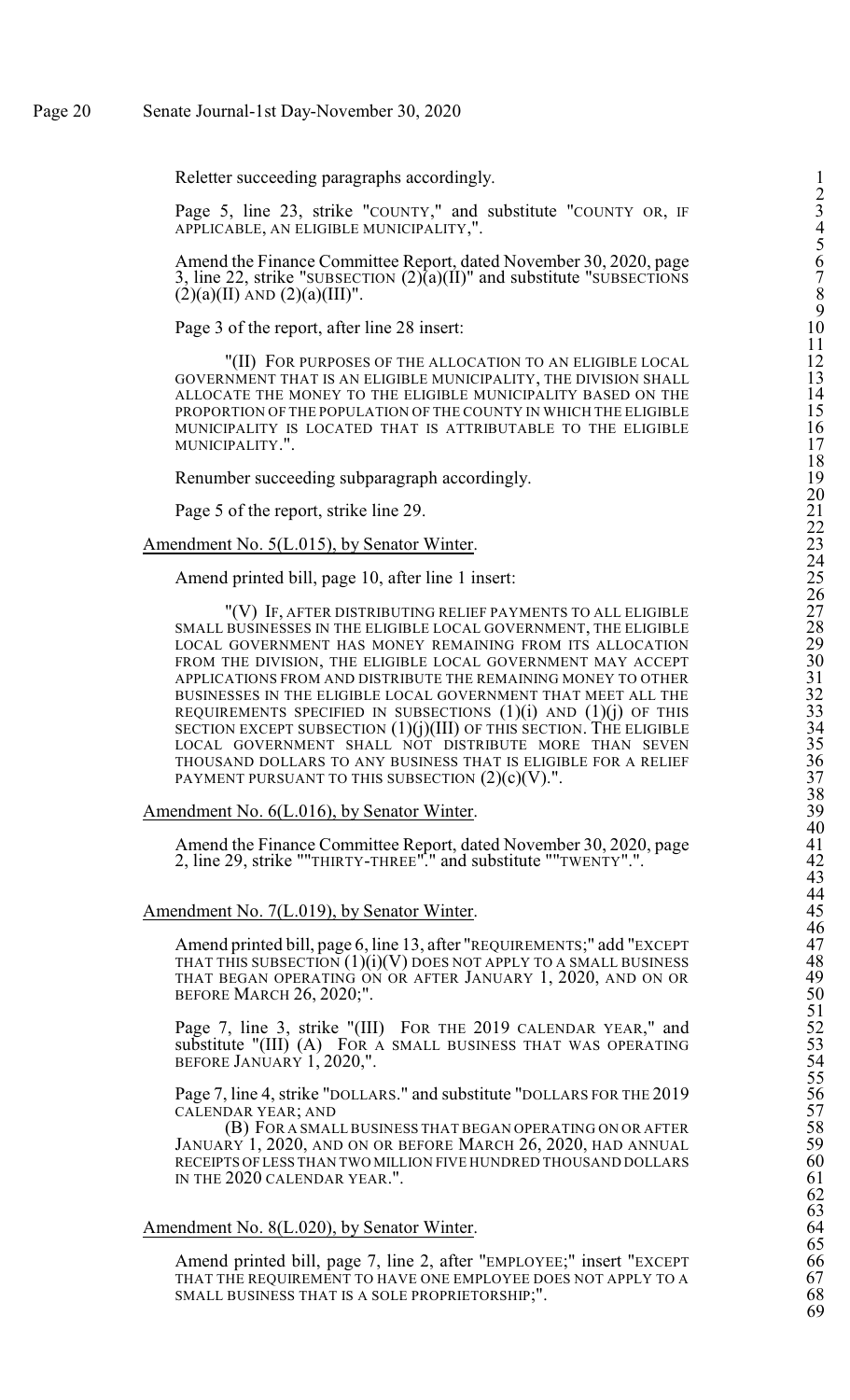Reletter succeeding paragraphs accordingly.

Page 5, line 23, strike "COUNTY," and substitute "COUNTY OR, IF APPLICABLE, AN ELIGIBLE MUNICIPALITY,".

Amend the Finance Committee Report, dated November 30, 2020, page 3, line 22, strike "SUBSECTION  $(2)$  $(a)$  $(II)$ " and substitute "SUBSECTIONS  $(2)(a)(II)$  AND  $(2)(a)(III)$ ".

Page 3 of the report, after line 28 insert: 10

"(II) FOR PURPOSES OF THE ALLOCATION TO AN ELIGIBLE LOCA GOVERNMENT THAT IS AN ELIGIBLE MUNICIPALITY, THE DIVISION SHAL ALLOCATE THE MONEY TO THE ELIGIBLE MUNICIPALITY BASED ON TH PROPORTION OF THE POPULATION OF THE COUNTY IN WHICH THE ELIGIBL MUNICIPALITY IS LOCATED THAT IS ATTRIBUTABLE TO THE ELIGIBL M U NICIP A LIT Y.". 17

Renumber succeeding subparagraph accordingly

Page 5 of the report, strike line 29

Amendment No. 5(L.015), by Senator Win  $\frac{\text{ter.}}{23}$ 

Amend printed bill, page 10, after line 1 insert: 25

"(V) IF, AFTER DISTRIBUTING RELIEF PAYMENTS TO ALL ELIGIBL SMALL BUSINESSES IN THE ELIGIBLE LOCAL GOVERNMENT, THE ELIGIBL LOCAL GOVERNMENT HAS MONEY REMAINING FROM ITS ALLOCATIO FROM THE DIVISION, THE ELIGIBLE LOCAL GOVERNMENT MAY ACCEP APPLICATIONS FROM AND DISTRIBUTE THE REMAINING MONEY TO OTHE BUSINESSES IN THE ELIGIBLE LOCAL GOVERNMENT THAT MEET ALL TH REQUIREMENTS SPECIFIED IN SUBSECTIONS (1)(i) AND (1)(j) OF THI SECTION EXCEPT SUBSECTION (1)(j)(III) OF THIS SECTION. THE ELIGIBL LOCAL GOVERNMENT SHALL NOT DISTRIBUTE MORE THAN SEVE THOUSAND DOLLARS TO ANY BUSINESS THAT IS ELIGIBLE FOR A RELIE PAYMENT PURSUANT TO THIS SUBSECTION  $(2)(c)(V)$ .".  $37$ 

Amendment No. 6(L.016), by Senator Win

Amend the Finance Committee Report, dated November 30, 2020, pag 2, line 29, strike ""THIRTY-THREE"." and substitute ""TWENTY ".". 42

Amendment No. 7(L.019), by Senator Win  $\frac{\text{ter.}}{45}$ 

Amend printed bill, page 6, line 13, after "REQUIREMENTS;" add "EXCEP THAT THIS SUBSECTION (1)(i)(V) DOES NOT APPLY TO A SMALL BUSINES THAT BEGAN OPERATING ON OR AFTER JANUARY 1, 2020, AND ON O BEFORE MARCH 26, 202  $0;$ ". 50

Page 7, line 3, strike "(III) FOR THE 2019 CALENDAR YEAR," an substitute "(III) (A) FOR A SMALL BUSINESS THAT WAS OPERATIN BEFORE JANUARY 1, 2020,".

Page 7, line 4, strike "DOLLARS." and substitute "DOLLARS FOR THE 201 CALENDAR YEAR; AN  $D \t\t\t\t\t\t\t\t\t\t57$ 

(B) FOR A SMALL BUSINESS THAT BEGAN OPERATING ON OR AFTE January 1, 2020, and on or before March 26, 2020, had annua RECEIPTS OF LESS THAN TWO MILLION FIVE HUNDRED THOUSAND DOLLAR IN THE 2020 CALENDAR YEA R.".  $61$ 

Amendment No. 8(L.020), by Senator Win  $\frac{\text{ter.}}{64}$ 

Amend printed bill, page 7, line 2, after "EMPLOYEE;" insert "EXCEP THAT THE REQUIREMENT TO HAVE ONE EMPLOYEE DOES NOT APPLY TO SMALL BUSINESS THAT IS A SOLE PROPRIETORSHIP;". 68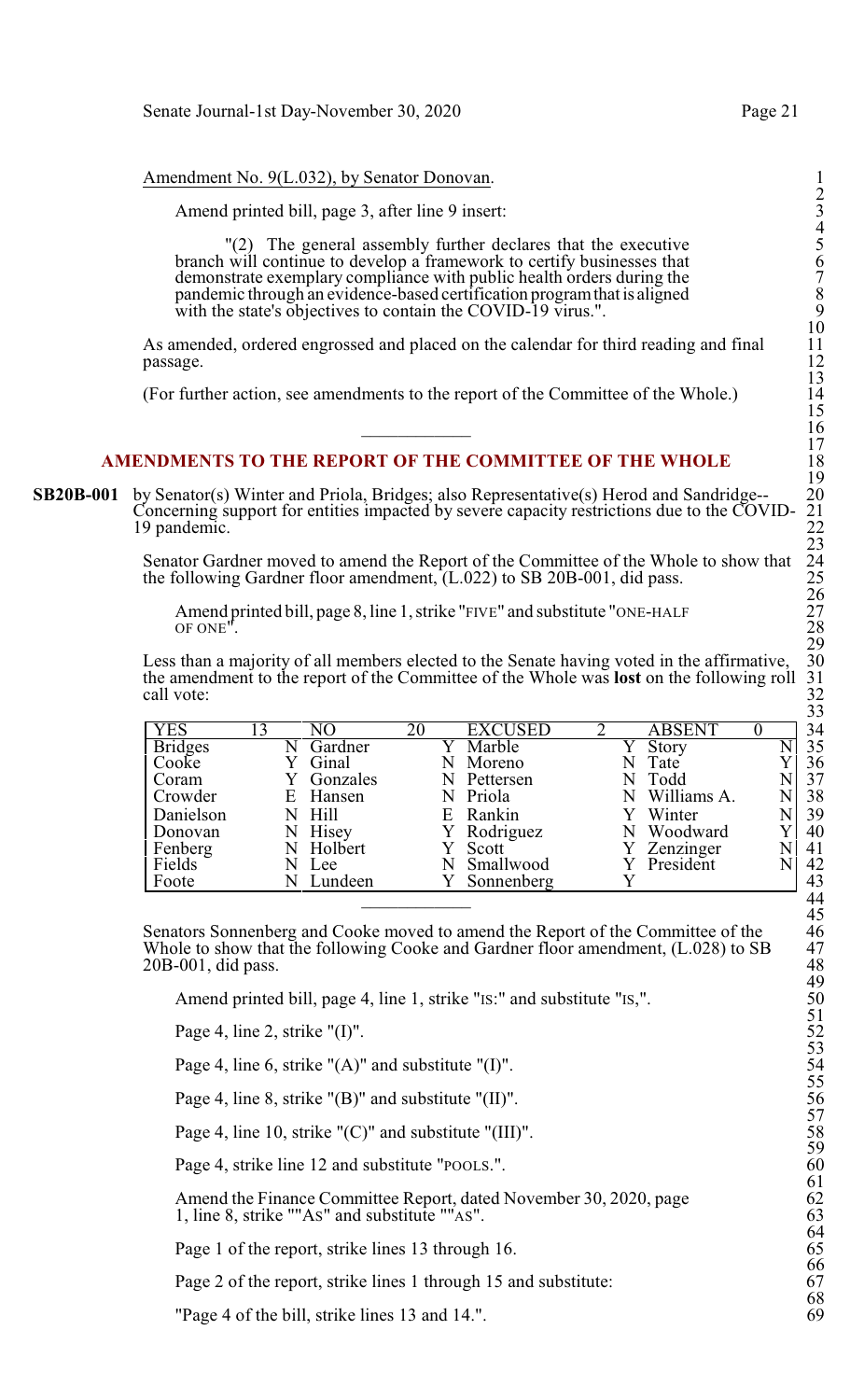## Amendment No. 9(L.032), by Senator Donovan.

Amend printed bill, page 3, after line 9 insert:

"(2) The general assembly further declares that the executive 5 branch will continue to develop a framework to certify businesses that 6 demonstrate exemplary compliance with public health orders during the 7 pandemic through an evidence-based certification program that is aligned with the state's objectives to contain the COVID-19 virus.".

As amended, ordered engrossed and placed on the calendar for third reading and final passage. passage. 12

 $16$ 

(For further action, see amendments to the report of the Committee of the Whole.) 14

## **AMENDMENTS TO THE REPORT OF THE COMMITTEE OF THE WHOLE**

**SB20B-001** by Senator(s) Winter and Priola, Bridges; also Representative(s) Herod and Sandridge--Concerning support for entities impacted by severe capacity restrictions due to the COVID-19 pandemic.

> Senator Gardner moved to amend the Report of the Committee of the Whole to show that the following Gardner floor amendment,  $(L.022)$  to SB 20B-001, did pass.

Amend printed bill, page 8, line 1, strike "FIVE" and substitute "ONE-HALF OF ONE". OF ONE". 28

Less than a majority of all members elected to the Senate having voted in the affirmative, the amendment to the report of the Committee of the Whole was **lost** on the following roll call vote: call vote: 32

| YES            | 13 |          | 20 | <b>EXCUSED</b> |  | <b>ABSENT</b> |  |
|----------------|----|----------|----|----------------|--|---------------|--|
| <b>Bridges</b> |    | Gardner  |    | Marble         |  | Story         |  |
| Cooke          |    | Ginal    |    | Moreno         |  | Tate          |  |
| Coram          |    | Gonzales |    | Pettersen      |  | Todd          |  |
| Crowder        | E  | Hansen   |    | Priola         |  | Williams A.   |  |
| Danielson      |    | - Hill   |    | E Rankin       |  | Winter        |  |
| Donovan        |    | Hisey    |    | Rodriguez      |  | Woodward      |  |
| Fenberg        |    | Holbert  |    | Scott          |  | Zenzinger     |  |
| Fields         |    | Lee      |    | Smallwood      |  | President     |  |
| Foote          |    | Lundeen  |    | Sonnenberg     |  |               |  |
|                |    |          |    |                |  |               |  |

Senators Sonnenberg and Cooke moved to amend the Report of the Committee of the 46 Whole to show that the following Cooke and Gardner floor amendment, (L.028) to SB  $20B-001$ , did pass.

Amend printed bill, page 4, line 1, strike "IS:" and substitute "IS,".

Page 4, line 2, strike " $(I)$ ".

Page 4, line 6, strike " $(A)$ " and substitute " $(I)$ ".

Page 4, line 8, strike " $(B)$ " and substitute " $(II)$ ".

Page 4, line 10, strike " $(C)$ " and substitute " $(III)$ ".

Page 4, strike line 12 and substitute "POOLS.".

Amend the Finance Committee Report, dated November 30, 2020, page 1, line 8, strike "" $As$ " and substitute "" $As$ ".

Page 1 of the report, strike lines 13 through 16.

Page 2 of the report, strike lines 1 through 15 and substitute:

"Page 4 of the bill, strike lines 13 and 14.".

2

4

10

13

15

17

19

23

26

29

33

45

49

51

53

55

57

59

61

64

66

68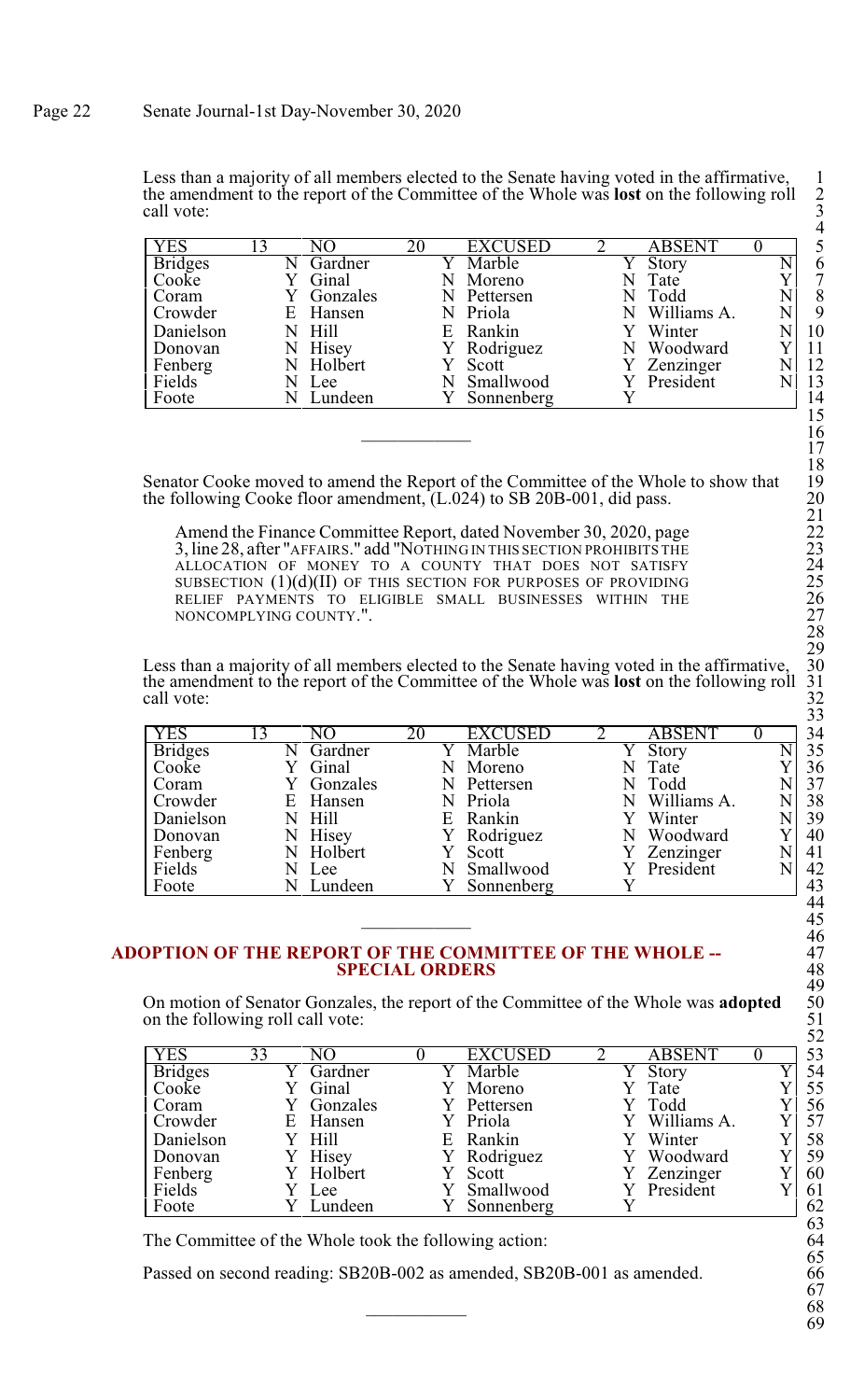Less than a majority of all members elected to the Senate having voted in the affirmative, the amendment to the report of the Committee of the Whole was **lost** on the following roll call vote: call vote: 3

| YES            |          |    | <b>EXCUSED</b> |  | ABSENT      |  |    |
|----------------|----------|----|----------------|--|-------------|--|----|
| <b>Bridges</b> | Gardner  |    | Marble         |  | Story       |  | 6  |
| Cooke          | Ginal    |    | Moreno         |  | Tate        |  | 7  |
| Coram          | Gonzales |    | Pettersen      |  | Todd        |  | 8  |
| Crowder        | E Hansen |    | N Priola       |  | Williams A. |  | 9  |
| Danielson      | N Hill   | F. | Rankin         |  | Winter      |  | 10 |
| Donovan        | Hisey    |    | Rodriguez      |  | Woodward    |  | 11 |
| Fenberg        | Holbert  |    | Scott          |  | Zenzinger   |  | 12 |
| Fields         | Lee      |    | Smallwood      |  | President   |  | 13 |
| Foote          | Lundeen  |    | Sonnenberg     |  |             |  | 14 |

Senator Cooke moved to amend the Report of the Committee of the Whole to show that the following Cooke floor amendment, (L.024) to SB 20B-001, did pass. 20

Amend the Finance Committee Report, dated November 30, 2020, page 22 3, line 28, after "AFFAIRS." add "NOTHING IN THIS SECTION PROHIBITS THE 23 ALLOCATION OF MONEY TO A COUNTY THAT DOES NOT SATISFY 24 SUBSECTION  $(1)(d)(II)$  OF THIS SECTION FOR PURPOSES OF PROVIDING RELIEF PAYMENTS TO ELIGIBLE SMALL BUSINESSES WITHIN THE 26 NONCOMPLYING COUNTY.". 27

Less than a majority of all members elected to the Senate having voted in the affirmative, the amendment to the report of the Committee of the Whole was **lost** on the following roll call vote: call vote: 32

| <b>YES</b>     |   |          |    |            | <b>ABSENT</b> |   | 34 |
|----------------|---|----------|----|------------|---------------|---|----|
| <b>Bridges</b> |   | Gardner  |    | Marble     | Story         |   | 35 |
| Cooke          |   | Ginal    |    | Moreno     | Tate          |   | 36 |
| Coram          |   | Gonzales | N. | Pettersen  | Todd          |   | 37 |
| Crowder        | Ε | Hansen   |    | N Priola   | Williams A.   | N | 38 |
| Danielson      |   | Hill     | E  | Rankin     | Winter        | N | 39 |
| Donovan        |   | Hisey    |    | Rodriguez  | Woodward      |   | 40 |
| Fenberg        |   | Holbert  |    | Scott      | Zenzinger     | N | 41 |
| Fields         |   | Lee      |    | Smallwood  | President     |   | 42 |
| Foote          |   | Lundeen  |    | Sonnenberg |               |   | 43 |

## **ADOPTION OF THE REPORT OF THE COMMITTEE OF THE WHOLE --** 47 **SPECIAL ORDERS**

On motion of Senator Gonzales, the report of the Committee of the Whole was **adopted** on the following roll call vote:

| <b>YES</b>     | 33 | NΟ        |    | <b>EXCUSED</b> | <b>ABSENT</b>        | 53 |
|----------------|----|-----------|----|----------------|----------------------|----|
| <b>Bridges</b> |    | Gardner   |    | ' Marble       | $\overline{Y}$ Story | 54 |
| Cooke          |    | Ginal     |    | Moreno         | Tate                 | 55 |
| Coram          |    | Gonzales  |    | Pettersen      | Todd                 | 56 |
| Crowder        |    | E Hansen  |    | Y Priola       | Williams A.          | 57 |
| Danielson      |    | Y Hill    | E. | Rankin         | Winter               | 58 |
| Donovan        |    | Hisey     |    | Rodriguez      | Woodward             | 59 |
| Fenberg        |    | Y Holbert |    | Scott          | Zenzinger            | 60 |
| Fields         |    | Lee       |    | Smallwood      | President            | 61 |
| Foote          |    | Lundeen   |    | Sonnenberg     |                      | 62 |

The Committee of the Whole took the following action:

Passed on second reading: SB20B-002 as amended, SB20B-001 as amended.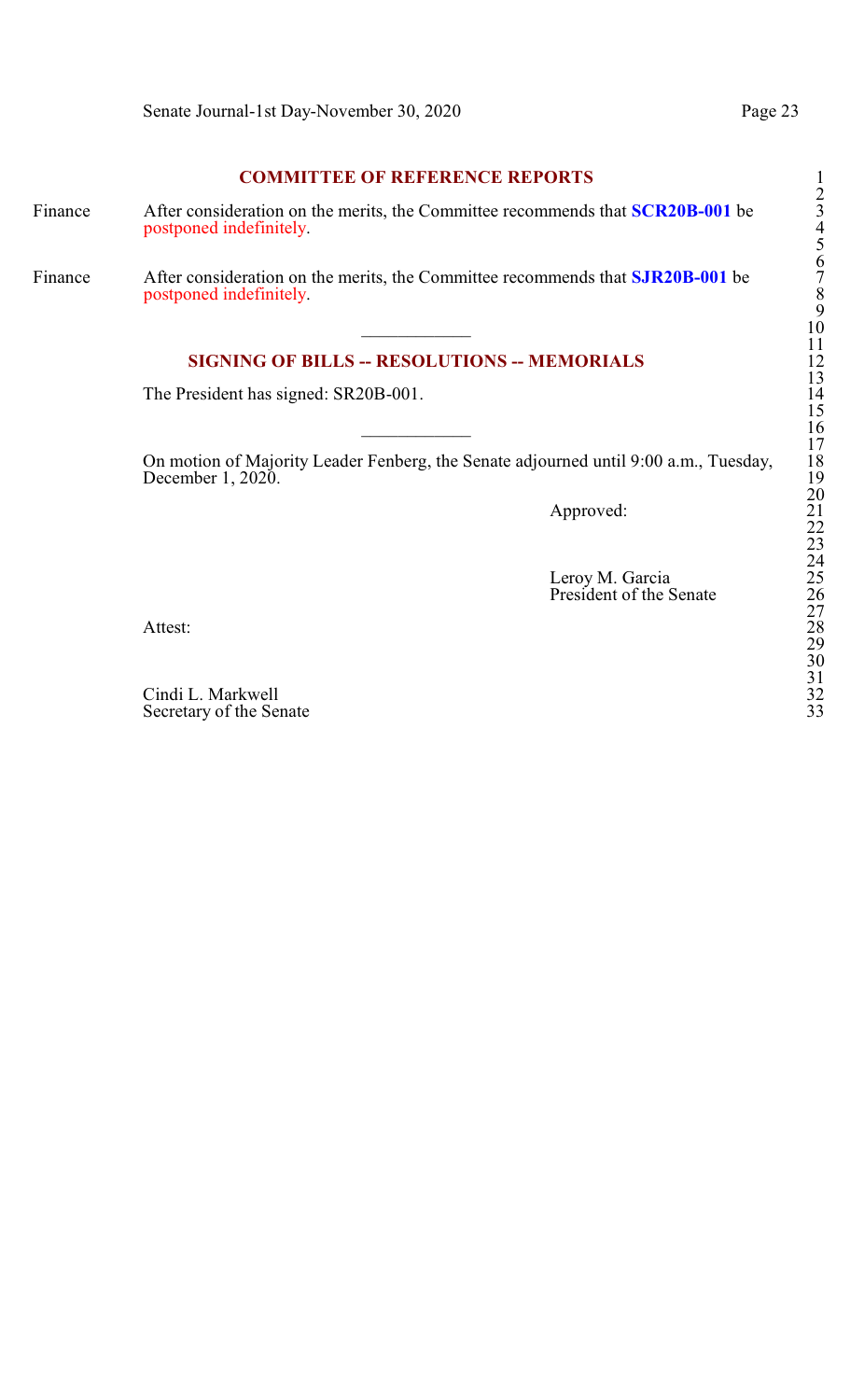## **COMMITTEE OF REFERENCE REPORTS**

- Finance After consideration on the merits, the Committee recommends that **SCR20B-001** be 3 postponed indefinitely.
- Finance After consideration on the merits, the Committee recommends that **SJR20B-001** be 7 postponed indefinitely.

## **SIGNING OF BILLS -- RESOLUTIONS -- MEMORIALS**

The President has signed: SR20B-001.

On motion of Majority Leader Fenberg, the Senate adjourned until 9:00 a.m., Tuesday, 18 December 1, 2020.

Approved:

Leroy M. Garcia President of the Senate

Attest: 28

Cindi L. Markwell Secretary of the Senate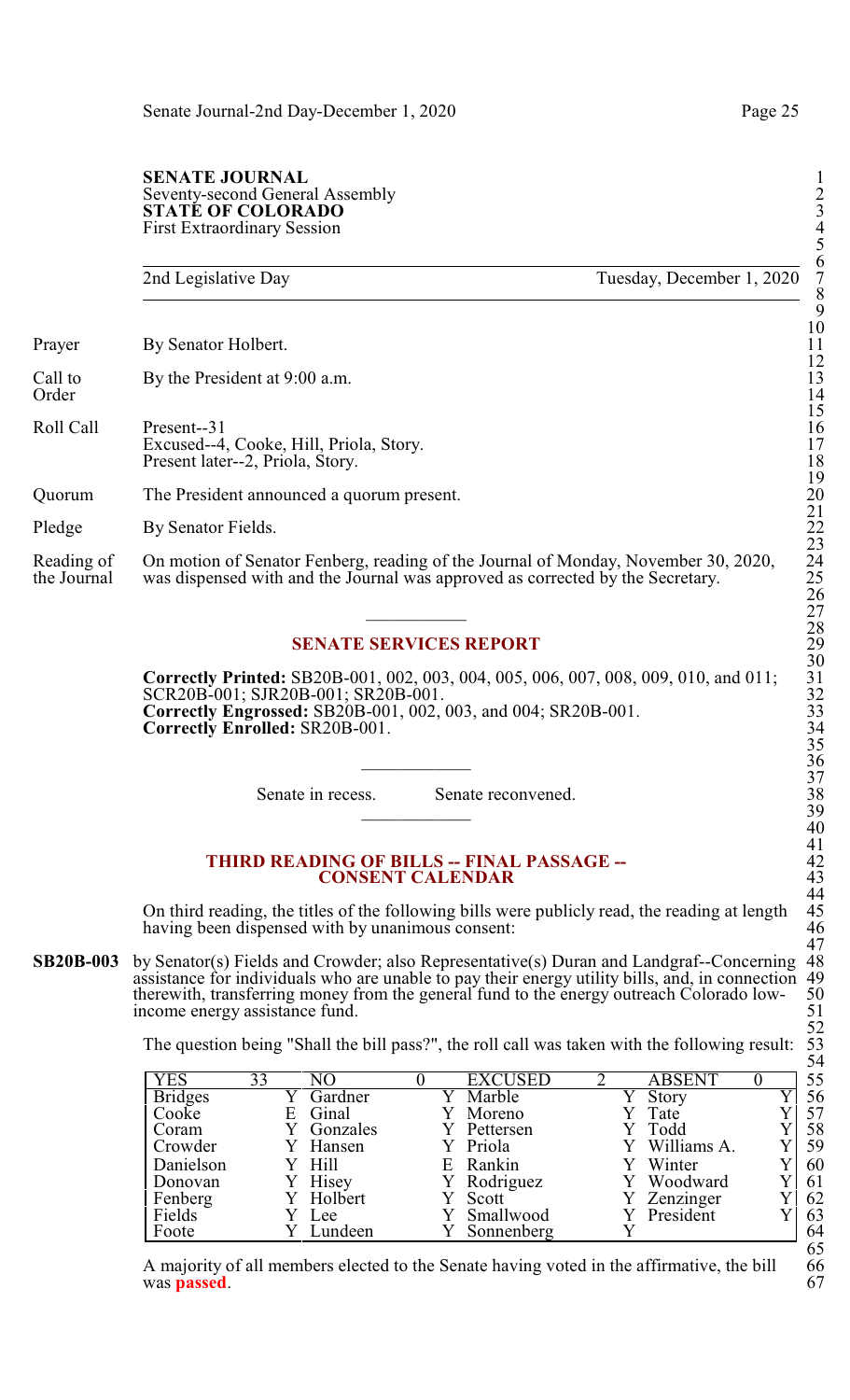#### **SENATE JOURNAL** Seventy-second General Assembly 2 **STATÉ OF COLORADO** First Extraordinary Session 4

2nd Legislative Day Tuesday, December 1, 2020 Prayer By Senator Holbert. Call to By the President at 9:00 a.m.<br>Order Order 14 Roll Call Present--31 16 Excused--4, Cooke, Hill, Priola, Story. Present later--2, Priola, Story. Quorum The President announced a quorum present. 20 Pledge By Senator Fields. Reading of On motion of Senator Fenberg, reading of the Journal of Monday, November 30, 2020, the Journal was dispensed with and the Journal was approved as corrected by the Secretary. was dispensed with and the Journal was approved as corrected by the Secretary.  $\overline{\phantom{a}27}$ 

## **SENATE SERVICES REPORT**

**Correctly Printed:** SB20B-001, 002, 003, 004, 005, 006, 007, 008, 009, 010, and 011; 31 SCR20B-001; SJR20B-001; SR20B-001. **Correctly Engrossed:** SB20B-001, 002, 003, and 004; SR20B-001. **Correctly Enrolled: SR20B-001.** 

Senate in recess. Senate reconvened.

#### **THIRD READING OF BILLS -- FINAL PASSAGE --CONSENT CALENDAR**

On third reading, the titles of the following bills were publicly read, the reading at length 45<br>having been dispensed with by unanimous consent: 46 having been dispensed with by unanimous consent:

**SB20B-003** by Senator(s) Fields and Crowder; also Representative(s) Duran and Landgraf--Concerning 48 assistance for individuals who are unable to pay their energy utility bills, and, in connection 49 assistance for individuals who are unable to pay their energy utility bills, and, in connection 49<br>therewith, transferring money from the general fund to the energy outreach Colorado low- 50 therewith, transferring money from the general fund to the energy outreach Colorado low-<br>income energy assistance fund. 51 income energy assistance fund.

The question being "Shall the bill pass?", the roll call was taken with the following result:

| YES            | 33 | NO       |    | <b>EXCUSED</b> | <b>ABSENT</b> | 55 |
|----------------|----|----------|----|----------------|---------------|----|
| <b>Bridges</b> |    | Gardner  |    | Marble         | Story         | 56 |
| Cooke          | E  | Ginal    |    | Moreno         | Tate          | 57 |
| Coram          |    | Gonzales |    | Pettersen      | Todd          | 58 |
| Crowder        |    | Hansen   |    | Y Priola       | Williams A.   | 59 |
| Danielson      |    | Y Hill   | E. | Rankin         | Winter        | 60 |
| Donovan        |    | Hisey    |    | Rodriguez      | Woodward      | 61 |
| Fenberg        |    | Holbert  |    | Scott          | Zenzinger     | 62 |
| Fields         |    | Lee      |    | Smallwood      | President     | 63 |
| Foote          |    | Lundeen  |    | Sonnenberg     |               | 64 |

A majority of all members elected to the Senate having voted in the affirmative, the bill 66<br>was **passed**. was **passed**. 67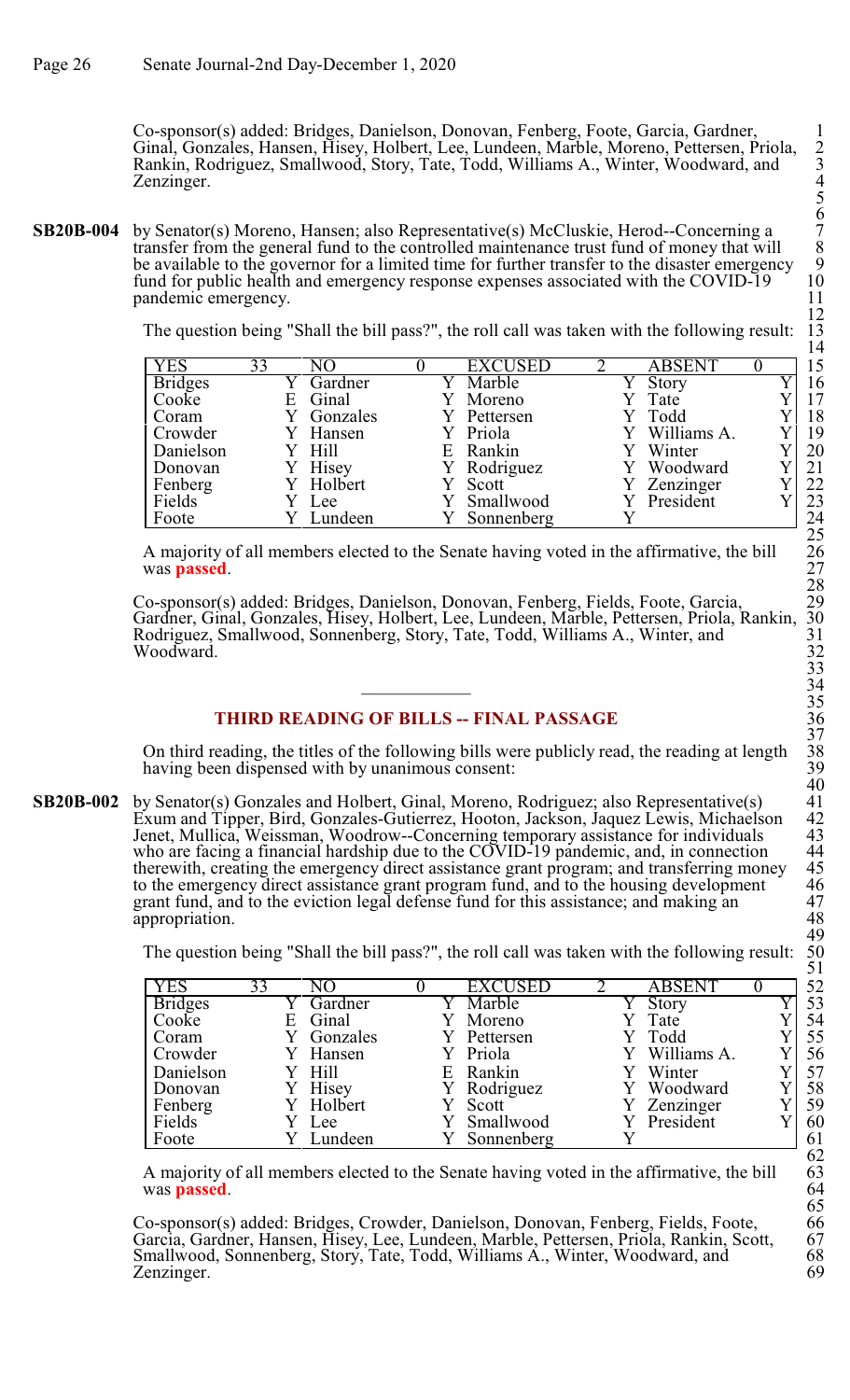Co-sponsor(s) added: Bridges, Danielson, Donovan, Fenberg, Foote, Garcia, Gardner, 1 Ginal, Gonzales, Hansen, Hisey, Holbert, Lee, Lundeen, Marble, Moreno, Pettersen, Priola, 2 Rankin, Rodriguez, Smallwood, Story, Tate, Todd, Williams A., Winter, Woodward, and 3 Zenzinger.

**SB20B-004** by Senator(s) Moreno, Hansen; also Representative(s) McCluskie, Herod--Concerning a 7 transfer from the general fund to the controlled maintenance trust fund of money that will 8 be available to the governor for a limited time for further transfer to the disaster emergency fund for public health and emergency response expenses associated with the COVID-19 pandemic emergency.

The question being "Shall the bill pass?", the roll call was taken with the following result:

| <b>YES</b>     | 33 | NO.      |    | <b>EXCUSED</b> | <b>ABSENT</b> |  |
|----------------|----|----------|----|----------------|---------------|--|
| <b>Bridges</b> |    | Gardner  |    | Y Marble       | Y Story       |  |
| Cooke          | Е  | Ginal    |    | Moreno         | Tate          |  |
| Coram          |    | Gonzales |    | Pettersen      | Todd          |  |
| Crowder        |    | Y Hansen |    | Y Priola       | Williams A.   |  |
| Danielson      |    | Y Hill   | E. | Rankin         | Winter        |  |
| Donovan        |    | Hisey    |    | Rodriguez      | Woodward      |  |
| Fenberg        |    | Holbert  |    | Y Scott        | Zenzinger     |  |
| Fields         |    | Lee      |    | Smallwood      | President     |  |
| Foote          |    | Lundeen  |    | Sonnenberg     |               |  |

A majority of all members elected to the Senate having voted in the affirmative, the bill 26 was **passed**.

Co-sponsor(s) added: Bridges, Danielson, Donovan, Fenberg, Fields, Foote, Garcia, 29 Gardner, Ginal, Gonzales, Hisey, Holbert, Lee, Lundeen, Marble, Pettersen, Priola, Rankin, 30 Rodriguez, Smallwood, Sonnenberg, Story, Tate, Todd, Williams A., Winter, and Woodward. Woodward. 32

# **THIRD READING OF BILLS -- FINAL PASSAGE**

On third reading, the titles of the following bills were publicly read, the reading at length 38 having been dispensed with by unanimous consent:

**SB20B-002** by Senator(s) Gonzales and Holbert, Ginal, Moreno, Rodriguez; also Representative(s) Exum and Tipper, Bird, Gonzales-Gutierrez, Hooton, Jackson, Jaquez Lewis, Michaelson 42 Jenet, Mullica, Weissman, Woodrow--Concerning temporary assistance for individuals 43 who are facing a financial hardship due to the  $\overrightarrow{Cov}$ ID-19 pandemic, and, in connection therewith, creating the emergency direct assistance grant program; and transferring money to the emergency direct assistance grant program fund, and to the housing development grant fund, and to the eviction legal defense fund for this assistance; and making an 47 appropriation. grant fund, and to the eviction legal defense fund for this assistance; and making an appropriation.

The question being "Shall the bill pass?", the roll call was taken with the following result:

| <b>YES</b>     | 33 | NΟ       | <b>EXCUSED</b> | <b>ABSENT</b> | 52 |
|----------------|----|----------|----------------|---------------|----|
| <b>Bridges</b> |    | Gardner  | Marble         | Story         | 53 |
| Cooke          | E  | Ginal    | Moreno         | Tate          | 54 |
| Coram          |    | Gonzales | Pettersen      | Todd          | 55 |
| Crowder        |    | Hansen   | Y Priola       | Williams A.   | 56 |
| Danielson      |    | Hill     | E Rankin       | Winter        | 57 |
| Donovan        |    | Hisey    | Y Rodriguez    | Woodward      | 58 |
| Fenberg        |    | Holbert  | Scott          | Zenzinger     | 59 |
| Fields         |    | Lee      | Smallwood      | President     | 60 |
| Foote          |    | Lundeen  | Sonnenberg     |               | 61 |

A majority of all members elected to the Senate having voted in the affirmative, the bill was **passed**.

Co-sponsor(s) added: Bridges, Crowder, Danielson, Donovan, Fenberg, Fields, Foote, 66 Garcia, Gardner, Hansen, Hisey, Lee, Lundeen, Marble, Pettersen, Priola, Rankin, Scott, 67 Smallwood, Sonnenberg, Story, Tate, Todd, Williams A., Winter, Woodward, and 68 Zenzinger. 69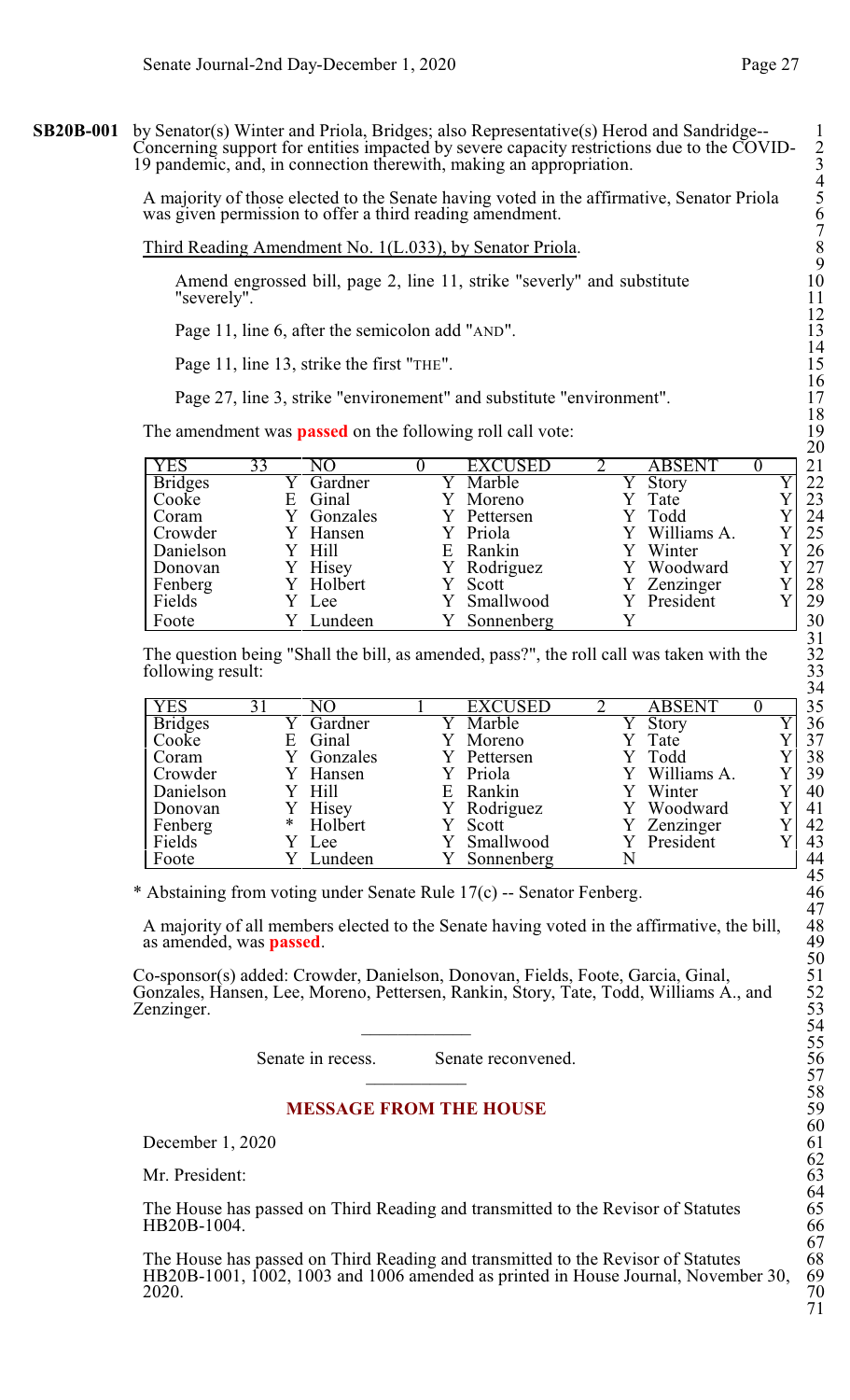**SB20B-001** by Senator(s) Winter and Priola, Bridges; also Representative(s) Herod and Sandridge-- 1 Concerning support for entities impacted by severe capacity restrictions due to the COVID- 2 19 pandemic, and, in connection therewith, making an appropriation. 3

> A majority of those elected to the Senate having voted in the affirmative, Senator Priola 5 was given permission to offer a third reading amendment.

#### Third Reading Amendment No. 1(L.033), by Senator Priola. 8

Amend engrossed bill, page 2, line 11, strike "severly" and substitute "severely".

Page 11, line 6, after the semicolon add "AND".

Page 11, line 13, strike the first "THE".

Page 27, line 3, strike "environement" and substitute "environment".

The amendment was **passed** on the following roll call vote:

| <b>YES</b>     | 33 | NО       |    | <b>EXCUSED</b> | <b>ABSENT</b> | 21 |
|----------------|----|----------|----|----------------|---------------|----|
| <b>Bridges</b> |    | Gardner  |    | Marble         | <b>Story</b>  | 22 |
| Cooke          | E  | Ginal    |    | Moreno         | Tate          | 23 |
| Coram          |    | Gonzales |    | Pettersen      | Todd          | 24 |
| Crowder        |    | Hansen   |    | Priola         | Williams A.   | 25 |
| Danielson      |    | Hill     | E. | Rankin         | Winter        | 26 |
| Donovan        |    | Hisey    |    | Rodriguez      | Woodward      | 27 |
| Fenberg        |    | Holbert  |    | Scott          | Zenzinger     | 28 |
| Fields         |    | Y Lee    |    | Smallwood      | President     | 29 |
| Foote          |    | Lundeen  |    | Sonnenberg     |               | 30 |

The question being "Shall the bill, as amended, pass?", the roll call was taken with the following result:

| <b>YES</b>     | 31 | N()            | EXCUSED     | <b>ABSENT</b> |  |
|----------------|----|----------------|-------------|---------------|--|
| <b>Bridges</b> |    | Gardner        | Marble      | Story         |  |
| Cooke          | Е  | Ginal          | Moreno      | Tate          |  |
| Coram          |    | Gonzales       | Pettersen   | Todd          |  |
| Crowder        |    | Y Hansen       | Y Priola    | Y Williams A. |  |
| Danielson      |    | Hill           | E Rankin    | Winter        |  |
| Donovan        |    | Hisey          | Y Rodriguez | Woodward      |  |
| Fenberg        | ∗  | Holbert        | Scott       | Zenzinger     |  |
| Fields         |    | Lee            | Smallwood   | President     |  |
| Foote          |    | <b>Lundeen</b> | Sonnenberg  |               |  |

\* Abstaining from voting under Senate Rule 17(c) -- Senator Fenberg. 46

A majority of all members elected to the Senate having voted in the affirmative, the bill, as amended, was **passed**.

Co-sponsor(s) added: Crowder, Danielson, Donovan, Fields, Foote, Garcia, Ginal, 51 Gonzales, Hansen, Lee, Moreno, Pettersen, Rankin, Story, Tate, Todd, Williams A., and 52 Zenzinger.  $\overline{\phantom{a}}$  54

Senate in recess. Senate reconvened.

## **MESSAGE FROM THE HOUSE**

December 1, 2020

Mr. President:

The House has passed on Third Reading and transmitted to the Revisor of Statutes HB20B-1004.

The House has passed on Third Reading and transmitted to the Revisor of Statutes 68<br>HB20B-1001, 1002, 1003 and 1006 amended as printed in House Journal, November 30, 69 HB20B-1001, 1002, 1003 and 1006 amended as printed in House Journal, November 30, 69  $2020.$  70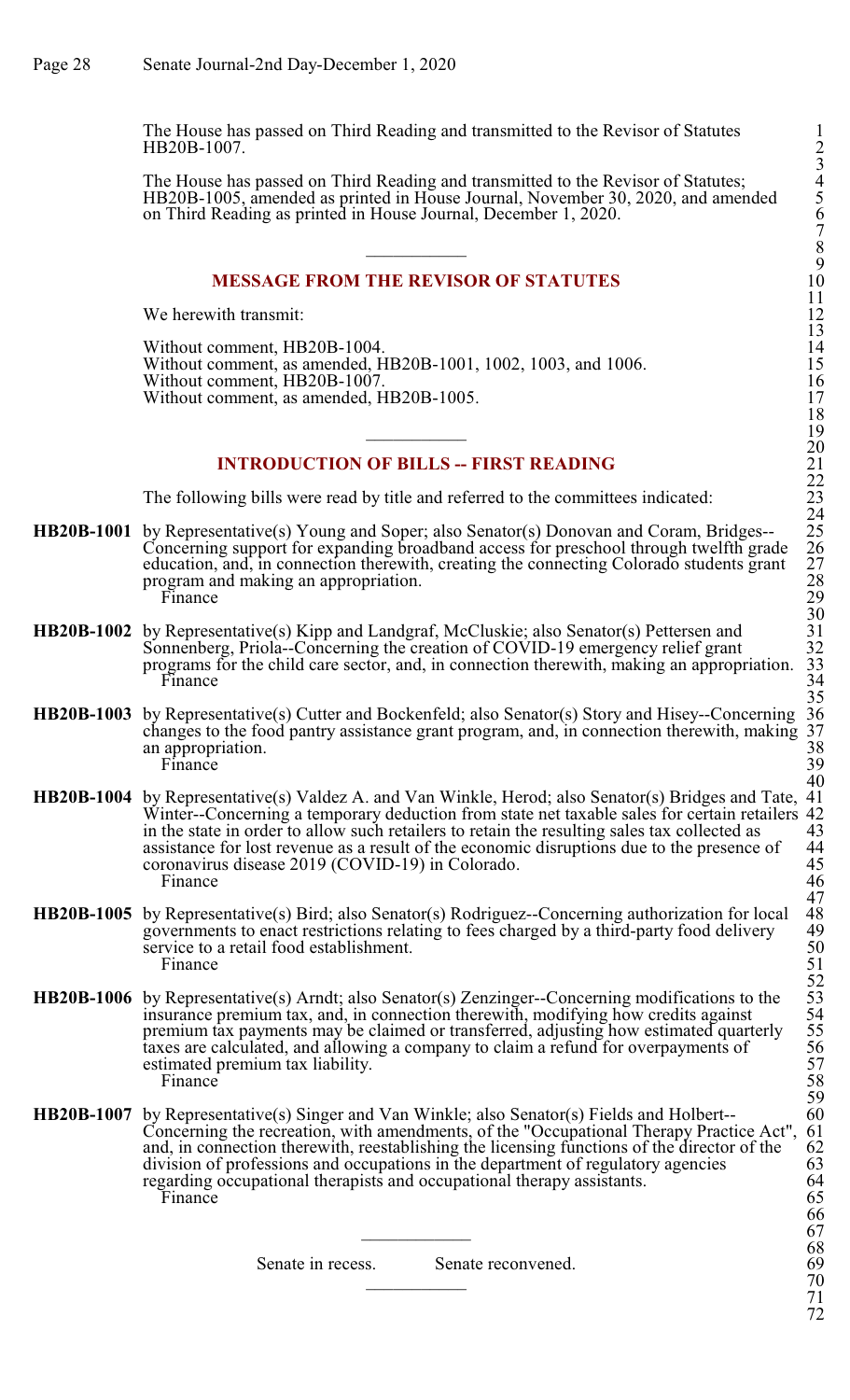The House has passed on Third Reading and transmitted to the Revisor of Statutes 1 HB20B-1007.

The House has passed on Third Reading and transmitted to the Revisor of Statutes; 4 HB20B-1005, amended as printed in House Journal, November 30, 2020, and amended on Third Reading as printed in House Journal, December 1, 2020. 6

#### **MESSAGE FROM THE REVISOR OF STATUTES**

We herewith transmit:

Without comment, HB20B-1004. Without comment, as amended, HB20B-1001, 1002, 1003, and 1006. 15 Without comment, HB20B-1007. 16 Without comment, as amended, HB20B-1005.

## **INTRODUCTION OF BILLS -- FIRST READING**

The following bills were read by title and referred to the committees indicated:

- **HB20B-1001** by Representative(s) Young and Soper; also Senator(s) Donovan and Coram, Bridges--Concerning support for expanding broadband access for preschool through twelfth grade education, and, in connection therewith, creating the connecting Colorado students grant 27 program and making an appropriation.<br>Finance Finance 29
- **HB20B-1002** by Representative(s) Kipp and Landgraf, McCluskie; also Senator(s) Pettersen and Sonnenberg, Priola--Concerning the creation of COVID-19 emergency relief grant 32 Sonnenberg, Priola--Concerning the creation of COVID-19 emergency relief grant 32<br>programs for the child care sector, and, in connection therewith, making an appropriation. 33 programs for the child care sector, and, in connection therewith, making an appropriation. 33 Finance 34
- **HB20B-1003** by Representative(s) Cutter and Bockenfeld; also Senator(s) Story and Hisey--Concerning 36 changes to the food pantry assistance grant program, and, in connection therewith, making 37 changes to the food pantry assistance grant program, and, in connection therewith, making 37 an appropriation.  $\frac{38}{39}$ Finance 39
- **HB20B-1004** by Representative(s) Valdez A. and Van Winkle, Herod; also Senator(s) Bridges and Tate, 41 Winter--Concerning a temporary deduction from state net taxable sales for certain retailers 42 in the state in order to allow such retailers to retain the resulting sales tax collected as 43 in the state in order to allow such retailers to retain the resulting sales tax collected as 43<br>assistance for lost revenue as a result of the economic disruptions due to the presence of 44 assistance for lost revenue as a result of the economic disruptions due to the presence of 44<br>coronavirus disease 2019 (COVID-19) in Colorado. 45 coronavirus disease 2019 (COVID-19) in Colorado. 45<br>Finance 46 Finance 46
- **HB20B-1005** by Representative(s) Bird; also Senator(s) Rodriguez--Concerning authorization for local 48 governments to enact restrictions relating to fees charged by a third-party food delivery 49 governments to enact restrictions relating to fees charged by a third-party food delivery 49<br>service to a retail food establishment. service to a retail food establishment.<br>Finance Finance 51
- **HB20B-1006** by Representative(s) Arndt; also Senator(s) Zenzinger--Concerning modifications to the insurance premium tax, and, in connection therewith, modifying how credits against 54 premium tax payments may be claimed or transferred, adjusting how estimated quarterly 55 taxes are calculated, and allowing a company to claim a refund for overpayments of estimated premium tax liability.<br>Finance Finance 58
- **HB20B-1007** by Representative(s) Singer and Van Winkle; also Senator(s) Fields and Holbert-- 60<br>Concerning the recreation, with amendments, of the "Occupational Therapy Practice Act", 61 Concerning the recreation, with amendments, of the "Occupational Therapy Practice Act", 61 and, in connection therewith, reestablishing the licensing functions of the director of the 62 division of professions and occupati and, in connection therewith, reestablishing the licensing functions of the director of the division of professions and occupations in the department of regulatory agencies 63<br>regarding occupational therapists and occupational therapy assistants. 64 regarding occupational therapists and occupational therapy assistants.  $64$ <br>Finance 65 Finance 65

Senate in recess. Senate reconvened. 69<br>
70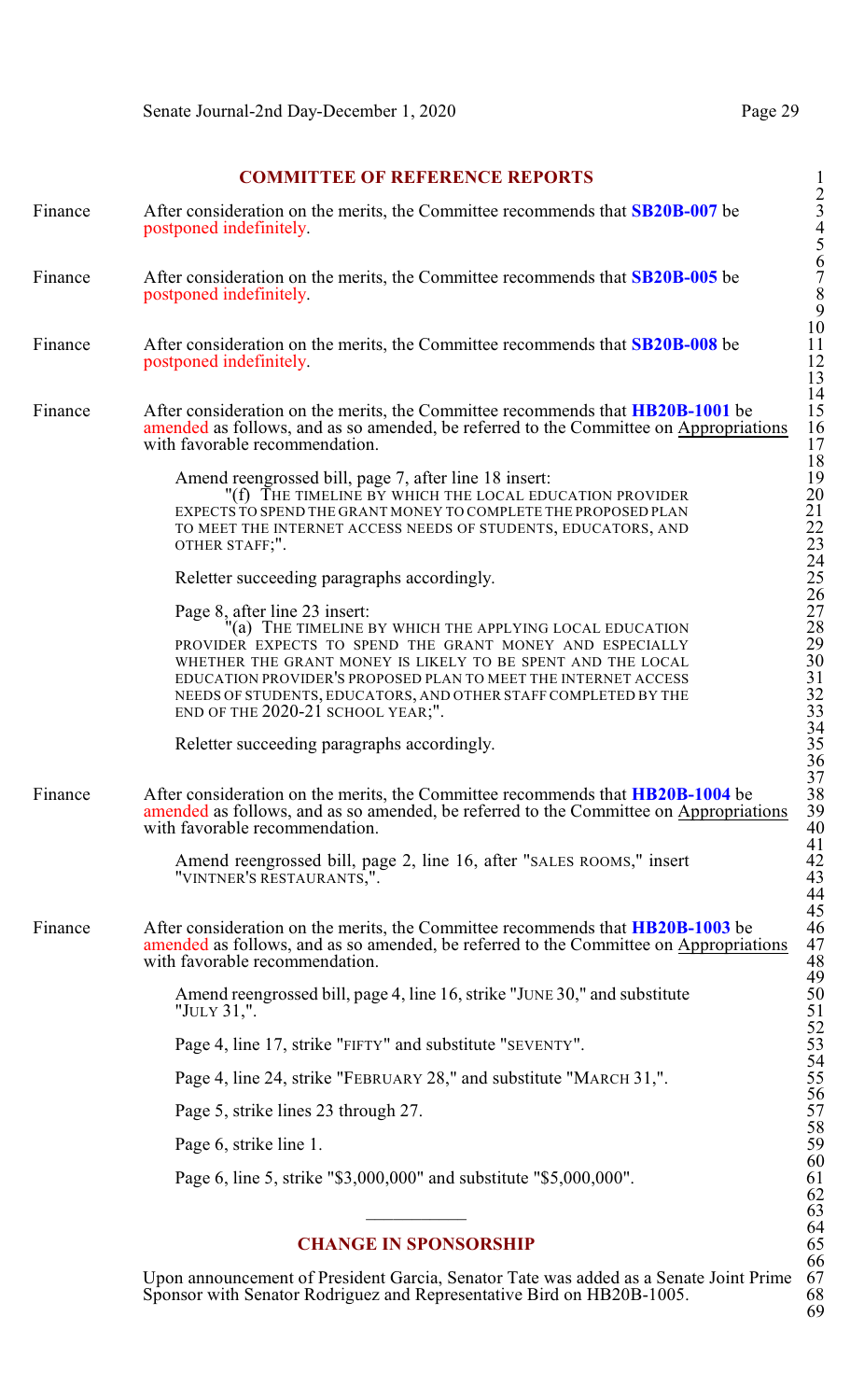2

66

69

## **COMMITTEE OF REFERENCE REPORTS**

| Finance | After consideration on the merits, the Committee recommends that <b>SB20B-007</b> be<br>postponed indefinitely.                                                                                                                                                                                                                                                                             | $\overline{\phantom{a}}$<br>$\mathfrak{Z}$          |
|---------|---------------------------------------------------------------------------------------------------------------------------------------------------------------------------------------------------------------------------------------------------------------------------------------------------------------------------------------------------------------------------------------------|-----------------------------------------------------|
| Finance | After consideration on the merits, the Committee recommends that <b>SB20B-005</b> be<br>postponed indefinitely.                                                                                                                                                                                                                                                                             | 4567890                                             |
| Finance | After consideration on the merits, the Committee recommends that <b>SB20B-008</b> be<br>postponed indefinitely.                                                                                                                                                                                                                                                                             | 11<br>$\frac{12}{13}$                               |
| Finance | After consideration on the merits, the Committee recommends that <b>HB20B-1001</b> be<br>amended as follows, and as so amended, be referred to the Committee on Appropriations<br>with favorable recommendation.                                                                                                                                                                            | 14<br>15<br>16<br>17                                |
|         | Amend reengrossed bill, page 7, after line 18 insert:<br>"(f) THE TIMELINE BY WHICH THE LOCAL EDUCATION PROVIDER<br>EXPECTS TO SPEND THE GRANT MONEY TO COMPLETE THE PROPOSED PLAN<br>TO MEET THE INTERNET ACCESS NEEDS OF STUDENTS, EDUCATORS, AND<br>OTHER STAFF;".                                                                                                                       | 18<br>19<br>20<br>21<br>22<br>$\overline{23}$<br>24 |
|         | Reletter succeeding paragraphs accordingly.                                                                                                                                                                                                                                                                                                                                                 | 25                                                  |
|         | Page 8, after line 23 insert:<br>(a) THE TIMELINE BY WHICH THE APPLYING LOCAL EDUCATION<br>PROVIDER EXPECTS TO SPEND THE GRANT MONEY AND ESPECIALLY<br>WHETHER THE GRANT MONEY IS LIKELY TO BE SPENT AND THE LOCAL<br>EDUCATION PROVIDER'S PROPOSED PLAN TO MEET THE INTERNET ACCESS<br>NEEDS OF STUDENTS, EDUCATORS, AND OTHER STAFF COMPLETED BY THE<br>END OF THE 2020-21 SCHOOL YEAR;". | 26<br>27<br>28<br>29<br>30<br>31<br>$\frac{32}{33}$ |
|         | Reletter succeeding paragraphs accordingly.                                                                                                                                                                                                                                                                                                                                                 | 34<br>35<br>36                                      |
| Finance | After consideration on the merits, the Committee recommends that <b>HB20B-1004</b> be<br>amended as follows, and as so amended, be referred to the Committee on Appropriations<br>with favorable recommendation.                                                                                                                                                                            | 37<br>38<br>39<br>40                                |
|         | Amend reengrossed bill, page 2, line 16, after "SALES ROOMS," insert<br>"VINTNER'S RESTAURANTS,".                                                                                                                                                                                                                                                                                           | 41<br>42<br>43<br>44                                |
| Finance | After consideration on the merits, the Committee recommends that <b>HB20B-1003</b> be<br>amended as follows, and as so amended, be referred to the Committee on Appropriations<br>with favorable recommendation.                                                                                                                                                                            | 45<br>46<br>47<br>48                                |
|         | Amend reengrossed bill, page 4, line 16, strike "JUNE 30," and substitute<br>"JULY 31,".                                                                                                                                                                                                                                                                                                    | 49<br>50<br>51                                      |
|         | Page 4, line 17, strike "FIFTY" and substitute "SEVENTY".                                                                                                                                                                                                                                                                                                                                   | $\frac{52}{53}$                                     |
|         | Page 4, line 24, strike "FEBRUARY 28," and substitute "MARCH 31,".                                                                                                                                                                                                                                                                                                                          | 54<br>55                                            |
|         | Page 5, strike lines 23 through 27.                                                                                                                                                                                                                                                                                                                                                         | 56<br>57                                            |
|         | Page 6, strike line 1.                                                                                                                                                                                                                                                                                                                                                                      | 58<br>59                                            |
|         | Page 6, line 5, strike "\$3,000,000" and substitute "\$5,000,000".                                                                                                                                                                                                                                                                                                                          | 60<br>61<br>62<br>63                                |
|         | <b>CHANGE IN SPONSORSHIP</b>                                                                                                                                                                                                                                                                                                                                                                | 64<br>65                                            |

Upon announcement of President Garcia, Senator Tate was added as a Senate Joint Prime 67 Sponsor with Senator Rodriguez and Representative Bird on HB20B-1005. 68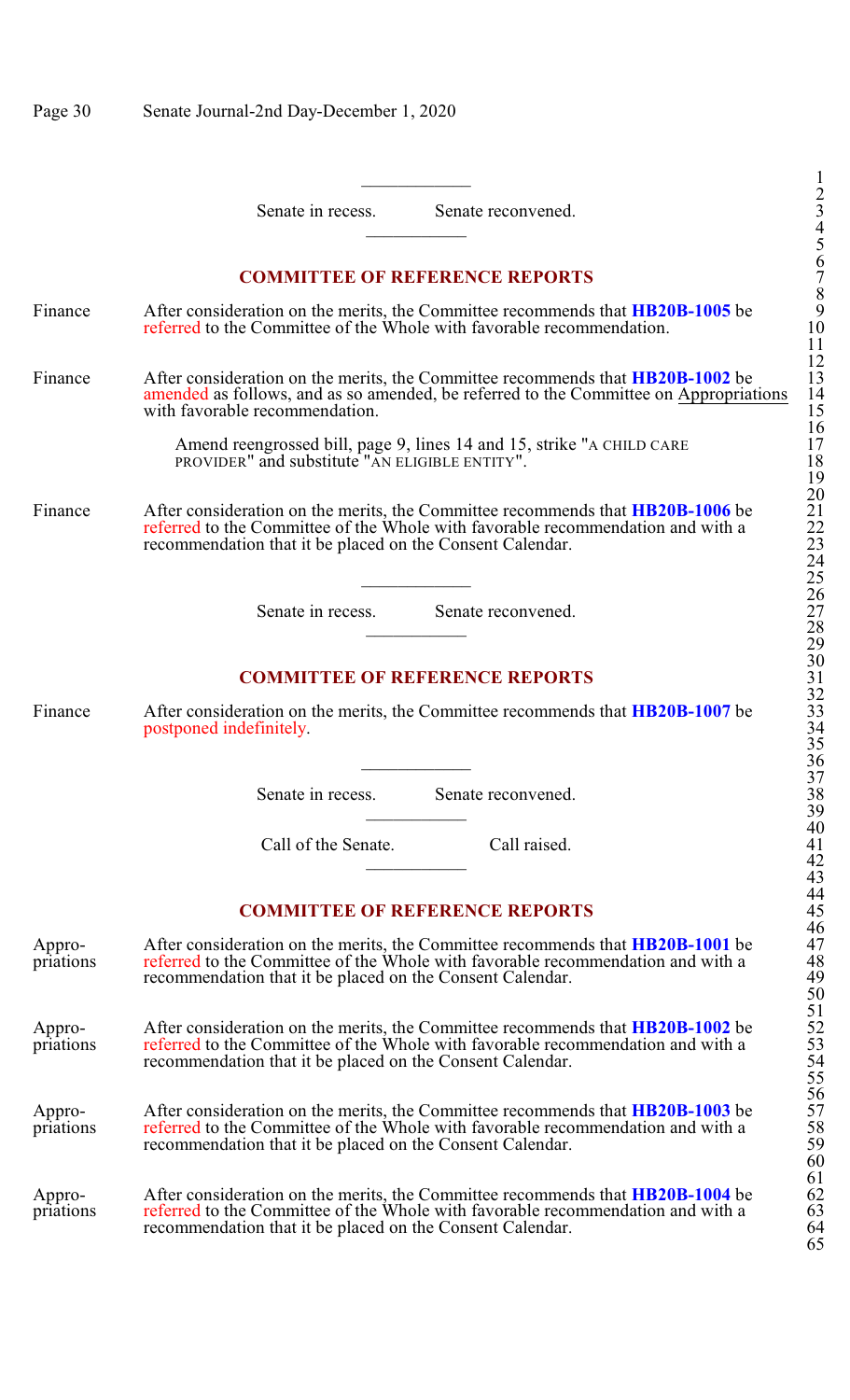|                     | Senate in recess.<br>Senate reconvened.                                                                                                                                                                                               | 3                                          |
|---------------------|---------------------------------------------------------------------------------------------------------------------------------------------------------------------------------------------------------------------------------------|--------------------------------------------|
|                     |                                                                                                                                                                                                                                       |                                            |
|                     | <b>COMMITTEE OF REFERENCE REPORTS</b>                                                                                                                                                                                                 |                                            |
| Finance             | After consideration on the merits, the Committee recommends that <b>HB20B-1005</b> be<br>referred to the Committee of the Whole with favorable recommendation.                                                                        | 4567890<br>11                              |
| Finance             | After consideration on the merits, the Committee recommends that <b>HB20B-1002</b> be<br>amended as follows, and as so amended, be referred to the Committee on Appropriations<br>with favorable recommendation.                      | 12<br>13<br>14<br>$\frac{15}{16}$          |
|                     | Amend reengrossed bill, page 9, lines 14 and 15, strike "A CHILD CARE<br>PROVIDER" and substitute "AN ELIGIBLE ENTITY".                                                                                                               | 17<br>$\frac{18}{19}$                      |
| Finance             | After consideration on the merits, the Committee recommends that HB20B-1006 be<br>referred to the Committee of the Whole with favorable recommendation and with a<br>recommendation that it be placed on the Consent Calendar.        | 20<br>21<br>22<br>23<br>24<br>25           |
|                     | Senate in recess. Senate reconvened.                                                                                                                                                                                                  | 26<br>27<br>28<br>29                       |
|                     | <b>COMMITTEE OF REFERENCE REPORTS</b>                                                                                                                                                                                                 | 30                                         |
| Finance             | After consideration on the merits, the Committee recommends that HB20B-1007 be<br>postponed indefinitely.                                                                                                                             | $31$<br>$32$<br>$33$<br>$34$<br>$35$<br>36 |
|                     | Senate in recess.<br>Senate reconvened.                                                                                                                                                                                               | 37<br>$\frac{5}{3}$ 8                      |
|                     | Call of the Senate.<br>Call raised.                                                                                                                                                                                                   | 40<br>41<br>42                             |
|                     |                                                                                                                                                                                                                                       | 43<br>44                                   |
|                     | <b>COMMITTEE OF REFERENCE REPORTS</b>                                                                                                                                                                                                 | 45<br>46                                   |
| Appro-<br>priations | After consideration on the merits, the Committee recommends that <b>HB20B-1001</b> be<br>referred to the Committee of the Whole with favorable recommendation and with a<br>recommendation that it be placed on the Consent Calendar. | 47<br>48<br>49                             |
| Appro-<br>priations | After consideration on the merits, the Committee recommends that <b>HB20B-1002</b> be<br>referred to the Committee of the Whole with favorable recommendation and with a<br>recommendation that it be placed on the Consent Calendar. | 50<br>51<br>52<br>53<br>53<br>55           |
| Appro-<br>priations | After consideration on the merits, the Committee recommends that <b>HB20B-1003</b> be<br>referred to the Committee of the Whole with favorable recommendation and with a<br>recommendation that it be placed on the Consent Calendar. | 56<br>57<br>58<br>59<br>60                 |
| Appro-<br>priations | After consideration on the merits, the Committee recommends that <b>HB20B-1004</b> be<br>referred to the Committee of the Whole with favorable recommendation and with a<br>recommendation that it be placed on the Consent Calendar. | 61<br>62<br>63<br>64<br>65                 |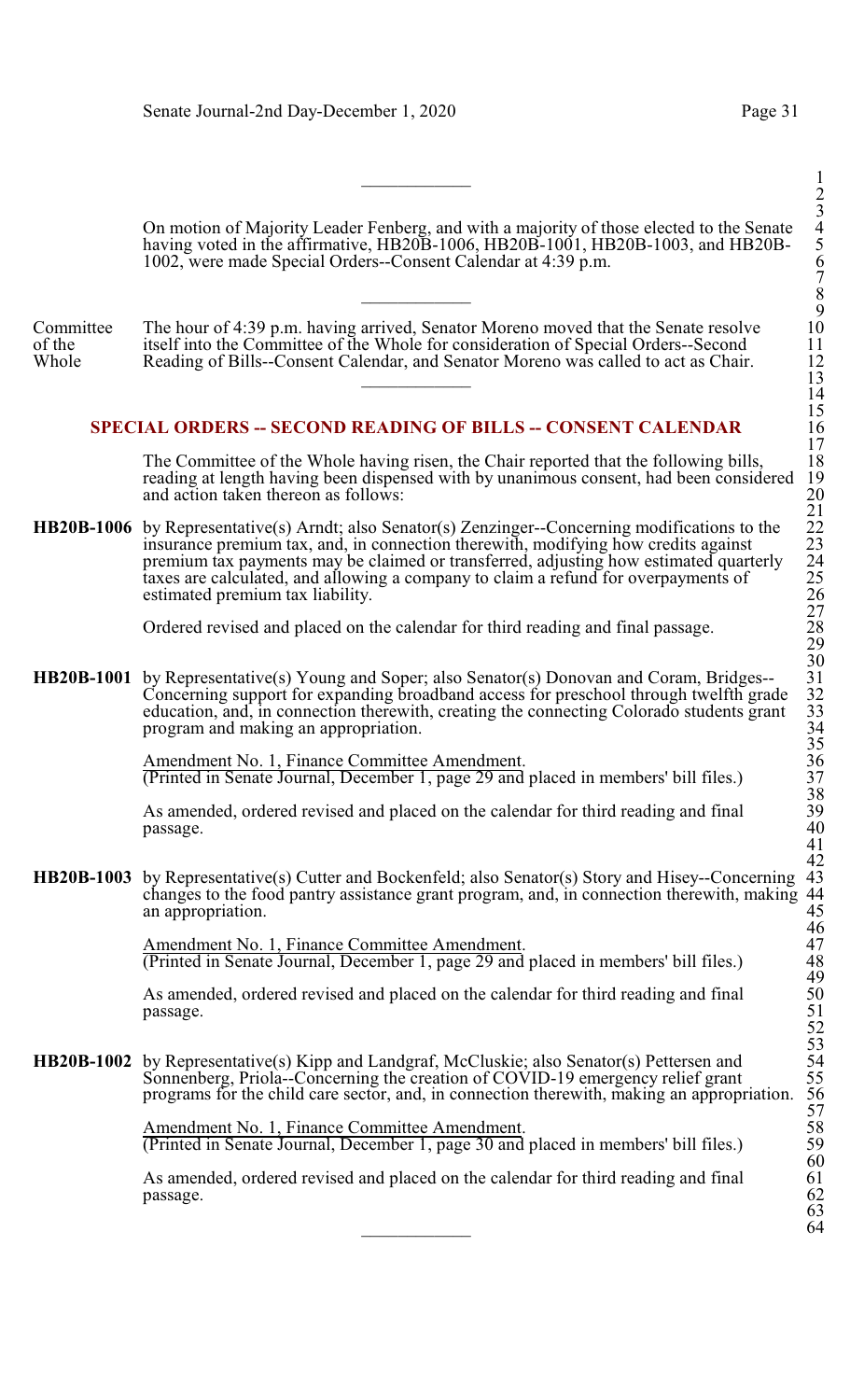On motion of Majority Leader Fenberg, and with a majority of those elected to the Senate 4 having voted in the affirmative, HB20B-1006, HB20B-1001, HB20B-1003, and HB20B- 5 1002, were made Special Orders--Consent Calendar at 4:39 p.m. 6

Committee The hour of 4:39 p.m. having arrived, Senator Moreno moved that the Senate resolve<br>of the itself into the Committee of the Whole for consideration of Special Orders--Second of the itself into the Committee of the Whole for consideration of Special Orders--Second<br>Whole Reading of Bills--Consent Calendar, and Senator Moreno was called to act as Chair Reading of Bills--Consent Calendar, and Senator Moreno was called to act as Chair.  $\overline{\phantom{a}13}$ 

## **SPECIAL ORDERS -- SECOND READING OF BILLS -- CONSENT CALENDAR**

The Committee of the Whole having risen, the Chair reported that the following bills, reading at length having been dispensed with by unanimous consent, had been considered and action taken thereon as follows:

**HB20B-1006** by Representative(s) Arndt; also Senator(s) Zenzinger--Concerning modifications to the insurance premium tax, and, in connection therewith, modifying how credits against premium tax payments may be claimed or transferred, adjusting how estimated quarterly 24 taxes are calculated, and allowing a company to claim a refund for overpayments of estimated premium tax liability.

Ordered revised and placed on the calendar for third reading and final passage.

**HB20B-1001** by Representative(s) Young and Soper; also Senator(s) Donovan and Coram, Bridges--Concerning support for expanding broadband access for preschool through twelfth grade education, and, in connection therewith, creating the connecting Colorado students grant program and making an appropriation. 34

> Amendment No. 1, Finance Committee Amendment. (Printed in Senate Journal, December 1, page 29 and placed in members' bill files.) 37

As amended, ordered revised and placed on the calendar for third reading and final passage.  $_{\text{passage.}}$  40

**HB20B-1003** by Representative(s) Cutter and Bockenfeld; also Senator(s) Story and Hisey--Concerning changes to the food pantry assistance grant program, and, in connection therewith, making 44 an appropriation.

> Amendment No. 1, Finance Committee Amendment. (Printed in Senate Journal, December 1, page 29 and placed in members' bill files.) 48

As amended, ordered revised and placed on the calendar for third reading and final passage. passage. 51

**HB20B-1002** by Representative(s) Kipp and Landgraf, McCluskie; also Senator(s) Pettersen and Sonnenberg, Priola--Concerning the creation of COVID-19 emergency relief grant programs for the child care sector, and, in connection therewith, making an appropriation.

> Amendment No. 1, Finance Committee Amendment. (Printed in Senate Journal, December 1, page 30 and placed in members' bill files.) 59

As amended, ordered revised and placed on the calendar for third reading and final 61 passage. 62  $_{\text{passage.}}$  62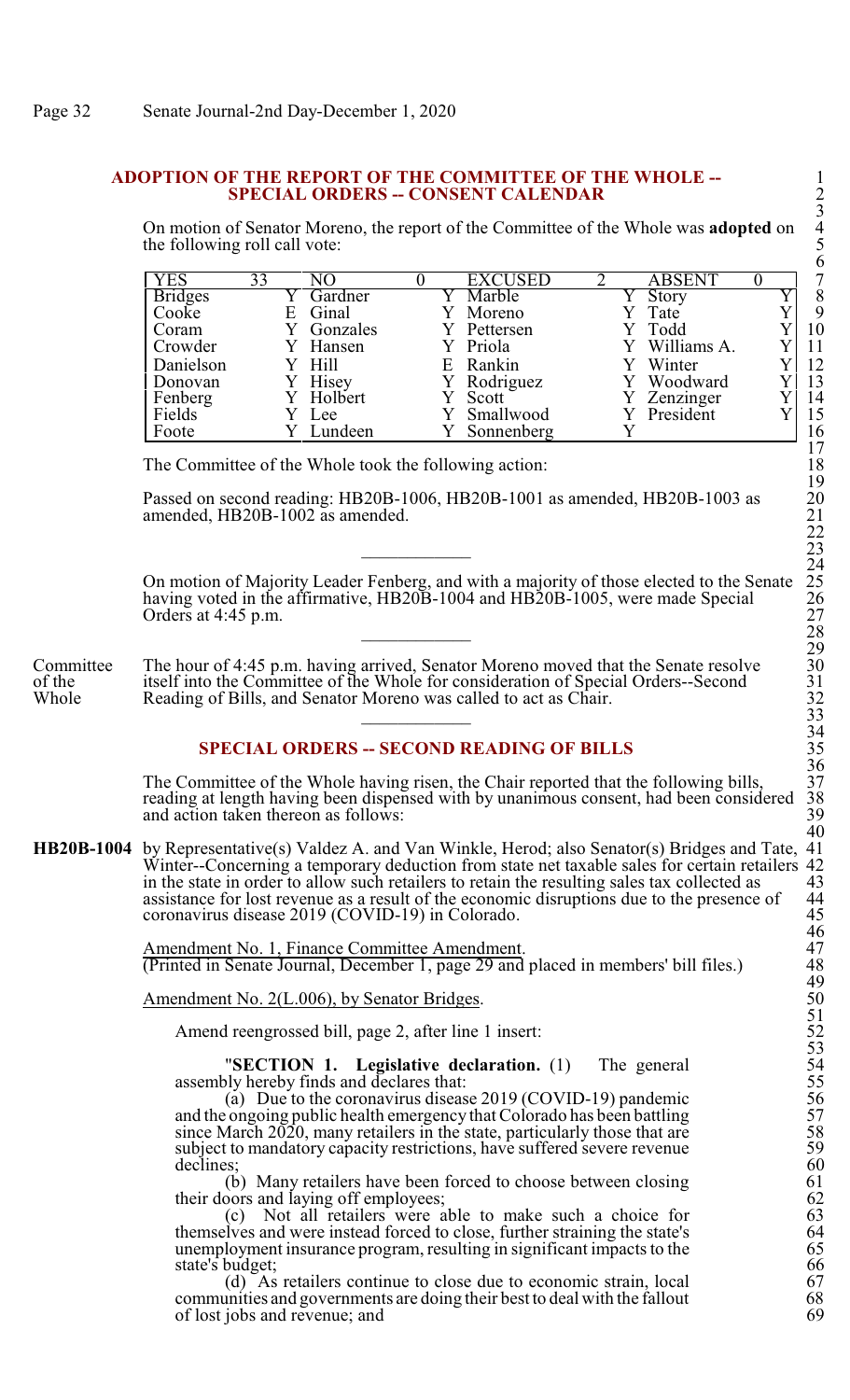#### **ADOPTION OF THE REPORT OF THE COMMITTEE OF THE WHOLE --** 1 **SPECIAL ORDERS -- CONSENT CALENDAR**

On motion of Senator Moreno, the report of the Committee of the Whole was **adopted** on 4 the following roll call vote:

| YES            | 33 |          |    | <b>EXCUSED</b> |  | <b>ABSENT</b> |  | ⇁  |
|----------------|----|----------|----|----------------|--|---------------|--|----|
| <b>Bridges</b> |    | Gardner  |    | Marble         |  | Story         |  | 8  |
| Cooke          | E  | Ginal    |    | Moreno         |  | Tate          |  | 9  |
| Coram          |    | Gonzales |    | Pettersen      |  | Todd          |  | 10 |
| Crowder        |    | Hansen   |    | Y Priola       |  | Williams A.   |  | 11 |
| Danielson      |    | Y Hill   | E. | Rankin         |  | Winter        |  | 12 |
| Donovan        |    | Hisey    |    | Rodriguez      |  | Woodward      |  | 13 |
| Fenberg        |    | Holbert  |    | Scott          |  | Zenzinger     |  | 14 |
| Fields         |    | Lee      |    | Smallwood      |  | President     |  | 15 |
| Foote          |    | Lundeen  |    | Sonnenberg     |  |               |  | 16 |

The Committee of the Whole took the following action:

Passed on second reading: HB20B-1006, HB20B-1001 as amended, HB20B-1003 as amended, HB20B-1002 as amended.

On motion of Majority Leader Fenberg, and with a majority of those elected to the Senate 25 having voted in the affirmative,  $HB20\overline{B}$ -1004 and  $HB20\overline{B}$ -1005, were made Special Orders at  $4:45$  p.m. \_\_\_\_\_\_\_\_\_\_\_\_ 28

Committee The hour of 4:45 p.m. having arrived, Senator Moreno moved that the Senate resolve<br>of the itself into the Committee of the Whole for consideration of Special Orders--Second of the itself into the Committee of the Whole for consideration of Special Orders--Second Whole Reading of Bills, and Senator Moreno was called to act as Chair. Reading of Bills, and Senator Moreno was called to act as Chair.

# **SPECIAL ORDERS -- SECOND READING OF BILLS**

The Committee of the Whole having risen, the Chair reported that the following bills, 37<br>reading at length having been dispensed with by unanimous consent, had been considered 38 reading at length having been dispensed with by unanimous consent, had been considered 38 and action taken thereon as follows: and action taken thereon as follows:

**HB20B-1004** by Representative(s) Valdez A. and Van Winkle, Herod; also Senator(s) Bridges and Tate, 41 Winter--Concerning a temporary deduction from state net taxable sales for certain retailers 42 in the state in order to allow such retailers to retain the resulting sales tax collected as 43 in the state in order to allow such retailers to retain the resulting sales tax collected as 43<br>assistance for lost revenue as a result of the economic disruptions due to the presence of 44 assistance for lost revenue as a result of the economic disruptions due to the presence of coronavirus disease 2019 (COVID-19) in Colorado.

> Amendment No. 1, Finance Committee Amendment. (Printed in Senate Journal, December 1, page 29 and placed in members' bill files.) 48

Amendment No.  $2(L.006)$ , by Senator Bridges.

Amend reengrossed bill, page 2, after line 1 insert:

"**SECTION 1.** Legislative declaration. (1) The general assembly hereby finds and declares that:

(a) Due to the coronavirus disease  $2019$  (COVID-19) pandemic and the ongoing public health emergency that Colorado has been battling 57 since March  $2020$ , many retailers in the state, particularly those that are subject to mandatory capacity restrictions, have suffered severe revenue declines: declines; 60

(b) Many retailers have been forced to choose between closing 61 (b) Many retailers have been forced to choose between closing<br>their doors and laying off employees; <br>(c) Not all retailers were able to make such a choice for 63

(c) Not all retailers were able to make such a choice for 63<br>lives and were instead forced to close, further straining the state's 64<br>loyment insurance program, resulting in significant impacts to the 65 themselves and were instead forced to close, further straining the state's unemployment insurance program, resulting in significant impacts to the 65<br>state's budget; 66 state's budget;<br>
(d) As retailers continue to close due to economic strain, local 67

(d) As retailers continue to close due to economic strain, local 67<br>unities and governments are doing their best to deal with the fallout 68 communities and governments are doing their best to deal with the fallout 68<br>of lost iobs and revenue: and 69 of lost jobs and revenue; and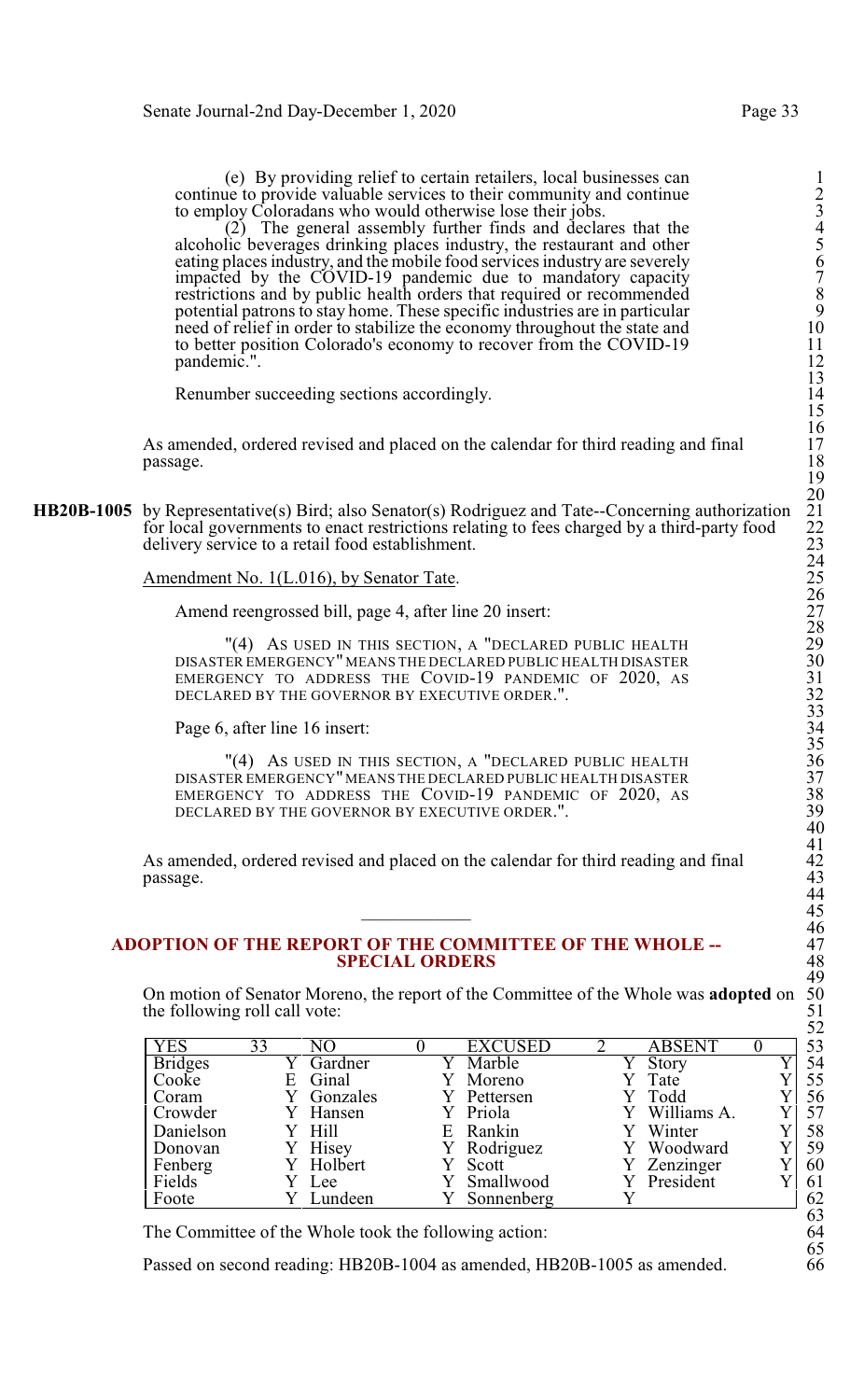(e) By providing relief to certain retailers, local businesses can 1 continue to provide valuable services to their community and continue 2 to employ Coloradans who would otherwise lose their jobs.

 $(2)$  The general assembly further finds and declares that the alcoholic beverages drinking places industry, the restaurant and other eating places industry, and the mobile food services industry are severely 6 impacted by the COVID-19 pandemic due to mandatory capacity 7 restrictions and by public health orders that required or recommended 8 potential patrons to stay home. These specific industries are in particular 9 need of relief in order to stabilize the economy throughout the state and to better position Colorado's economy to recover from the COVID-19 pandemic.".

Renumber succeeding sections accordingly.

As amended, ordered revised and placed on the calendar for third reading and final passage. passage. 18

**HB20B-1005** by Representative(s) Bird; also Senator(s) Rodriguez and Tate--Concerning authorization for local governments to enact restrictions relating to fees charged by a third-party food delivery service to a retail food establishment.

Amendment No. 1(L.016), by Senator Tate.

Amend reengrossed bill, page 4, after line 20 insert:

"(4) AS USED IN THIS SECTION, A "DECLARED PUBLIC HEALTH DISASTER EMERGENCY" MEANS THE DECLARED PUBLIC HEALTH DISASTER EMERGENCY TO ADDRESS THE COVID-19 PANDEMIC OF 2020, AS DECLARED BY THE GOVERNOR BY EXECUTIVE ORDER.".

Page 6, after line 16 insert:

"(4) AS USED IN THIS SECTION, A "DECLARED PUBLIC HEALTH DISASTER EMERGENCY"MEANS THE DECLARED PUBLIC HEALTH DISASTER 37 EMERGENCY TO ADDRESS THE COVID-19 PANDEMIC OF 2020, AS DECLARED BY THE GOVERNOR BY EXECUTIVE ORDER.".

As amended, ordered revised and placed on the calendar for third reading and final passage. passage. 43

#### **ADOPTION OF THE REPORT OF THE COMMITTEE OF THE WHOLE --** 47 **SPECIAL ORDERS**

On motion of Senator Moreno, the report of the Committee of the Whole was **adopted** on the following roll call vote:

| <b>YES</b>     | 33 |          |    | <b>EXCUSED</b> | ABSENT      | 53 |
|----------------|----|----------|----|----------------|-------------|----|
| <b>Bridges</b> |    | Gardner  |    | Marble         | Story       | 54 |
| Cooke          | E  | Ginal    |    | Moreno         | Tate        | 55 |
| Coram          |    | Gonzales |    | Pettersen      | Todd        | 56 |
| Crowder        |    | Hansen   |    | Priola         | Williams A. | 57 |
| Danielson      |    | Hill     | E. | Rankin         | Winter      | 58 |
| Donovan        |    | Hisey    |    | Rodriguez      | Woodward    | 59 |
| Fenberg        |    | Holbert  |    | Scott          | Zenzinger   | 60 |
| Fields         |    | Lee      |    | Smallwood      | President   | 61 |
| Foote          |    | Lundeen  |    | Sonnenberg     |             | 62 |

The Committee of the Whole took the following action: 64

Passed on second reading: HB20B-1004 as amended, HB20B-1005 as amended.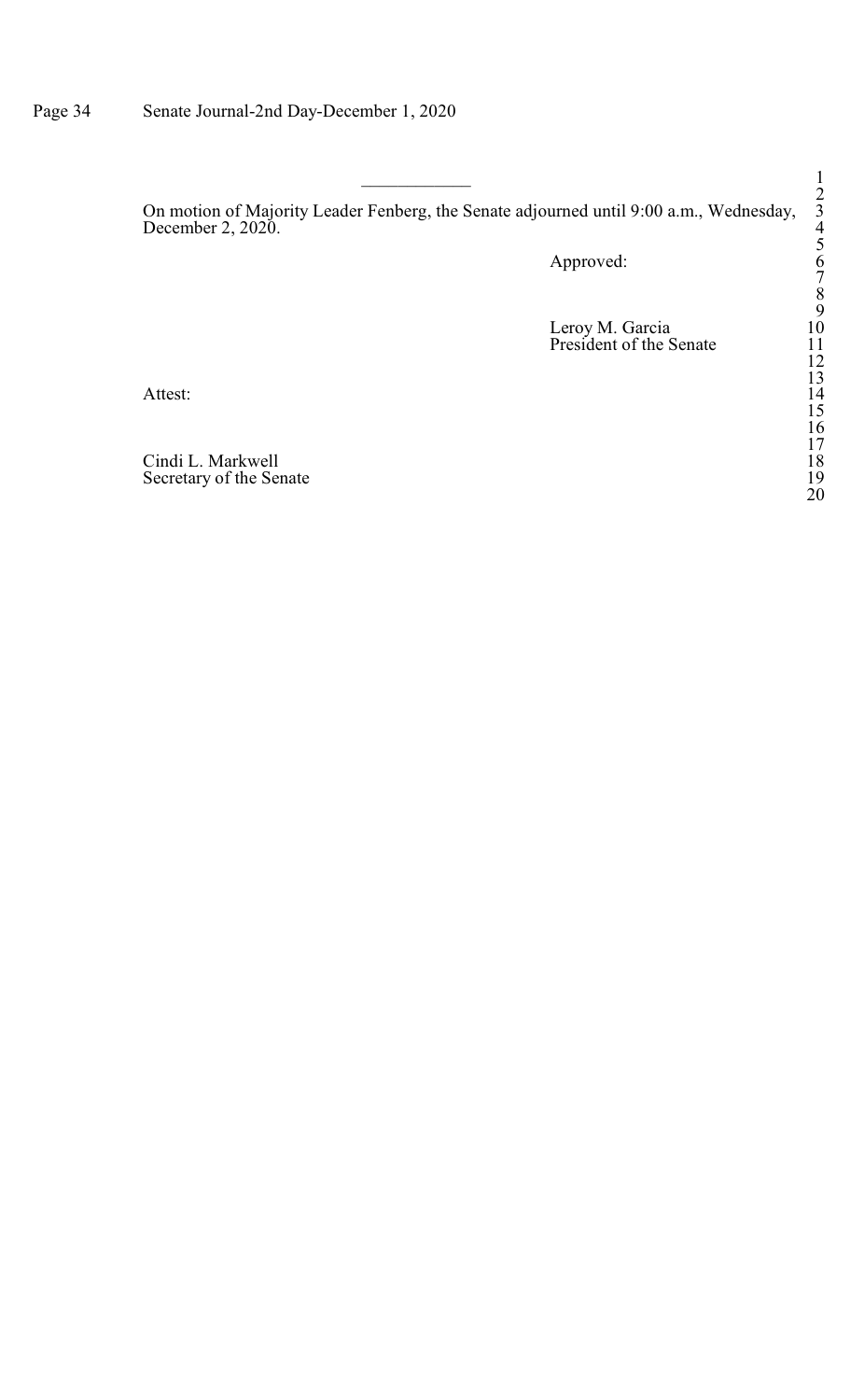On motion of Majority Leader Fenberg, the Senate adjourned until 9:00 a.m., Wednesday, 3 December 2, 2020.  $\frac{4}{3}$ 

Approved:

Leroy M. Garcia 10 President of the Senate 11

Attest: 14

Cindi L. Markwell 18 Secretary of the Senate 19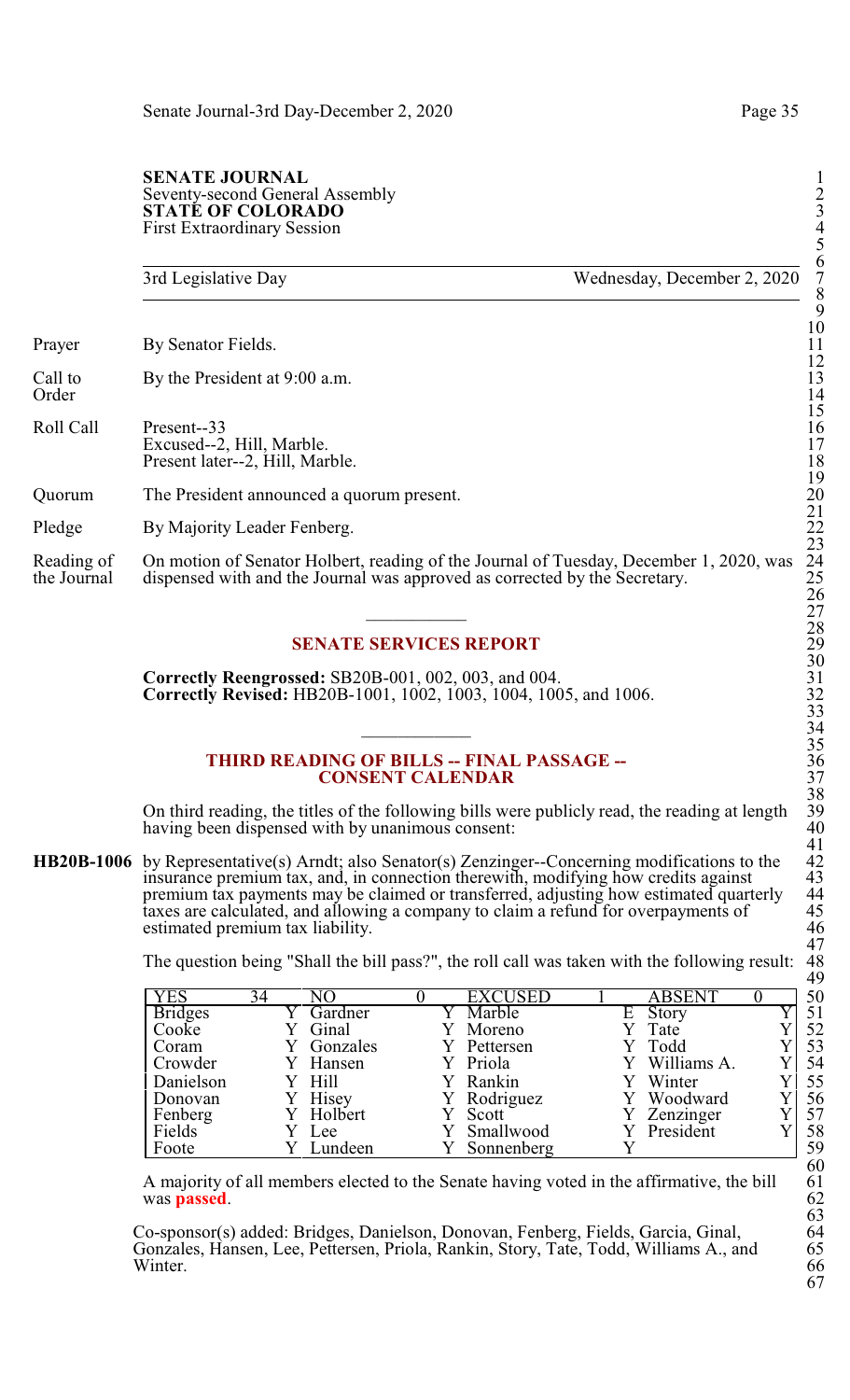#### **SENATE JOURNAL** Seventy-second General Assembly 2 **STATÉ OF COLORADO** First Extraordinary Session 4

| 3rd Legislative Day                                                        | 8                                                                                                                                                                                                   |
|----------------------------------------------------------------------------|-----------------------------------------------------------------------------------------------------------------------------------------------------------------------------------------------------|
| By Senator Fields.                                                         | 9<br>10<br>11                                                                                                                                                                                       |
| By the President at 9:00 a.m.                                              | 12<br>13<br>14                                                                                                                                                                                      |
| Present-33<br>Excused--2, Hill, Marble.<br>Present later--2, Hill, Marble. | 15<br>16<br>17<br>18                                                                                                                                                                                |
| The President announced a quorum present.                                  | 19<br>20                                                                                                                                                                                            |
| By Majority Leader Fenberg.                                                | 21<br>22                                                                                                                                                                                            |
|                                                                            | 23<br>24<br>25<br>26<br>27                                                                                                                                                                          |
|                                                                            | Wednesday, December 2, 2020<br>On motion of Senator Holbert, reading of the Journal of Tuesday, December 1, 2020, was<br>dispensed with and the Journal was approved as corrected by the Secretary. |

## **SENATE SERVICES REPORT**

**Correctly Reengrossed: SB20B-001, 002, 003, and 004. Correctly Revised:** HB20B-1001, 1002, 1003, 1004, 1005, and 1006.

#### **THIRD READING OF BILLS -- FINAL PASSAGE --CONSENT CALENDAR**

On third reading, the titles of the following bills were publicly read, the reading at length 39 having been dispensed with by unanimous consent:

**HB20B-1006** by Representative(s) Arndt; also Senator(s) Zenzinger--Concerning modifications to the insurance premium tax, and, in connection therewith, modifying how credits against 43 premium tax payments may be claimed or transferred, adjusting how estimated quarterly 44 taxes are calculated, and allowing a company to claim a refund for overpayments of estimated premium tax liability.

The question being "Shall the bill pass?", the roll call was taken with the following result:

| <b>YES</b>        | 34 | NO        | EXCUSED    |    | <b>ABSENT</b> | 50 |
|-------------------|----|-----------|------------|----|---------------|----|
| <b>Bridges</b>    |    | Gardner   | Marble     | E. | Story         | 51 |
| Cooke             |    | Ginal     | Moreno     |    | Tate          | 52 |
| Coram             |    | Gonzales  | Pettersen  |    | Todd          | 53 |
| Crowder           |    | Hansen    | Y Priola   |    | Y Williams A. | 54 |
| Danielson         |    | Y Hill    | Rankin     |    | Winter        | 55 |
| Donovan           |    | Hisey     | Rodriguez  |    | Woodward      | 56 |
|                   |    | Y Holbert | Scott      |    | Zenzinger     | 57 |
| Fenberg<br>Fields |    | Lee       | Smallwood  |    | President     | 58 |
| Foote             |    | Lundeen   | Sonnenberg |    |               | 59 |

A majority of all members elected to the Senate having voted in the affirmative, the bill 61 was **passed**.

Co-sponsor(s) added: Bridges, Danielson, Donovan, Fenberg, Fields, Garcia, Ginal, 64 Gonzales, Hansen, Lee, Pettersen, Priola, Rankin, Story, Tate, Todd, Williams A., and 65<br>Winter. 66 Winter. 66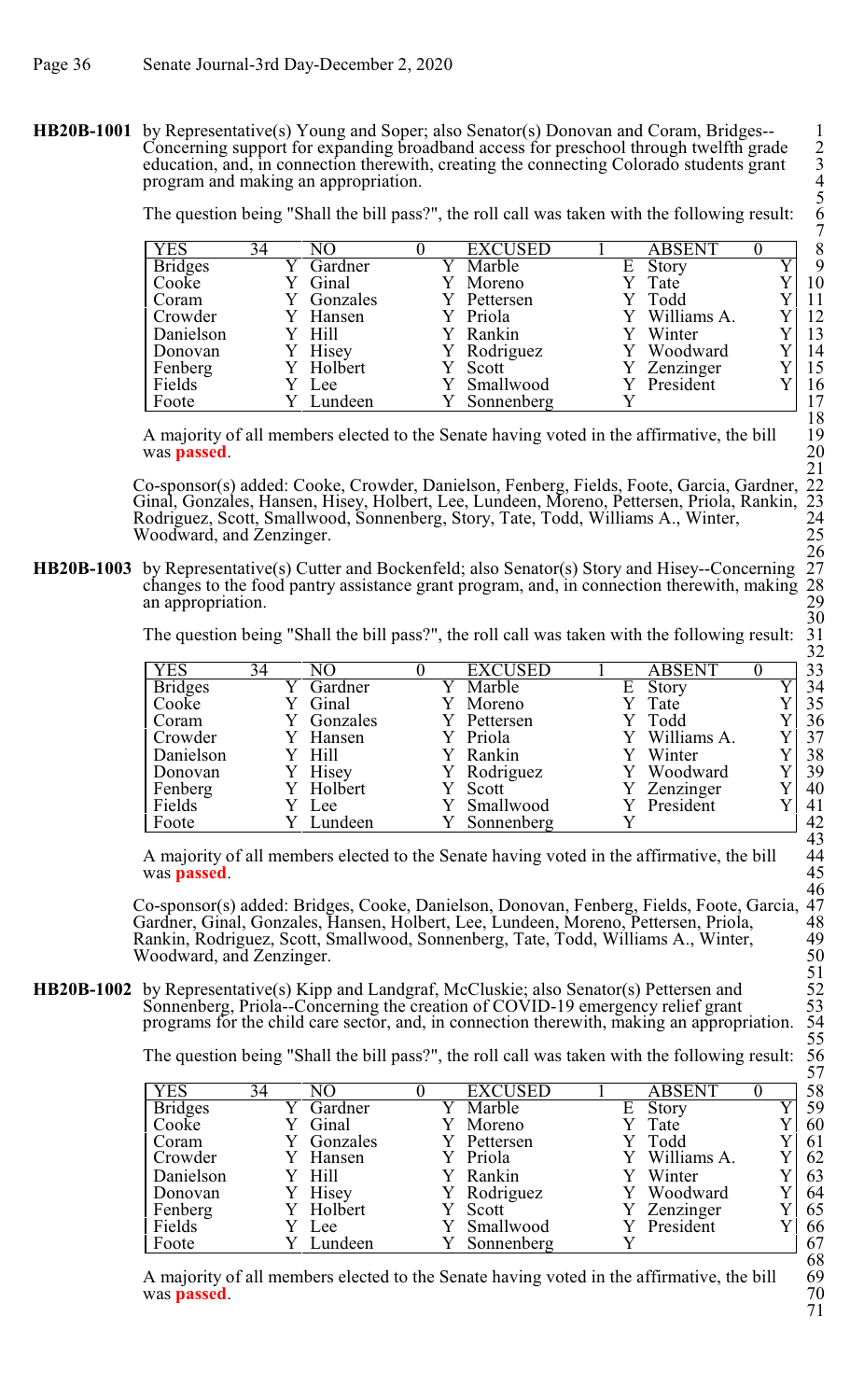**HB20B-1001** by Representative(s) Young and Soper; also Senator(s) Donovan and Coram, Bridges--Concerning support for expanding broadband access for preschool through twelfth grade 2 education, and, in connection therewith, creating the connecting Colorado students grant program and making an appropriation. 4

The question being "Shall the bill pass?", the roll call was taken with the following result: 6

| <b>YES</b>     | 34 |          |  | <b>EXCUSED</b> |   | <b>ABSENT</b> |  | 8  |
|----------------|----|----------|--|----------------|---|---------------|--|----|
| <b>Bridges</b> |    | Gardner  |  | Marble         | Ε | Story         |  | 9  |
| Cooke          |    | Ginal    |  | Moreno         |   | Tate          |  | 10 |
| Coram          |    | Gonzales |  | Pettersen      |   | Todd          |  | 11 |
| Crowder        |    | Hansen   |  | Y Priola       |   | Williams A.   |  | 12 |
| Danielson      |    | Hill     |  | Rankin         |   | Winter        |  | 13 |
| Donovan        |    | Hisey    |  | Rodriguez      |   | Woodward      |  | 14 |
| Fenberg        |    | Holbert  |  | Scott          |   | Zenzinger     |  | 15 |
| Fields         |    | Lee      |  | Smallwood      |   | President     |  | 16 |
| Foote          |    | Lundeen  |  | Sonnenberg     |   |               |  | 17 |

A majority of all members elected to the Senate having voted in the affirmative, the bill 19 was **passed**.

Co-sponsor(s) added: Cooke, Crowder, Danielson, Fenberg, Fields, Foote, Garcia, Gardner, 22 Ginal, Gonzales, Hansen, Hisey, Holbert, Lee, Lundeen, Moreno, Pettersen, Priola, Rankin, 23 Rodriguez, Scott, Smallwood, Sonnenberg, Story, Tate, Todd, Williams A., Winter, 24 Woodward, and Zenzinger.

**HB20B-1003** by Representative(s) Cutter and Bockenfeld; also Senator(s) Story and Hisey--Concerning changes to the food pantry assistance grant program, and, in connection therewith, making an appropriation.

The question being "Shall the bill pass?", the roll call was taken with the following result:

|                |    |          |                |   |               | ے ت |
|----------------|----|----------|----------------|---|---------------|-----|
| <b>YES</b>     | 34 | NΩ       | <b>EXCUSED</b> |   | <b>ABSENT</b> | 33  |
| <b>Bridges</b> |    | Gardner  | Marble         | E | Story         | 34  |
| Cooke          |    | Ginal    | Moreno         |   | Tate          | 35  |
| Coram          |    | Gonzales | Pettersen      |   | Todd          | 36  |
| <b>Crowder</b> |    | Hansen   | Priola         |   | Williams A.   | 37  |
| Danielson      |    | Y Hill   | Rankin         |   | Winter        | 38  |
| Donovan        |    | Hisey    | Y Rodriguez    |   | Woodward      | 39  |
| Fenberg        |    | Holbert  | Scott          |   | Zenzinger     | 40  |
| Fields         |    | Lee      | Smallwood      |   | President     | 41  |
| Foote          |    | Lundeen  | Sonnenberg     |   |               | 42  |

A majority of all members elected to the Senate having voted in the affirmative, the bill 44<br>was **passed**. 45 was **passed**. 45

Co-sponsor(s) added: Bridges, Cooke, Danielson, Donovan, Fenberg, Fields, Foote, Garcia, 47 Gardner, Ginal, Gonzales, Hansen, Holbert, Lee, Lundeen, Moreno, Pettersen, Priola, 48 Rankin, Rodriguez, Scott, Smallwood, Sonnenberg, Tate, Todd, Williams A., Winter, 49 Woodward, and Zenzinger.

**HB20B-1002** by Representative(s) Kipp and Landgraf, McCluskie; also Senator(s) Pettersen and Sonnenberg, Priola--Concerning the creation of COVID-19 emergency relief grant programs for the child care sector, and, in connection therewith, making an appropriation.

The question being "Shall the bill pass?", the roll call was taken with the following result:

| <b>YES</b>     | 34 | NΟ       | <b>EXCUSED</b> |   | <b>ABSENT</b> |  |
|----------------|----|----------|----------------|---|---------------|--|
| <b>Bridges</b> |    | Gardner  | Marble         | Е | Story         |  |
| Cooke          |    | Ginal    | Moreno         |   | Tate          |  |
| Coram          |    | Gonzales | Pettersen      |   | Todd          |  |
| Crowder        |    | Hansen   | Y Priola       |   | Williams A.   |  |
| Danielson      |    | Hill     | Rankin         |   | Winter        |  |
| Donovan        |    | Hisey    | Rodriguez      |   | Woodward      |  |
| Fenberg        |    | Holbert  | Scott          |   | Zenzinger     |  |
| Fields         |    | Lee      | Smallwood      |   | President     |  |
| Foote          |    | Lundeen  | Sonnenberg     |   |               |  |

A majority of all members elected to the Senate having voted in the affirmative, the bill 69 was **passed**. 70 was **passed**.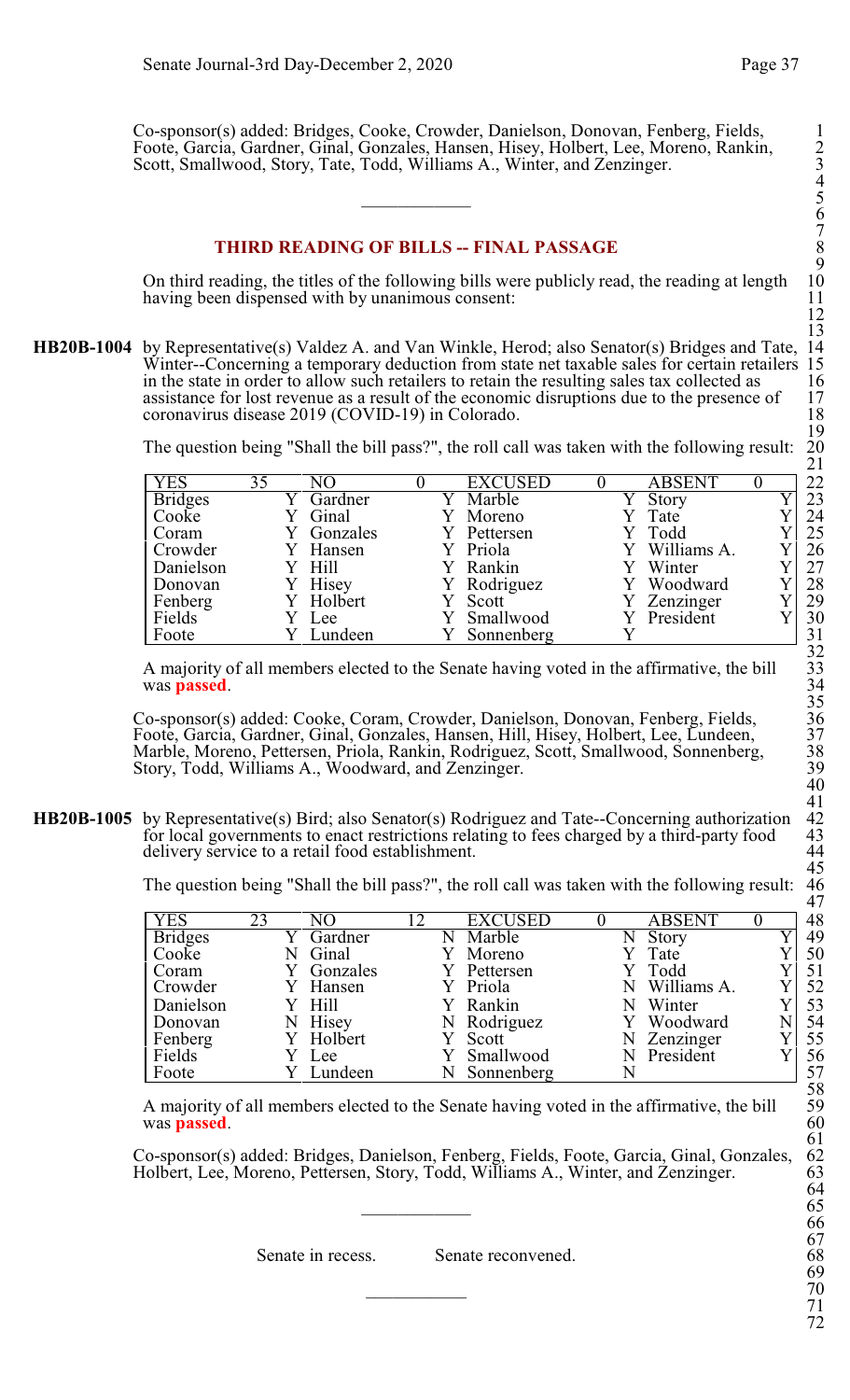Co-sponsor(s) added: Bridges, Cooke, Crowder, Danielson, Donovan, Fenberg, Fields, 1 Foote, Garcia, Gardner, Ginal, Gonzales, Hansen, Hisey, Holbert, Lee, Moreno, Rankin, 2 Scott, Smallwood, Story, Tate, Todd, Williams A., Winter, and Zenzinger.

# **THIRD READING OF BILLS -- FINAL PASSAGE**

On third reading, the titles of the following bills were publicly read, the reading at length 10 having been dispensed with by unanimous consent: having been dispensed with by unanimous consent:

**HB20B-1004** by Representative(s) Valdez A. and Van Winkle, Herod; also Senator(s) Bridges and Tate, 14 Winter--Concerning a temporary deduction from state net taxable sales for certain retailers 15 in the state in order to allow such retailers to retain the resulting sales tax collected as 16 assistance for lost revenue as a result of the economic disruptions due to the presence of 17  $coronavirus disease 2019 (COVID-19) in Colorado.$  18

The question being "Shall the bill pass?", the roll call was taken with the following result:

|                |    |                |                |               | - - |
|----------------|----|----------------|----------------|---------------|-----|
| <b>YES</b>     | 35 | N <sub>O</sub> | <b>EXCUSED</b> | <b>ABSENT</b> | 22  |
| <b>Bridges</b> |    | Gardner        | Marble         | Story         | 23  |
| Cooke          |    | Ginal          | Moreno         | Tate          | 24  |
| Coram          |    | Gonzales       | Pettersen      | Todd          | 25  |
| Crowder        |    | Y Hansen       | Priola         | Williams A.   | 26  |
| Danielson      |    | Y Hill         | Rankin         | Winter        | 27  |
| Donovan        |    | Hisey          | Y Rodriguez    | Woodward      | 28  |
| Fenberg        |    | Holbert        | Scott          | Zenzinger     | 29  |
| Fields         |    | Lee            | Smallwood      | President     | 30  |
| Foote          |    | Lundeen        | Sonnenberg     |               | 31  |

A majority of all members elected to the Senate having voted in the affirmative, the bill was **passed**.

Co-sponsor(s) added: Cooke, Coram, Crowder, Danielson, Donovan, Fenberg, Fields, 36 Foote, Garcia, Gardner, Ginal, Gonzales, Hansen, Hill, Hisey, Holbert, Lee, Lundeen, 37 Marble, Moreno, Pettersen, Priola, Rankin, Rodriguez, Scott, Smallwood, Sonnenberg, 38 Story, Todd, Williams A., Woodward, and Zenzinger.

**HB20B-1005** by Representative(s) Bird; also Senator(s) Rodriguez and Tate--Concerning authorization for local governments to enact restrictions relating to fees charged by a third-party food 43<br>delivery service to a retail food establishment. 44 delivery service to a retail food establishment.

The question being "Shall the bill pass?", the roll call was taken with the following result:

| <b>YES</b>     | 23 | NО       | $\overline{2}$ | <b>EXCUSED</b> |   | <b>ABSENT</b> |   |
|----------------|----|----------|----------------|----------------|---|---------------|---|
| <b>Bridges</b> |    | Gardner  | N              | Marble         |   | Story         |   |
| Cooke          |    | Ginal    |                | Moreno         |   | Tate          |   |
| Coram          |    | Gonzales |                | Pettersen      |   | Y Todd        |   |
| Crowder        |    | Hansen   |                | Priola         |   | Williams A.   |   |
| Danielson      |    | Hill     |                | Rankin         |   | Winter        |   |
| Donovan        |    | Hisey    |                | N Rodriguez    |   | Woodward      | N |
| Fenberg        |    | Holbert  |                | Scott          | N | Zenzinger     |   |
| Fields         |    | Lee      |                | Smallwood      |   | President     |   |
| Foote          |    | Lundeen  |                | Sonnenberg     |   |               |   |

A majority of all members elected to the Senate having voted in the affirmative, the bill was **passed**.

Co-sponsor(s) added: Bridges, Danielson, Fenberg, Fields, Foote, Garcia, Ginal, Gonzales, 62 Holbert, Lee, Moreno, Pettersen, Story, Todd, Williams A., Winter, and Zenzinger.

Senate in recess. Senate reconvened.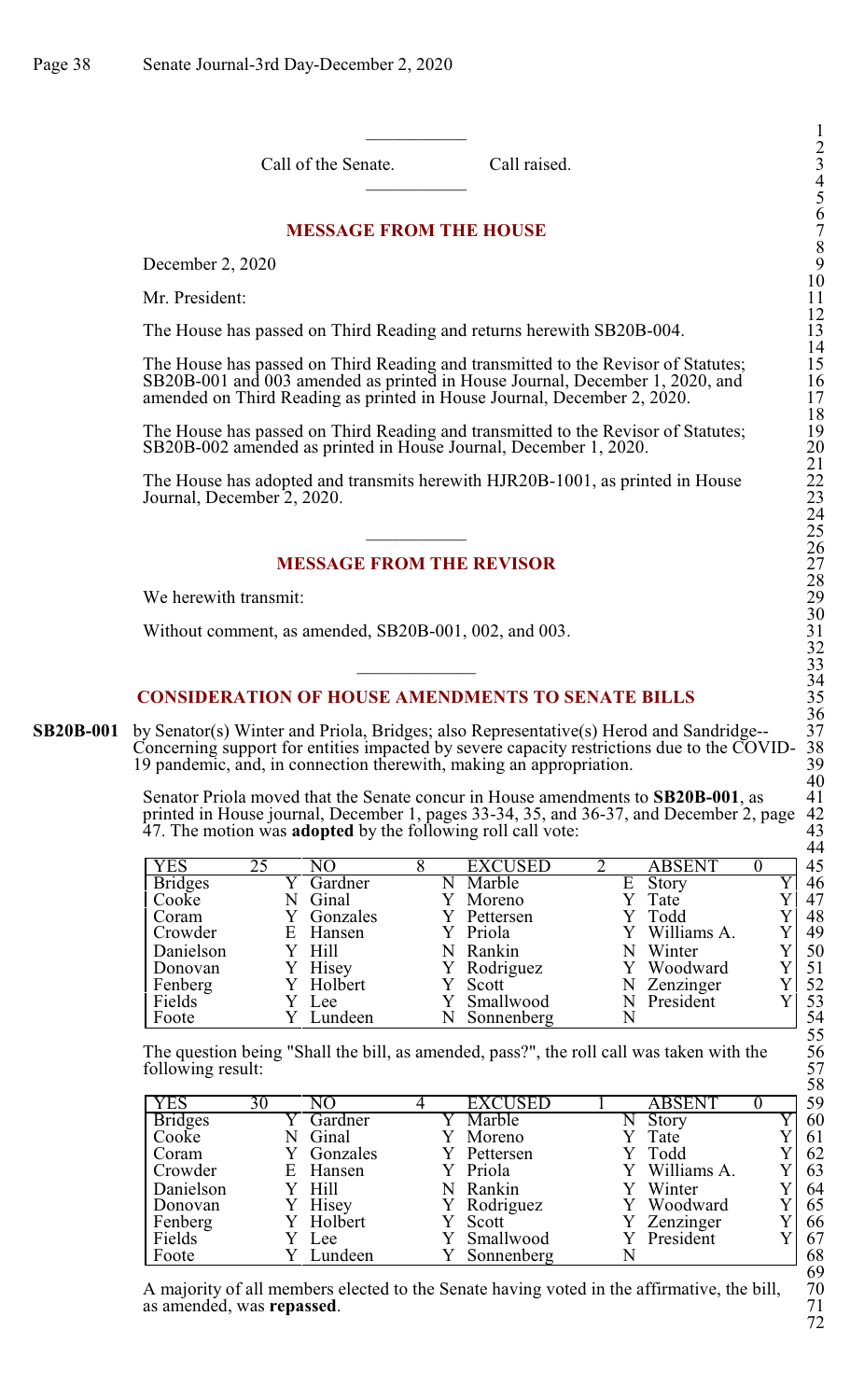Call of the Senate. Call raised.

# **MESSAGE FROM THE HOUSE**

December 2, 2020

Mr. President:

The House has passed on Third Reading and returns herewith SB20B-004.

The House has passed on Third Reading and transmitted to the Revisor of Statutes; 15 SB20B-001 and 003 amended as printed in House Journal, December 1, 2020, and 16 amended on Third Reading as printed in House Journal, December 2, 2020.

The House has passed on Third Reading and transmitted to the Revisor of Statutes; 19 SB20B-002 amended as printed in House Journal, December 1, 2020.

The House has adopted and transmits herewith HJR20B-1001, as printed in House Journal, December 2, 2020.

# **MESSAGE FROM THE REVISOR**

We herewith transmit:

Without comment, as amended, SB20B-001, 002, and 003.

# **CONSIDERATION OF HOUSE AMENDMENTS TO SENATE BILLS**

**SB20B-001** by Senator(s) Winter and Priola, Bridges; also Representative(s) Herod and Sandridge--Concerning support for entities impacted by severe capacity restrictions due to the COVID-19 pandemic, and, in connection therewith, making an appropriation.

> Senator Priola moved that the Senate concur in House amendments to **SB20B-001**, as 41 printed in House journal, December 1, pages 33-34, 35, and 36-37, and December 2, page 42 printed in House journal, December 1, pages 33-34, 35, and 36-37, and December 2, page 42 47. The motion was **adopted** by the following roll call vote: 43

| <b>YES</b>     | 25 | NΟ       | <b>EXCUSED</b> |   | <b>ABSENT</b> | 45 |
|----------------|----|----------|----------------|---|---------------|----|
| <b>Bridges</b> |    | Gardner  | Marble         | Е | Story         | 46 |
| Cooke          |    | Ginal    | Moreno         |   | Tate          | 47 |
| Coram          |    | Gonzales | Pettersen      |   | Todd          | 48 |
| Crowder        |    | E Hansen | Y Priola       |   | Williams A.   | 49 |
| Danielson      |    | Y Hill   | N Rankin       |   | Winter        | 50 |
| Donovan        |    | Hisey    | Y Rodriguez    |   | Woodward      | 51 |
| Fenberg        |    | Holbert  | Scott          |   | Zenzinger     | 52 |
| Fields         |    | Lee      | Smallwood      |   | President     | 53 |
| Foote          |    | Lundeen  | Sonnenberg     |   |               | 54 |

The question being "Shall the bill, as amended, pass?", the roll call was taken with the following result:

| <b>YES</b>     | 30 | NО       | <b>EXCUSED</b> | <b>ABSENT</b> | 59 |
|----------------|----|----------|----------------|---------------|----|
| <b>Bridges</b> |    | Gardner  | Marble         | Story<br>N    | 60 |
| Cooke          |    | Ginal    | Moreno         | Tate          | 61 |
| Coram          |    | Gonzales | Pettersen      | Y Todd        | 62 |
| Crowder        | E  | Hansen   | Y Priola       | Williams A.   | 63 |
| Danielson      |    | Hill     | Rankin         | Winter        | 64 |
| Donovan        |    | Hisey    | Rodriguez      | Woodward      | 65 |
| Fenberg        |    | Holbert  | Scott          | Zenzinger     | 66 |
| Fields         |    | Lee      | Smallwood      | President     | 67 |
| Foote          |    | Lundeen  | Sonnenberg     |               | 68 |

A majority of all members elected to the Senate having voted in the affirmative, the bill,  $\frac{70}{71}$  as amended, was **repassed**. as amended, was **repassed**.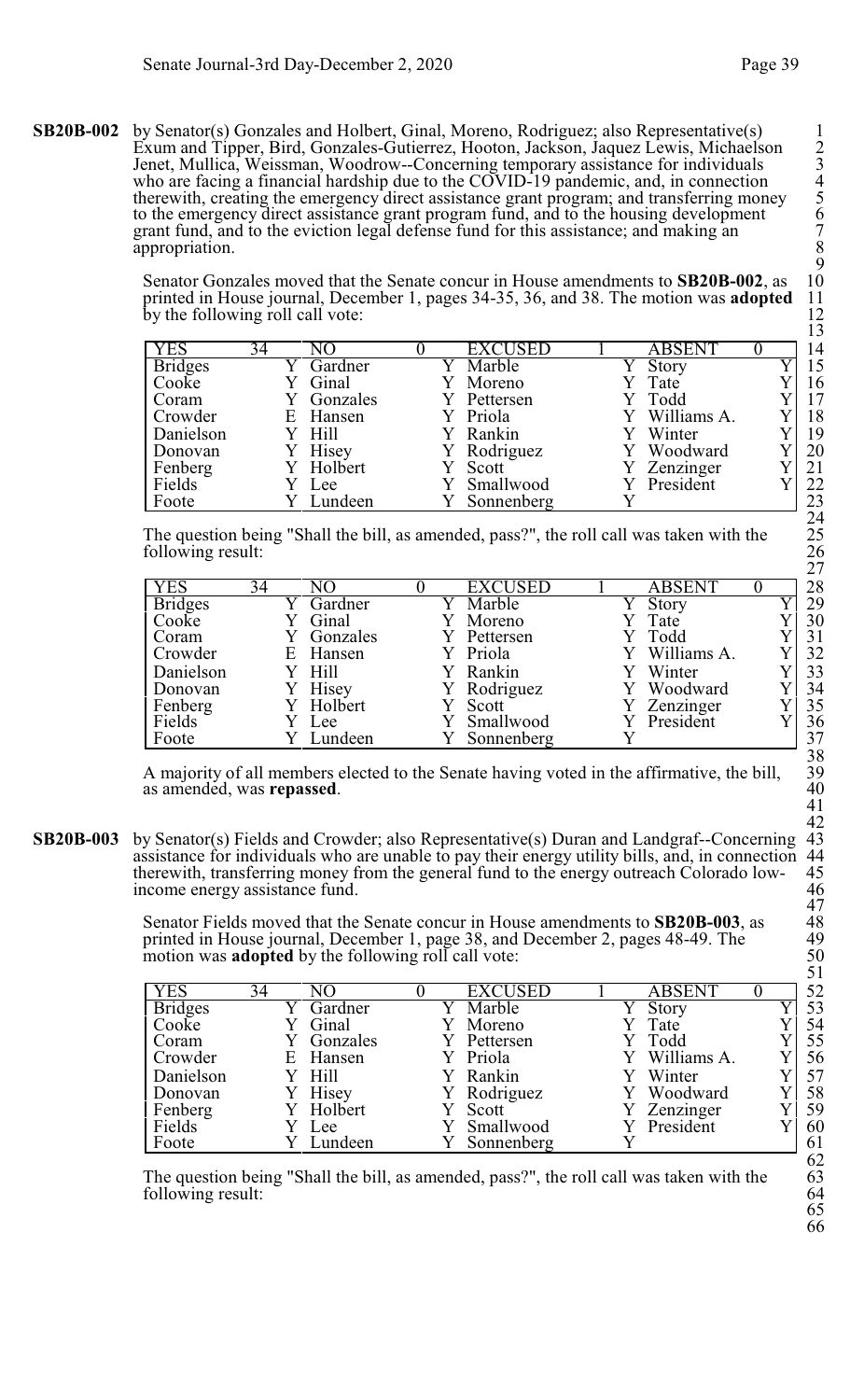**SB20B-002** by Senator(s) Gonzales and Holbert, Ginal, Moreno, Rodriguez; also Representative(s) 1 Exum and Tipper, Bird, Gonzales-Gutierrez, Hooton, Jackson, Jaquez Lewis, Michaelson 2 Jenet, Mullica, Weissman, Woodrow--Concerning temporary assistance for individuals 3 who are facing a financial hardship due to the COVID-19 pandemic, and, in connection 4 therewith, creating the emergency direct assistance grant program; and transferring money 5 to the emergency direct assistance grant program fund, and to the housing development 6 grant fund, and to the eviction legal defense fund for this assistance; and making an 7 appropriation.

> Senator Gonzales moved that the Senate concur in House amendments to **SB20B-002**, as printed in House journal, December 1, pages 34-35, 36, and 38. The motion was **adopted** by the following roll call vote:

| <b>YES</b>     | 34 | NΟ              | <b>EXCUSED</b> |  | <b>ABSENT</b> |  | 14 |
|----------------|----|-----------------|----------------|--|---------------|--|----|
| <b>Bridges</b> |    | Gardner         | Marble         |  | Story         |  | 15 |
| Cooke          |    | Ginal           | Moreno         |  | Tate          |  | 16 |
| Coram          |    | Gonzales        | Pettersen      |  | Todd          |  | 17 |
| Crowder        |    | E Hansen        | Y Priola       |  | Y Williams A. |  | 18 |
| Danielson      |    | Y Hill          | Rankin         |  | Winter        |  | 19 |
| Donovan        |    | Hisey           | Rodriguez      |  | Woodward      |  | 20 |
| Fenberg        |    | Y Holbert       | Scott          |  | Zenzinger     |  | 21 |
| Fields         |    | Lee             | Smallwood      |  | President     |  | 22 |
| Foote          |    | <i>i</i> undeen | Sonnenberg     |  |               |  | 23 |

The question being "Shall the bill, as amended, pass?", the roll call was taken with the following result:

| <b>YES</b>     | 34 | NО       | <b>EXCUSED</b> | ABSENT      |    |
|----------------|----|----------|----------------|-------------|----|
| <b>Bridges</b> |    | Gardner  | Marble         | Story       | 29 |
| Cooke          |    | Ginal    | Moreno         | Tate        | 30 |
| Coram          |    | Gonzales | Pettersen      | Y Todd      | 31 |
| Crowder        | Ε  | Hansen   | Y Priola       | Williams A. | 32 |
| Danielson      |    | Hill     | Y Rankin       | Winter      | 33 |
| Donovan        |    | Hisey    | Y Rodriguez    | Woodward    | 34 |
| Fenberg        |    | Holbert  | Scott          | Zenzinger   | 35 |
| Fields         |    | Lee      | Smallwood      | President   | 36 |
| Foote          |    | Lundeen  | Sonnenberg     |             | 37 |

A majority of all members elected to the Senate having voted in the affirmative, the bill, as amended, was **repassed**.

**SB20B-003** by Senator(s) Fields and Crowder; also Representative(s) Duran and Landgraf--Concerning 43<br>assistance for individuals who are unable to pay their energy utility bills, and, in connection 44<br>therewith, transferr assistance for individuals who are unable to pay their energy utility bills, and, in connection therewith, transferring money from the general fund to the energy outreach Colorado low- 45 income energy assistance fund. 46

> Senator Fields moved that the Senate concur in House amendments to **SB20B-003**, as <br>printed in House journal, December 1, page 38, and December 2, pages 48-49. The 49<br>motion was **adopted** by the following roll call vote: 5 printed in House journal, December 1, page 38, and December 2, pages 48-49. The motion was **adopted** by the following roll call vote:

|                |    |                  |                |               | ັ້ |
|----------------|----|------------------|----------------|---------------|----|
| <b>YES</b>     | 34 | NО               | <b>EXCUSED</b> | <b>ABSENT</b> | 52 |
| <b>Bridges</b> |    | Gardner          | Marble         | Story         | 53 |
| Cooke          |    | Ginal            | Moreno         | Tate          | 54 |
| Coram          |    | Gonzales         | Pettersen      | Todd          | 55 |
| Crowder        | E  | Hansen           | Y Priola       | Williams A.   | 56 |
| Danielson      |    | H <sub>ill</sub> | Rankin         | Winter        | 57 |
| Donovan        |    | Hisey            | Rodriguez      | Woodward      | 58 |
| Fenberg        |    | Holbert          | Scott          | Zenzinger     | 59 |
| Fields         |    | Lee              | Smallwood      | President     | 60 |
| Foote          |    | Lundeen          | Sonnenberg     |               | 61 |

The question being "Shall the bill, as amended, pass?", the roll call was taken with the following result: